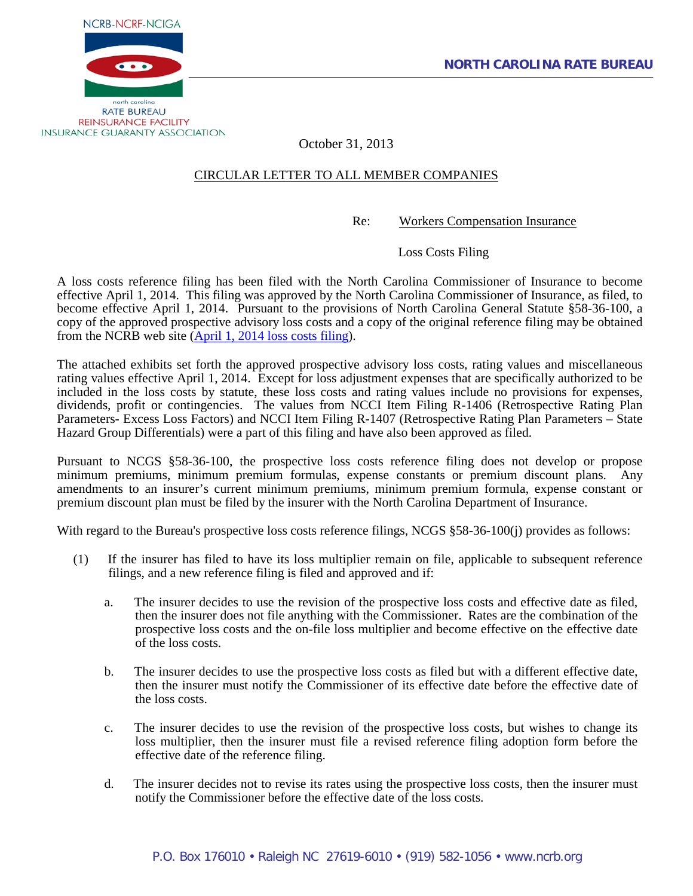



October 31, 2013

### CIRCULAR LETTER TO ALL MEMBER COMPANIES

Re: Workers Compensation Insurance

Loss Costs Filing

A loss costs reference filing has been filed with the North Carolina Commissioner of Insurance to become effective April 1, 2014. This filing was approved by the North Carolina Commissioner of Insurance, as filed, to become effective April 1, 2014. Pursuant to the provisions of North Carolina General Statute §58-36-100, a copy of the approved prospective advisory loss costs and a copy of the original reference filing may be obtained from the NCRB web site (April 1, 2014 [loss costs filing\)](http://www.ncrb.org/ncrb/WorkersCompensation/Carrier/LossCostsandAssignedRiskRates/tabid/124/Default.aspx).

The attached exhibits set forth the approved prospective advisory loss costs, rating values and miscellaneous rating values effective April 1, 2014. Except for loss adjustment expenses that are specifically authorized to be included in the loss costs by statute, these loss costs and rating values include no provisions for expenses, dividends, profit or contingencies. The values from NCCI Item Filing R-1406 (Retrospective Rating Plan Parameters- Excess Loss Factors) and NCCI Item Filing R-1407 (Retrospective Rating Plan Parameters – State Hazard Group Differentials) were a part of this filing and have also been approved as filed.

Pursuant to NCGS §58-36-100, the prospective loss costs reference filing does not develop or propose minimum premiums, minimum premium formulas, expense constants or premium discount plans. Any amendments to an insurer's current minimum premiums, minimum premium formula, expense constant or premium discount plan must be filed by the insurer with the North Carolina Department of Insurance.

With regard to the Bureau's prospective loss costs reference filings, NCGS \$58-36-100(j) provides as follows:

- (1) If the insurer has filed to have its loss multiplier remain on file, applicable to subsequent reference filings, and a new reference filing is filed and approved and if:
	- a. The insurer decides to use the revision of the prospective loss costs and effective date as filed, then the insurer does not file anything with the Commissioner. Rates are the combination of the prospective loss costs and the on-file loss multiplier and become effective on the effective date of the loss costs.
	- b. The insurer decides to use the prospective loss costs as filed but with a different effective date, then the insurer must notify the Commissioner of its effective date before the effective date of the loss costs.
	- c. The insurer decides to use the revision of the prospective loss costs, but wishes to change its loss multiplier, then the insurer must file a revised reference filing adoption form before the effective date of the reference filing.
	- d. The insurer decides not to revise its rates using the prospective loss costs, then the insurer must notify the Commissioner before the effective date of the loss costs.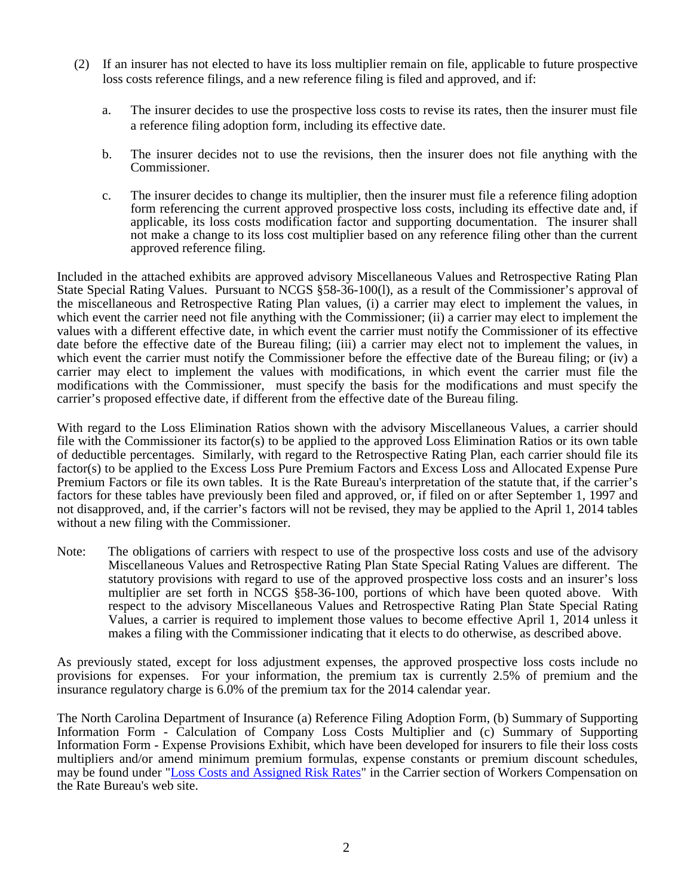- (2) If an insurer has not elected to have its loss multiplier remain on file, applicable to future prospective loss costs reference filings, and a new reference filing is filed and approved, and if:
	- a. The insurer decides to use the prospective loss costs to revise its rates, then the insurer must file a reference filing adoption form, including its effective date.
	- b. The insurer decides not to use the revisions, then the insurer does not file anything with the Commissioner.
	- c. The insurer decides to change its multiplier, then the insurer must file a reference filing adoption form referencing the current approved prospective loss costs, including its effective date and, if applicable, its loss costs modification factor and supporting documentation. The insurer shall not make a change to its loss cost multiplier based on any reference filing other than the current approved reference filing.

Included in the attached exhibits are approved advisory Miscellaneous Values and Retrospective Rating Plan State Special Rating Values. Pursuant to NCGS §58-36-100(1), as a result of the Commissioner's approval of the miscellaneous and Retrospective Rating Plan values, (i) a carrier may elect to implement the values, in which event the carrier need not file anything with the Commissioner; (ii) a carrier may elect to implement the values with a different effective date, in which event the carrier must notify the Commissioner of its effective date before the effective date of the Bureau filing; (iii) a carrier may elect not to implement the values, in which event the carrier must notify the Commissioner before the effective date of the Bureau filing; or (iv) a carrier may elect to implement the values with modifications, in which event the carrier must file the modifications with the Commissioner, must specify the basis for the modifications and must specify the carrier's proposed effective date, if different from the effective date of the Bureau filing.

With regard to the Loss Elimination Ratios shown with the advisory Miscellaneous Values, a carrier should file with the Commissioner its factor(s) to be applied to the approved Loss Elimination Ratios or its own table of deductible percentages. Similarly, with regard to the Retrospective Rating Plan, each carrier should file its factor(s) to be applied to the Excess Loss Pure Premium Factors and Excess Loss and Allocated Expense Pure Premium Factors or file its own tables. It is the Rate Bureau's interpretation of the statute that, if the carrier's factors for these tables have previously been filed and approved, or, if filed on or after September 1, 1997 and not disapproved, and, if the carrier's factors will not be revised, they may be applied to the April 1, 2014 tables without a new filing with the Commissioner.

Note: The obligations of carriers with respect to use of the prospective loss costs and use of the advisory Miscellaneous Values and Retrospective Rating Plan State Special Rating Values are different. The statutory provisions with regard to use of the approved prospective loss costs and an insurer's loss multiplier are set forth in NCGS §58-36-100, portions of which have been quoted above. With respect to the advisory Miscellaneous Values and Retrospective Rating Plan State Special Rating Values, a carrier is required to implement those values to become effective April 1, 2014 unless it makes a filing with the Commissioner indicating that it elects to do otherwise, as described above.

As previously stated, except for loss adjustment expenses, the approved prospective loss costs include no provisions for expenses. For your information, the premium tax is currently 2.5% of premium and the insurance regulatory charge is 6.0% of the premium tax for the 2014 calendar year.

The North Carolina Department of Insurance (a) Reference Filing Adoption Form, (b) Summary of Supporting Information Form - Calculation of Company Loss Costs Multiplier and (c) Summary of Supporting Information Form - Expense Provisions Exhibit, which have been developed for insurers to file their loss costs multipliers and/or amend minimum premium formulas, expense constants or premium discount schedules, may be found under ["Loss Costs and Assigned Risk Rates"](http://www.ncrb.org/ncrb/WorkersCompensation/Carrier/LossCostsandAssignedRiskRates/tabid/124/Default.aspx) in the Carrier section of Workers Compensation on the Rate Bureau's web site.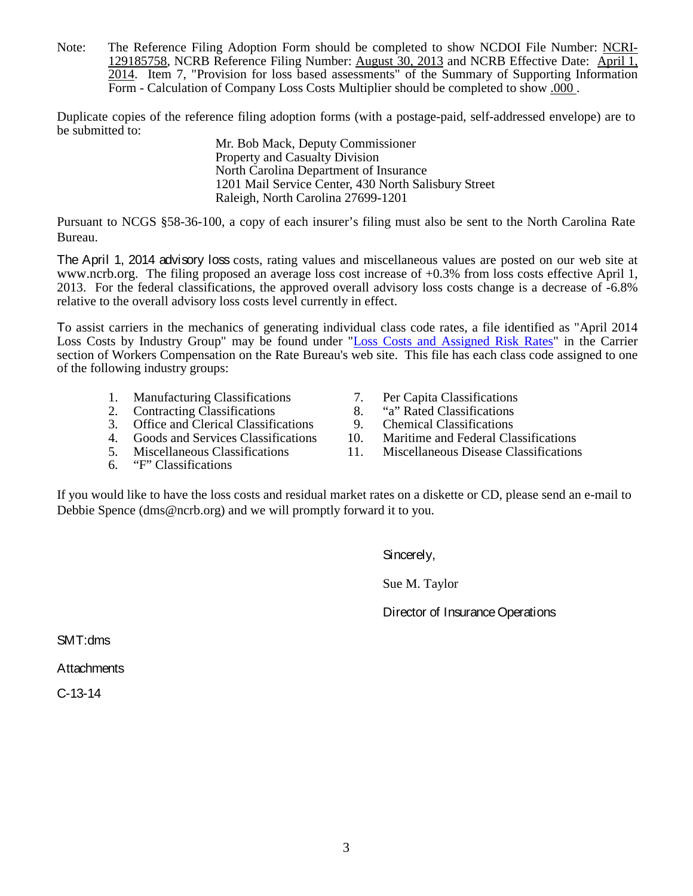Note: The Reference Filing Adoption Form should be completed to show NCDOI File Number: NCRI-129185758, NCRB Reference Filing Number: August 30, 2013 and NCRB Effective Date: April 1, 2014. Item 7, "Provision for loss based assessments" of the Summary of Supporting Information Form - Calculation of Company Loss Costs Multiplier should be completed to show .000 .

Duplicate copies of the reference filing adoption forms (with a postage-paid, self-addressed envelope) are to be submitted to:

Mr. Bob Mack, Deputy Commissioner Property and Casualty Division North Carolina Department of Insurance 1201 Mail Service Center, 430 North Salisbury Street Raleigh, North Carolina 27699-1201

Pursuant to NCGS §58-36-100, a copy of each insurer's filing must also be sent to the North Carolina Rate Bureau.

The April 1, 2014 advisory loss costs, rating values and miscellaneous values are posted on our web site at [www.ncrb.org.](http://www.ncrb.org/) The filing proposed an average loss cost increase of +0.3% from loss costs effective April 1, 2013. For the federal classifications, the approved overall advisory loss costs change is a decrease of -6.8% relative to the overall advisory loss costs level currently in effect.

To assist carriers in the mechanics of generating individual class code rates, a file identified as "April 2014 Loss Costs by Industry Group" may be found under ["Loss Costs and Assigned Risk Rates"](http://www.ncrb.org/ncrb/WorkersCompensation/Carrier/LossCostsandAssignedRiskRates/tabid/124/Default.aspx) in the Carrier section of Workers Compensation on the Rate Bureau's web site. This file has each class code assigned to one of the following industry groups:

- 1. Manufacturing Classifications 7. Per Capita Classifications<br>
2. Contracting Classifications 8. "a" Rated Classifications
- 
- 2. Contracting Classifications 8. "a" Rated Classifications<br>3. Office and Clerical Classifications 9. Chemical Classifications
- 3. Office and Clerical Classifications 9.<br>Goods and Services Classifications 10.
- 
- 6. "F" Classifications
- 
- 
- 
- 4. Goods and Services Classifications 10. Maritime and Federal Classifications
- 5. Miscellaneous Classifications 11. Miscellaneous Disease Classifications

If you would like to have the loss costs and residual market rates on a diskette or CD, please send an e-mail to Debbie Spence (dms@ncrb.org) and we will promptly forward it to you.

Sincerely,

Sue M. Taylor

Director of Insurance Operations

SMT:dms

**Attachments** 

C-13-14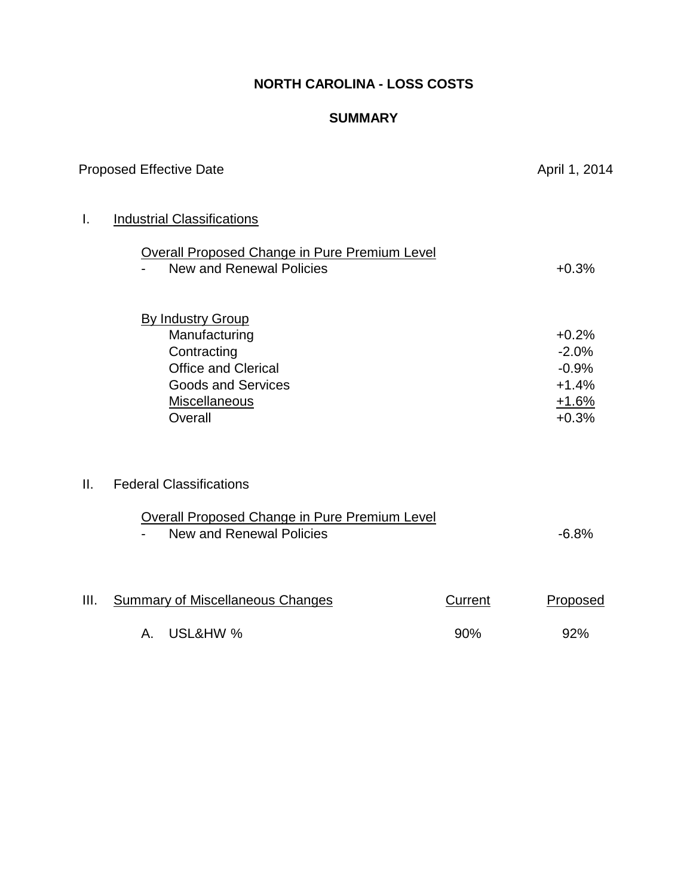## **NORTH CAROLINA - LOSS COSTS**

### **SUMMARY**

|      | <b>Proposed Effective Date</b>                                                                                                                         |                       | April 1, 2014                                                  |
|------|--------------------------------------------------------------------------------------------------------------------------------------------------------|-----------------------|----------------------------------------------------------------|
| Ι.   | <b>Industrial Classifications</b><br><b>Overall Proposed Change in Pure Premium Level</b><br><b>New and Renewal Policies</b>                           |                       | $+0.3%$                                                        |
|      | <b>By Industry Group</b><br>Manufacturing<br>Contracting<br><b>Office and Clerical</b><br><b>Goods and Services</b><br><b>Miscellaneous</b><br>Overall |                       | $+0.2%$<br>$-2.0%$<br>$-0.9%$<br>$+1.4%$<br>$+1.6%$<br>$+0.3%$ |
| II.  | <b>Federal Classifications</b><br><b>Overall Proposed Change in Pure Premium Level</b><br><b>New and Renewal Policies</b>                              |                       | $-6.8%$                                                        |
| III. | <b>Summary of Miscellaneous Changes</b><br>A. USL&HW %                                                                                                 | <b>Current</b><br>90% | Proposed<br>92%                                                |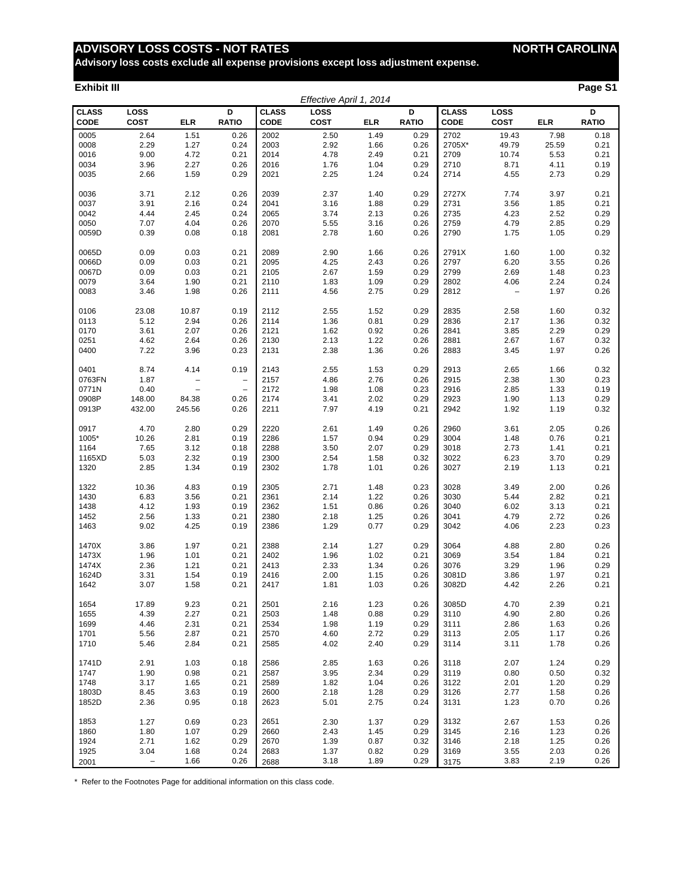**Advisory loss costs exclude all expense provisions except loss adjustment expense.**

#### **Exhibit III Page S1**

|                             |                     |                          |                          |                             | Effective April 1, 2014 |            |                   |                             |                   |            |                   |
|-----------------------------|---------------------|--------------------------|--------------------------|-----------------------------|-------------------------|------------|-------------------|-----------------------------|-------------------|------------|-------------------|
| <b>CLASS</b><br><b>CODE</b> | LOSS<br><b>COST</b> | <b>ELR</b>               | D<br><b>RATIO</b>        | <b>CLASS</b><br><b>CODE</b> | LOSS<br><b>COST</b>     | <b>ELR</b> | D<br><b>RATIO</b> | <b>CLASS</b><br><b>CODE</b> | LOSS<br>COST      | <b>ELR</b> | D<br><b>RATIO</b> |
| 0005                        | 2.64                | 1.51                     | 0.26                     | 2002                        | 2.50                    | 1.49       | 0.29              | 2702                        | 19.43             | 7.98       | 0.18              |
| 0008                        | 2.29                | 1.27                     | 0.24                     | 2003                        | 2.92                    | 1.66       | 0.26              | 2705X*                      | 49.79             | 25.59      | 0.21              |
| 0016                        | 9.00                | 4.72                     | 0.21                     | 2014                        | 4.78                    | 2.49       | 0.21              | 2709                        | 10.74             | 5.53       | 0.21              |
| 0034                        | 3.96                | 2.27                     | 0.26                     | 2016                        | 1.76                    | 1.04       | 0.29              | 2710                        | 8.71              | 4.11       | 0.19              |
| 0035                        | 2.66                | 1.59                     | 0.29                     | 2021                        | 2.25                    | 1.24       | 0.24              | 2714                        | 4.55              | 2.73       | 0.29              |
|                             |                     |                          |                          |                             |                         |            |                   |                             |                   |            |                   |
| 0036                        | 3.71                | 2.12                     | 0.26                     | 2039                        | 2.37                    | 1.40       | 0.29              | 2727X                       | 7.74              | 3.97       | 0.21              |
| 0037                        | 3.91                | 2.16                     | 0.24                     | 2041                        | 3.16                    | 1.88       | 0.29              | 2731                        | 3.56              | 1.85       | 0.21              |
| 0042                        | 4.44                | 2.45                     | 0.24                     | 2065                        | 3.74                    | 2.13       | 0.26              | 2735                        | 4.23              | 2.52       | 0.29              |
| 0050                        | 7.07                | 4.04                     | 0.26                     | 2070                        | 5.55                    | 3.16       | 0.26              | 2759                        | 4.79              | 2.85       | 0.29              |
| 0059D                       | 0.39                | 0.08                     | 0.18                     | 2081                        | 2.78                    | 1.60       | 0.26              | 2790                        | 1.75              | 1.05       | 0.29              |
| 0065D                       | 0.09                | 0.03                     | 0.21                     | 2089                        | 2.90                    | 1.66       | 0.26              | 2791X                       | 1.60              | 1.00       | 0.32              |
| 0066D                       | 0.09                | 0.03                     | 0.21                     | 2095                        | 4.25                    | 2.43       | 0.26              | 2797                        | 6.20              | 3.55       | 0.26              |
| 0067D                       | 0.09                | 0.03                     | 0.21                     | 2105                        | 2.67                    | 1.59       | 0.29              | 2799                        | 2.69              | 1.48       | 0.23              |
| 0079                        | 3.64                | 1.90                     | 0.21                     | 2110                        | 1.83                    | 1.09       | 0.29              | 2802                        | 4.06              | 2.24       | 0.24              |
| 0083                        | 3.46                | 1.98                     | 0.26                     | 2111                        | 4.56                    | 2.75       | 0.29              | 2812                        | $\qquad \qquad -$ | 1.97       | 0.26              |
|                             |                     |                          |                          |                             |                         |            |                   |                             |                   |            |                   |
| 0106                        | 23.08               | 10.87                    | 0.19                     | 2112                        | 2.55                    | 1.52       | 0.29              | 2835                        | 2.58              | 1.60       | 0.32              |
| 0113                        | 5.12                | 2.94                     | 0.26                     | 2114                        | 1.36                    | 0.81       | 0.29              | 2836                        | 2.17              | 1.36       | 0.32              |
| 0170                        | 3.61                | 2.07                     | 0.26                     | 2121                        | 1.62                    | 0.92       | 0.26              | 2841                        | 3.85              | 2.29       | 0.29              |
| 0251                        | 4.62                | 2.64                     | 0.26                     | 2130                        | 2.13                    | 1.22       | 0.26              | 2881                        | 2.67              | 1.67       | 0.32              |
| 0400                        | 7.22                | 3.96                     | 0.23                     | 2131                        | 2.38                    | 1.36       | 0.26              | 2883                        | 3.45              | 1.97       | 0.26              |
| 0401                        | 8.74                | 4.14                     | 0.19                     | 2143                        | 2.55                    | 1.53       | 0.29              | 2913                        | 2.65              | 1.66       | 0.32              |
| 0763FN                      | 1.87                | $\overline{\phantom{0}}$ | $\overline{\phantom{0}}$ | 2157                        | 4.86                    | 2.76       | 0.26              | 2915                        | 2.38              | 1.30       | 0.23              |
| 0771N                       | 0.40                | $\qquad \qquad -$        | $\overline{\phantom{0}}$ | 2172                        | 1.98                    | 1.08       | 0.23              | 2916                        | 2.85              | 1.33       | 0.19              |
| 0908P                       | 148.00              | 84.38                    | 0.26                     | 2174                        | 3.41                    | 2.02       | 0.29              | 2923                        | 1.90              | 1.13       | 0.29              |
| 0913P                       | 432.00              | 245.56                   | 0.26                     | 2211                        | 7.97                    | 4.19       | 0.21              | 2942                        | 1.92              | 1.19       | 0.32              |
| 0917                        | 4.70                | 2.80                     | 0.29                     | 2220                        | 2.61                    | 1.49       | 0.26              | 2960                        | 3.61              | 2.05       | 0.26              |
| 1005*                       | 10.26               | 2.81                     | 0.19                     | 2286                        | 1.57                    | 0.94       | 0.29              | 3004                        | 1.48              | 0.76       | 0.21              |
| 1164                        | 7.65                | 3.12                     | 0.18                     | 2288                        | 3.50                    | 2.07       | 0.29              | 3018                        | 2.73              | 1.41       | 0.21              |
| 1165XD                      | 5.03                | 2.32                     | 0.19                     | 2300                        | 2.54                    | 1.58       | 0.32              | 3022                        | 6.23              | 3.70       | 0.29              |
| 1320                        | 2.85                | 1.34                     | 0.19                     | 2302                        | 1.78                    | 1.01       | 0.26              | 3027                        | 2.19              | 1.13       | 0.21              |
|                             |                     |                          |                          |                             |                         |            |                   |                             |                   |            |                   |
| 1322                        | 10.36               | 4.83                     | 0.19                     | 2305                        | 2.71                    | 1.48       | 0.23              | 3028                        | 3.49              | 2.00       | 0.26              |
| 1430                        | 6.83                | 3.56                     | 0.21                     | 2361                        | 2.14                    | 1.22       | 0.26              | 3030                        | 5.44              | 2.82       | 0.21              |
| 1438                        | 4.12                | 1.93                     | 0.19                     | 2362                        | 1.51                    | 0.86       | 0.26              | 3040                        | 6.02              | 3.13       | 0.21              |
| 1452                        | 2.56                | 1.33                     | 0.21                     | 2380                        | 2.18                    | 1.25       | 0.26              | 3041                        | 4.79              | 2.72       | 0.26              |
| 1463                        | 9.02                | 4.25                     | 0.19                     | 2386                        | 1.29                    | 0.77       | 0.29              | 3042                        | 4.06              | 2.23       | 0.23              |
| 1470X                       | 3.86                | 1.97                     | 0.21                     | 2388                        | 2.14                    | 1.27       | 0.29              | 3064                        | 4.88              | 2.80       | 0.26              |
| 1473X                       | 1.96                | 1.01                     | 0.21                     | 2402                        | 1.96                    | 1.02       | 0.21              | 3069                        | 3.54              | 1.84       | 0.21              |
| 1474X                       | 2.36                | 1.21                     | 0.21                     | 2413                        | 2.33                    | 1.34       | 0.26              | 3076                        | 3.29              | 1.96       | 0.29              |
| 1624D                       | 3.31                | 1.54                     | 0.19                     | 2416                        | 2.00                    | 1.15       | 0.26              | 3081D                       | 3.86              | 1.97       | 0.21              |
| 1642                        | 3.07                | 1.58                     | 0.21                     | 2417                        | 1.81                    | 1.03       | 0.26              | 3082D                       | 4.42              | 2.26       | 0.21              |
|                             |                     |                          |                          |                             |                         |            |                   |                             |                   |            |                   |
| 1654                        | 17.89               | 9.23                     | 0.21                     | 2501                        | 2.16                    | 1.23       | 0.26              | 3085D                       | 4.70              | 2.39       | 0.21              |
| 1655                        | 4.39                | 2.27                     | 0.21                     | 2503                        | 1.48                    | 0.88       | 0.29              | 3110                        | 4.90              | 2.80       | 0.26              |
| 1699                        | 4.46                | 2.31                     | 0.21                     | 2534                        | 1.98                    | 1.19       | 0.29              | 3111                        | 2.86              | 1.63       | 0.26              |
| 1701                        | 5.56                | 2.87                     | 0.21                     | 2570                        | 4.60                    | 2.72       | 0.29              | 3113                        | 2.05              | 1.17       | 0.26              |
| 1710                        | 5.46                | 2.84                     | 0.21                     | 2585                        | 4.02                    | 2.40       | 0.29              | 3114                        | 3.11              | 1.78       | 0.26              |
| 1741D                       | 2.91                | 1.03                     | 0.18                     | 2586                        | 2.85                    | 1.63       | 0.26              | 3118                        | 2.07              | 1.24       | 0.29              |
| 1747                        | 1.90                | 0.98                     | 0.21                     | 2587                        | 3.95                    | 2.34       | 0.29              | 3119                        | 0.80              | 0.50       | 0.32              |
| 1748                        | 3.17                | 1.65                     | 0.21                     | 2589                        | 1.82                    | 1.04       | 0.26              | 3122                        | 2.01              | 1.20       | 0.29              |
| 1803D                       | 8.45                | 3.63                     | 0.19                     | 2600                        | 2.18                    | 1.28       | 0.29              | 3126                        | 2.77              | 1.58       | 0.26              |
| 1852D                       | 2.36                | 0.95                     | 0.18                     | 2623                        | 5.01                    | 2.75       | 0.24              | 3131                        | 1.23              | 0.70       | 0.26              |
| 1853                        | 1.27                | 0.69                     | 0.23                     | 2651                        | 2.30                    | 1.37       | 0.29              | 3132                        | 2.67              | 1.53       | 0.26              |
| 1860                        | 1.80                | 1.07                     | 0.29                     | 2660                        | 2.43                    | 1.45       | 0.29              | 3145                        | 2.16              | 1.23       | 0.26              |
| 1924                        | 2.71                | 1.62                     | 0.29                     | 2670                        | 1.39                    | 0.87       | 0.32              | 3146                        | 2.18              | 1.25       | 0.26              |
| 1925                        | 3.04                | 1.68                     | 0.24                     | 2683                        | 1.37                    | 0.82       | 0.29              | 3169                        | 3.55              | 2.03       | 0.26              |
| 2001                        | $\qquad \qquad -$   | 1.66                     | 0.26                     | 2688                        | 3.18                    | 1.89       | 0.29              | 3175                        | 3.83              | 2.19       | 0.26              |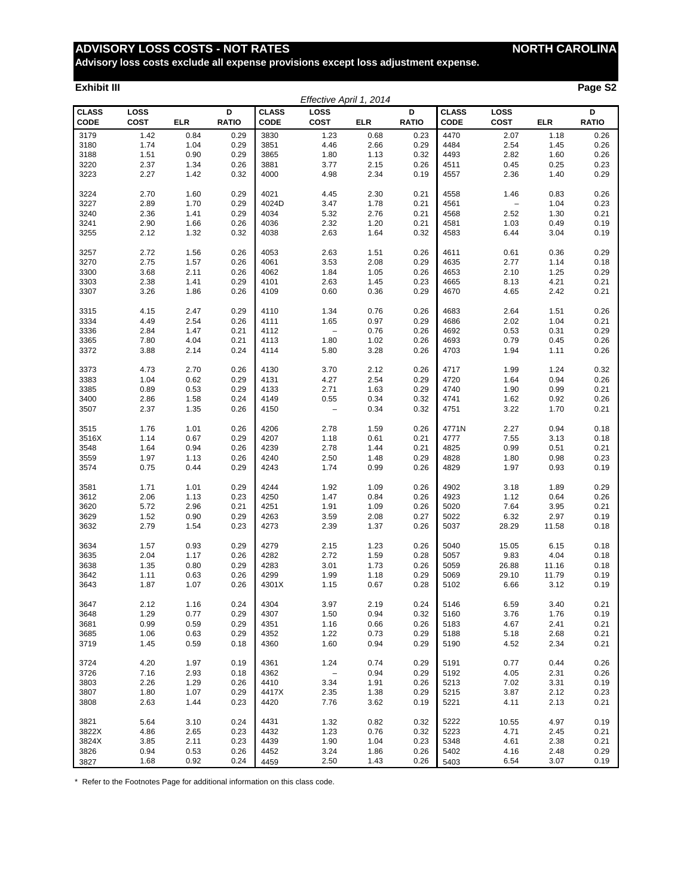**Advisory loss costs exclude all expense provisions except loss adjustment expense.**

#### **Exhibit III Page S2**

|                             |              |            |                   |                             | Effective April 1, 2014  |            |                   |                      |                     |            |                   |
|-----------------------------|--------------|------------|-------------------|-----------------------------|--------------------------|------------|-------------------|----------------------|---------------------|------------|-------------------|
| <b>CLASS</b><br><b>CODE</b> | LOSS<br>COST | <b>ELR</b> | D<br><b>RATIO</b> | <b>CLASS</b><br><b>CODE</b> | LOSS<br>COST             | <b>ELR</b> | D<br><b>RATIO</b> | <b>CLASS</b><br>CODE | LOSS<br><b>COST</b> | <b>ELR</b> | D<br><b>RATIO</b> |
| 3179                        | 1.42         | 0.84       | 0.29              | 3830                        | 1.23                     | 0.68       | 0.23              | 4470                 | 2.07                | 1.18       | 0.26              |
| 3180                        | 1.74         | 1.04       | 0.29              | 3851                        | 4.46                     | 2.66       | 0.29              | 4484                 | 2.54                | 1.45       | 0.26              |
| 3188                        | 1.51         | 0.90       | 0.29              | 3865                        | 1.80                     | 1.13       | 0.32              | 4493                 | 2.82                | 1.60       | 0.26              |
| 3220                        | 2.37         | 1.34       | 0.26              | 3881                        | 3.77                     | 2.15       | 0.26              | 4511                 | 0.45                | 0.25       | 0.23              |
| 3223                        | 2.27         | 1.42       | 0.32              | 4000                        | 4.98                     | 2.34       | 0.19              | 4557                 | 2.36                | 1.40       | 0.29              |
|                             |              |            |                   |                             |                          |            |                   |                      |                     |            |                   |
| 3224                        | 2.70         | 1.60       | 0.29              | 4021                        | 4.45                     | 2.30       | 0.21              | 4558                 | 1.46                | 0.83       | 0.26              |
| 3227                        | 2.89         | 1.70       | 0.29              | 4024D                       | 3.47                     | 1.78       | 0.21              | 4561                 | $\qquad \qquad -$   | 1.04       | 0.23              |
| 3240                        | 2.36         | 1.41       | 0.29              | 4034                        | 5.32                     | 2.76       | 0.21              | 4568                 | 2.52                | 1.30       | 0.21              |
| 3241                        | 2.90         | 1.66       | 0.26              | 4036                        | 2.32                     | 1.20       | 0.21              | 4581                 | 1.03                | 0.49       | 0.19              |
| 3255                        | 2.12         | 1.32       | 0.32              | 4038                        | 2.63                     | 1.64       | 0.32              | 4583                 | 6.44                | 3.04       | 0.19              |
|                             |              |            |                   |                             |                          |            |                   |                      |                     |            |                   |
| 3257                        | 2.72         | 1.56       | 0.26              | 4053                        | 2.63                     | 1.51       | 0.26              | 4611                 | 0.61                | 0.36       | 0.29              |
| 3270                        | 2.75         | 1.57       | 0.26              | 4061                        | 3.53                     | 2.08       | 0.29              | 4635                 | 2.77                | 1.14       | 0.18              |
|                             |              |            |                   | 4062                        |                          |            |                   |                      |                     |            |                   |
| 3300                        | 3.68         | 2.11       | 0.26              |                             | 1.84                     | 1.05       | 0.26              | 4653                 | 2.10                | 1.25       | 0.29              |
| 3303                        | 2.38         | 1.41       | 0.29              | 4101                        | 2.63                     | 1.45       | 0.23              | 4665                 | 8.13                | 4.21       | 0.21              |
| 3307                        | 3.26         | 1.86       | 0.26              | 4109                        | 0.60                     | 0.36       | 0.29              | 4670                 | 4.65                | 2.42       | 0.21              |
| 3315                        | 4.15         | 2.47       | 0.29              | 4110                        | 1.34                     | 0.76       | 0.26              | 4683                 | 2.64                | 1.51       | 0.26              |
| 3334                        | 4.49         | 2.54       | 0.26              | 4111                        | 1.65                     | 0.97       | 0.29              | 4686                 | 2.02                | 1.04       | 0.21              |
| 3336                        | 2.84         |            |                   | 4112                        |                          | 0.76       |                   |                      | 0.53                | 0.31       | 0.29              |
|                             |              | 1.47       | 0.21              |                             | $\overline{\phantom{a}}$ |            | 0.26              | 4692                 |                     |            |                   |
| 3365                        | 7.80         | 4.04       | 0.21              | 4113                        | 1.80                     | 1.02       | 0.26              | 4693                 | 0.79                | 0.45       | 0.26              |
| 3372                        | 3.88         | 2.14       | 0.24              | 4114                        | 5.80                     | 3.28       | 0.26              | 4703                 | 1.94                | 1.11       | 0.26              |
| 3373                        | 4.73         | 2.70       | 0.26              | 4130                        | 3.70                     | 2.12       | 0.26              | 4717                 | 1.99                | 1.24       | 0.32              |
| 3383                        | 1.04         | 0.62       | 0.29              | 4131                        | 4.27                     | 2.54       | 0.29              | 4720                 | 1.64                | 0.94       | 0.26              |
| 3385                        | 0.89         | 0.53       | 0.29              | 4133                        | 2.71                     | 1.63       | 0.29              | 4740                 | 1.90                | 0.99       | 0.21              |
|                             |              |            |                   |                             |                          |            |                   |                      |                     |            |                   |
| 3400                        | 2.86         | 1.58       | 0.24              | 4149                        | 0.55                     | 0.34       | 0.32              | 4741                 | 1.62                | 0.92       | 0.26              |
| 3507                        | 2.37         | 1.35       | 0.26              | 4150                        | $\overline{\phantom{a}}$ | 0.34       | 0.32              | 4751                 | 3.22                | 1.70       | 0.21              |
| 3515                        | 1.76         | 1.01       | 0.26              | 4206                        | 2.78                     | 1.59       | 0.26              | 4771N                | 2.27                | 0.94       | 0.18              |
| 3516X                       | 1.14         | 0.67       | 0.29              | 4207                        | 1.18                     | 0.61       | 0.21              | 4777                 | 7.55                | 3.13       | 0.18              |
|                             |              |            |                   |                             |                          |            |                   |                      |                     |            |                   |
| 3548                        | 1.64         | 0.94       | 0.26              | 4239                        | 2.78                     | 1.44       | 0.21              | 4825                 | 0.99                | 0.51       | 0.21              |
| 3559                        | 1.97         | 1.13       | 0.26              | 4240                        | 2.50                     | 1.48       | 0.29              | 4828                 | 1.80                | 0.98       | 0.23              |
| 3574                        | 0.75         | 0.44       | 0.29              | 4243                        | 1.74                     | 0.99       | 0.26              | 4829                 | 1.97                | 0.93       | 0.19              |
| 3581                        | 1.71         | 1.01       | 0.29              | 4244                        | 1.92                     | 1.09       | 0.26              | 4902                 | 3.18                | 1.89       | 0.29              |
| 3612                        | 2.06         | 1.13       | 0.23              | 4250                        | 1.47                     | 0.84       | 0.26              | 4923                 | 1.12                | 0.64       | 0.26              |
| 3620                        | 5.72         | 2.96       |                   |                             | 1.91                     | 1.09       |                   | 5020                 | 7.64                | 3.95       | 0.21              |
|                             |              |            | 0.21              | 4251                        |                          |            | 0.26              |                      |                     |            |                   |
| 3629                        | 1.52         | 0.90       | 0.29              | 4263                        | 3.59                     | 2.08       | 0.27              | 5022                 | 6.32                | 2.97       | 0.19              |
| 3632                        | 2.79         | 1.54       | 0.23              | 4273                        | 2.39                     | 1.37       | 0.26              | 5037                 | 28.29               | 11.58      | 0.18              |
| 3634                        | 1.57         | 0.93       | 0.29              | 4279                        | 2.15                     | 1.23       | 0.26              | 5040                 | 15.05               | 6.15       | 0.18              |
| 3635                        | 2.04         | 1.17       | 0.26              | 4282                        | 2.72                     | 1.59       | 0.28              | 5057                 | 9.83                | 4.04       | 0.18              |
| 3638                        | 1.35         | 0.80       | 0.29              | 4283                        | 3.01                     | 1.73       | 0.26              | 5059                 | 26.88               | 11.16      | 0.18              |
| 3642                        | 1.11         | 0.63       | 0.26              | 4299                        | 1.99                     | 1.18       | 0.29              | 5069                 | 29.10               | 11.79      | 0.19              |
| 3643                        | 1.87         | 1.07       | 0.26              | 4301X                       | 1.15                     | 0.67       | 0.28              | 5102                 | 6.66                | 3.12       | 0.19              |
|                             |              |            |                   |                             |                          |            |                   |                      |                     |            |                   |
| 3647                        | 2.12         | 1.16       | 0.24              | 4304                        | 3.97                     | 2.19       | 0.24              | 5146                 | 6.59                | 3.40       | 0.21              |
| 3648                        | 1.29         | 0.77       | 0.29              | 4307                        | 1.50                     | 0.94       | 0.32              | 5160                 | 3.76                | 1.76       | 0.19              |
| 3681                        | 0.99         | 0.59       | 0.29              | 4351                        | 1.16                     | 0.66       | 0.26              | 5183                 | 4.67                | 2.41       | 0.21              |
| 3685                        | 1.06         | 0.63       | 0.29              | 4352                        | 1.22                     | 0.73       | 0.29              | 5188                 | 5.18                | 2.68       | 0.21              |
| 3719                        | 1.45         | 0.59       | 0.18              | 4360                        | 1.60                     | 0.94       | 0.29              | 5190                 | 4.52                | 2.34       | 0.21              |
|                             |              |            |                   |                             |                          |            |                   |                      |                     |            |                   |
| 3724                        | 4.20         | 1.97       | 0.19              | 4361                        | 1.24                     | 0.74       | 0.29              | 5191                 | 0.77                | 0.44       | 0.26              |
| 3726                        | 7.16         | 2.93       | 0.18              | 4362                        | $\overline{\phantom{a}}$ | 0.94       | 0.29              | 5192                 | 4.05                | 2.31       | 0.26              |
| 3803                        | 2.26         | 1.29       | 0.26              | 4410                        | 3.34                     | 1.91       | 0.26              | 5213                 | 7.02                | 3.31       | 0.19              |
| 3807                        | 1.80         | 1.07       | 0.29              | 4417X                       | 2.35                     | 1.38       | 0.29              | 5215                 | 3.87                | 2.12       | 0.23              |
| 3808                        | 2.63         | 1.44       | 0.23              | 4420                        | 7.76                     | 3.62       | 0.19              | 5221                 | 4.11                | 2.13       | 0.21              |
|                             |              |            |                   |                             |                          |            |                   |                      |                     |            |                   |
| 3821                        | 5.64         | 3.10       | 0.24              | 4431                        | 1.32                     | 0.82       | 0.32              | 5222                 | 10.55               | 4.97       | 0.19              |
| 3822X                       | 4.86         | 2.65       | 0.23              | 4432                        | 1.23                     | 0.76       | 0.32              | 5223                 | 4.71                | 2.45       | 0.21              |
| 3824X                       | 3.85         | 2.11       | 0.23              | 4439                        | 1.90                     | 1.04       | 0.23              | 5348                 | 4.61                | 2.38       | 0.21              |
| 3826                        | 0.94         | 0.53       | 0.26              | 4452                        | 3.24                     | 1.86       | 0.26              | 5402                 | 4.16                | 2.48       | 0.29              |
| 3827                        | 1.68         | 0.92       | 0.24              | 4459                        | 2.50                     | 1.43       | 0.26              | 5403                 | 6.54                | 3.07       | 0.19              |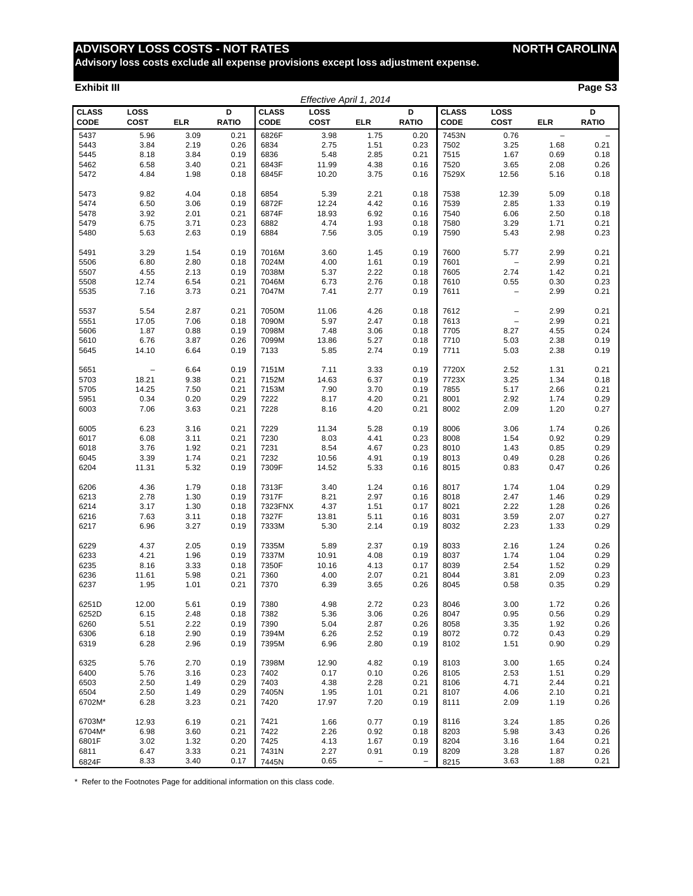**Advisory loss costs exclude all expense provisions except loss adjustment expense.**

#### **Exhibit III Page S3**

|                             |                     |            |                   |                             |                     | Effective April 1, 2014 |                          |                             |                          |                          |                          |
|-----------------------------|---------------------|------------|-------------------|-----------------------------|---------------------|-------------------------|--------------------------|-----------------------------|--------------------------|--------------------------|--------------------------|
| <b>CLASS</b><br><b>CODE</b> | LOSS<br><b>COST</b> | <b>ELR</b> | D<br><b>RATIO</b> | <b>CLASS</b><br><b>CODE</b> | LOSS<br><b>COST</b> | <b>ELR</b>              | D<br><b>RATIO</b>        | <b>CLASS</b><br><b>CODE</b> | LOSS<br><b>COST</b>      | <b>ELR</b>               | D<br><b>RATIO</b>        |
| 5437                        | 5.96                | 3.09       | 0.21              | 6826F                       | 3.98                | 1.75                    | 0.20                     | 7453N                       | 0.76                     | $\overline{\phantom{0}}$ | $\overline{\phantom{0}}$ |
| 5443                        | 3.84                | 2.19       | 0.26              | 6834                        | 2.75                | 1.51                    | 0.23                     | 7502                        | 3.25                     | 1.68                     | 0.21                     |
| 5445                        | 8.18                | 3.84       | 0.19              | 6836                        | 5.48                | 2.85                    | 0.21                     | 7515                        | 1.67                     | 0.69                     | 0.18                     |
| 5462                        | 6.58                | 3.40       | 0.21              | 6843F                       | 11.99               | 4.38                    | 0.16                     | 7520                        | 3.65                     | 2.08                     | 0.26                     |
| 5472                        | 4.84                | 1.98       | 0.18              | 6845F                       | 10.20               | 3.75                    | 0.16                     | 7529X                       | 12.56                    | 5.16                     | 0.18                     |
|                             |                     |            |                   |                             |                     |                         |                          |                             |                          |                          |                          |
| 5473                        | 9.82                | 4.04       | 0.18              | 6854                        | 5.39                | 2.21                    | 0.18                     | 7538                        | 12.39                    | 5.09                     | 0.18                     |
| 5474                        | 6.50                | 3.06       | 0.19              | 6872F                       | 12.24               | 4.42                    | 0.16                     | 7539                        | 2.85                     | 1.33                     | 0.19                     |
| 5478                        | 3.92                | 2.01       | 0.21              | 6874F                       | 18.93               | 6.92                    | 0.16                     | 7540                        | 6.06                     | 2.50                     | 0.18                     |
| 5479                        | 6.75                | 3.71       | 0.23              | 6882                        | 4.74                | 1.93                    | 0.18                     | 7580                        | 3.29                     | 1.71                     | 0.21                     |
| 5480                        | 5.63                | 2.63       | 0.19              | 6884                        | 7.56                | 3.05                    | 0.19                     | 7590                        | 5.43                     | 2.98                     | 0.23                     |
|                             |                     |            |                   |                             |                     |                         |                          |                             |                          |                          |                          |
| 5491                        | 3.29                | 1.54       | 0.19              | 7016M                       | 3.60                | 1.45                    | 0.19                     | 7600                        | 5.77                     | 2.99                     | 0.21                     |
| 5506                        | 6.80                | 2.80       | 0.18              | 7024M                       | 4.00                | 1.61                    | 0.19                     | 7601                        | $\qquad \qquad -$        | 2.99                     | 0.21                     |
| 5507                        | 4.55                | 2.13       | 0.19              | 7038M                       | 5.37                | 2.22                    | 0.18                     | 7605                        | 2.74                     | 1.42                     | 0.21                     |
| 5508                        | 12.74               | 6.54       | 0.21              | 7046M                       | 6.73                | 2.76                    | 0.18                     | 7610                        | 0.55                     | 0.30                     | 0.23                     |
| 5535                        | 7.16                | 3.73       | 0.21              | 7047M                       | 7.41                | 2.77                    | 0.19                     | 7611                        | $\overline{\phantom{0}}$ | 2.99                     | 0.21                     |
|                             |                     |            |                   |                             |                     |                         |                          |                             |                          |                          |                          |
| 5537                        | 5.54                | 2.87       | 0.21              | 7050M                       | 11.06               | 4.26                    | 0.18                     | 7612                        | -                        | 2.99                     | 0.21                     |
| 5551                        | 17.05               | 7.06       | 0.18              | 7090M                       | 5.97                | 2.47                    | 0.18                     | 7613                        | $\bar{ }$                | 2.99                     | 0.21                     |
| 5606                        | 1.87                | 0.88       | 0.19              | 7098M                       | 7.48                | 3.06                    | 0.18                     | 7705                        | 8.27                     | 4.55                     | 0.24                     |
| 5610                        | 6.76                | 3.87       | 0.26              | 7099M                       | 13.86               | 5.27                    | 0.18                     | 7710                        | 5.03                     | 2.38                     | 0.19                     |
| 5645                        | 14.10               | 6.64       | 0.19              | 7133                        | 5.85                | 2.74                    | 0.19                     | 7711                        | 5.03                     | 2.38                     | 0.19                     |
|                             |                     |            |                   |                             |                     |                         |                          |                             |                          |                          |                          |
| 5651                        | $\qquad \qquad -$   | 6.64       | 0.19              | 7151M                       | 7.11                | 3.33                    | 0.19                     | 7720X                       | 2.52                     | 1.31                     | 0.21                     |
| 5703                        | 18.21               | 9.38       | 0.21              | 7152M                       | 14.63               | 6.37                    | 0.19                     | 7723X                       | 3.25                     | 1.34                     | 0.18                     |
| 5705                        | 14.25               | 7.50       | 0.21              | 7153M                       | 7.90                | 3.70                    | 0.19                     | 7855                        | 5.17                     | 2.66                     | 0.21                     |
|                             |                     |            |                   | 7222                        |                     |                         |                          |                             |                          |                          |                          |
| 5951                        | 0.34                | 0.20       | 0.29              |                             | 8.17                | 4.20                    | 0.21                     | 8001                        | 2.92                     | 1.74                     | 0.29                     |
| 6003                        | 7.06                | 3.63       | 0.21              | 7228                        | 8.16                | 4.20                    | 0.21                     | 8002                        | 2.09                     | 1.20                     | 0.27                     |
| 6005                        | 6.23                | 3.16       | 0.21              | 7229                        | 11.34               | 5.28                    | 0.19                     | 8006                        | 3.06                     | 1.74                     | 0.26                     |
| 6017                        | 6.08                | 3.11       | 0.21              | 7230                        | 8.03                | 4.41                    | 0.23                     | 8008                        | 1.54                     | 0.92                     | 0.29                     |
|                             |                     |            |                   |                             |                     |                         |                          |                             |                          |                          |                          |
| 6018                        | 3.76                | 1.92       | 0.21              | 7231                        | 8.54                | 4.67                    | 0.23                     | 8010                        | 1.43                     | 0.85                     | 0.29                     |
| 6045                        | 3.39                | 1.74       | 0.21              | 7232                        | 10.56               | 4.91                    | 0.19                     | 8013                        | 0.49                     | 0.28                     | 0.26                     |
| 6204                        | 11.31               | 5.32       | 0.19              | 7309F                       | 14.52               | 5.33                    | 0.16                     | 8015                        | 0.83                     | 0.47                     | 0.26                     |
| 6206                        | 4.36                | 1.79       | 0.18              | 7313F                       | 3.40                | 1.24                    | 0.16                     | 8017                        | 1.74                     | 1.04                     | 0.29                     |
| 6213                        | 2.78                | 1.30       |                   | 7317F                       | 8.21                | 2.97                    | 0.16                     |                             | 2.47                     | 1.46                     | 0.29                     |
|                             |                     |            | 0.19              |                             |                     |                         |                          | 8018<br>8021                |                          |                          |                          |
| 6214                        | 3.17                | 1.30       | 0.18              | 7323FNX                     | 4.37                | 1.51                    | 0.17                     |                             | 2.22                     | 1.28                     | 0.26                     |
| 6216                        | 7.63                | 3.11       | 0.18              | 7327F                       | 13.81               | 5.11                    | 0.16                     | 8031                        | 3.59                     | 2.07                     | 0.27                     |
| 6217                        | 6.96                | 3.27       | 0.19              | 7333M                       | 5.30                | 2.14                    | 0.19                     | 8032                        | 2.23                     | 1.33                     | 0.29                     |
|                             | 4.37                |            |                   |                             | 5.89                | 2.37                    |                          |                             |                          |                          |                          |
| 6229                        |                     | 2.05       | 0.19              | 7335M<br>7337M              |                     |                         | 0.19                     | 8033                        | 2.16                     | 1.24                     | 0.26                     |
| 6233                        | 4.21                | 1.96       | 0.19              | 7350F                       | 10.91               | 4.08                    | 0.19                     | 8037                        | 1.74                     | 1.04                     | 0.29                     |
| 6235                        | 8.16                | 3.33       | 0.18              |                             | 10.16               | 4.13                    | 0.17                     | 8039                        | 2.54                     | 1.52                     | 0.29                     |
| 6236                        | 11.61               | 5.98       | 0.21              | 7360                        | 4.00                | 2.07                    | 0.21                     | 8044                        | 3.81                     | 2.09                     | 0.23                     |
| 6237                        | 1.95                | 1.01       | 0.21              | 7370                        | 6.39                | 3.65                    | 0.26                     | 8045                        | 0.58                     | 0.35                     | 0.29                     |
| 6251D                       |                     | 5.61       | 0.19              | 7380                        | 4.98                |                         | 0.23                     | 8046                        | 3.00                     | 1.72                     | 0.26                     |
|                             | 12.00               |            |                   |                             |                     | 2.72                    |                          |                             |                          |                          |                          |
| 6252D                       | 6.15                | 2.48       | 0.18              | 7382                        | 5.36                | 3.06                    | 0.26                     | 8047                        | 0.95                     | 0.56                     | 0.29                     |
| 6260                        | 5.51                | 2.22       | 0.19              | 7390                        | 5.04                | 2.87                    | 0.26                     | 8058                        | 3.35                     | 1.92                     | 0.26                     |
| 6306                        | 6.18                | 2.90       | 0.19              | 7394M                       | 6.26                | 2.52                    | 0.19                     | 8072                        | 0.72                     | 0.43                     | 0.29                     |
| 6319                        | 6.28                | 2.96       | 0.19              | 7395M                       | 6.96                | 2.80                    | 0.19                     | 8102                        | 1.51                     | 0.90                     | 0.29                     |
|                             |                     |            |                   |                             |                     |                         |                          |                             |                          |                          |                          |
| 6325                        | 5.76                | 2.70       | 0.19              | 7398M                       | 12.90               | 4.82                    | 0.19                     | 8103                        | 3.00                     | 1.65                     | 0.24                     |
| 6400                        | 5.76                | 3.16       | 0.23              | 7402                        | 0.17                | 0.10                    | 0.26                     | 8105                        | 2.53                     | 1.51                     | 0.29                     |
| 6503                        | 2.50                | 1.49       | 0.29              | 7403                        | 4.38                | 2.28                    | 0.21                     | 8106                        | 4.71                     | 2.44                     | 0.21                     |
| 6504                        | 2.50                | 1.49       | 0.29              | 7405N                       | 1.95                | 1.01                    | 0.21                     | 8107                        | 4.06                     | 2.10                     | 0.21                     |
| 6702M*                      | 6.28                | 3.23       | 0.21              | 7420                        | 17.97               | 7.20                    | 0.19                     | 8111                        | 2.09                     | 1.19                     | 0.26                     |
|                             |                     |            |                   |                             |                     |                         |                          |                             |                          |                          |                          |
| 6703M*                      | 12.93               | 6.19       | 0.21              | 7421                        | 1.66                | 0.77                    | 0.19                     | 8116                        | 3.24                     | 1.85                     | 0.26                     |
| 6704M*                      | 6.98                | 3.60       | 0.21              | 7422                        | 2.26                | 0.92                    | 0.18                     | 8203                        | 5.98                     | 3.43                     | 0.26                     |
| 6801F                       | 3.02                | 1.32       | 0.20              | 7425                        | 4.13                | 1.67                    | 0.19                     | 8204                        | 3.16                     | 1.64                     | 0.21                     |
| 6811                        | 6.47                | 3.33       | 0.21              | 7431N                       | 2.27                | 0.91                    | 0.19                     | 8209                        | 3.28                     | 1.87                     | 0.26                     |
| 6824F                       | 8.33                | 3.40       | 0.17              | 7445N                       | 0.65                | $\qquad \qquad -$       | $\overline{\phantom{a}}$ | 8215                        | 3.63                     | 1.88                     | 0.21                     |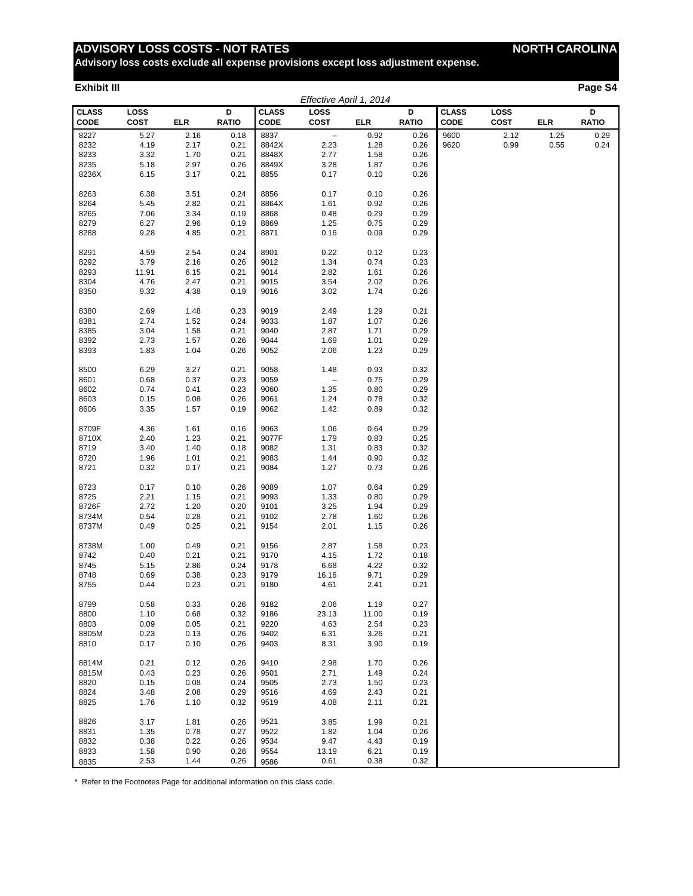**Advisory loss costs exclude all expense provisions except loss adjustment expense.**

#### **Exhibit III Page S4**

| D<br><b>CLASS</b><br><b>CLASS</b><br>D<br><b>CLASS</b><br>LOSS<br><b>LOSS</b><br>D<br>LOSS<br><b>COST</b><br><b>RATIO</b><br><b>CODE</b><br><b>COST</b><br><b>RATIO</b><br><b>CODE</b><br><b>RATIO</b><br><b>CODE</b><br><b>COST</b><br>ELR<br><b>ELR</b><br><b>ELR</b><br>8227<br>2.16<br>0.18<br>8837<br>$\overline{\phantom{a}}$<br>0.92<br>2.12<br>1.25<br>0.29<br>5.27<br>0.26<br>9600<br>8232<br>4.19<br>8842X<br>2.23<br>1.28<br>0.99<br>0.55<br>0.24<br>2.17<br>0.21<br>0.26<br>9620<br>1.70<br>8848X<br>2.77<br>1.58<br>0.26<br>8233<br>3.32<br>0.21<br>2.97<br>1.87<br>0.26<br>8235<br>5.18<br>0.26<br>8849X<br>3.28<br>8236X<br>6.15<br>3.17<br>0.21<br>8855<br>0.17<br>0.10<br>0.26<br>0.10<br>8263<br>6.38<br>3.51<br>0.24<br>8856<br>0.17<br>0.26<br>2.82<br>0.92<br>8264<br>5.45<br>0.21<br>8864X<br>1.61<br>0.26<br>8265<br>7.06<br>3.34<br>0.19<br>8868<br>0.48<br>0.29<br>0.29<br>8279<br>6.27<br>2.96<br>0.19<br>1.25<br>0.75<br>0.29<br>8869<br>0.09<br>8288<br>9.28<br>4.85<br>0.21<br>8871<br>0.16<br>0.29<br>8291<br>4.59<br>2.54<br>0.24<br>8901<br>0.22<br>0.12<br>0.23<br>8292<br>3.79<br>2.16<br>0.26<br>9012<br>1.34<br>0.74<br>0.23<br>2.82<br>0.26<br>8293<br>11.91<br>6.15<br>0.21<br>9014<br>1.61<br>8304<br>4.76<br>2.47<br>0.21<br>9015<br>3.54<br>2.02<br>0.26<br>8350<br>9.32<br>4.38<br>0.19<br>9016<br>3.02<br>1.74<br>0.26<br>9019<br>1.29<br>0.21<br>8380<br>2.69<br>1.48<br>0.23<br>2.49<br>2.74<br>1.52<br>1.07<br>8381<br>0.24<br>9033<br>1.87<br>0.26<br>8385<br>3.04<br>1.58<br>0.21<br>9040<br>2.87<br>1.71<br>0.29<br>1.01<br>0.29<br>8392<br>2.73<br>1.57<br>0.26<br>9044<br>1.69<br>8393<br>1.83<br>1.04<br>0.26<br>9052<br>2.06<br>1.23<br>0.29<br>8500<br>6.29<br>3.27<br>0.21<br>9058<br>1.48<br>0.93<br>0.32<br>0.68<br>0.37<br>0.23<br>9059<br>0.75<br>0.29<br>8601<br>$\overline{\phantom{m}}$<br>0.80<br>8602<br>0.74<br>0.41<br>0.23<br>1.35<br>0.29<br>9060<br>0.15<br>0.08<br>0.78<br>0.32<br>8603<br>0.26<br>9061<br>1.24<br>8606<br>3.35<br>1.57<br>0.19<br>9062<br>1.42<br>0.89<br>0.32<br>9063<br>0.64<br>0.29<br>8709F<br>4.36<br>1.61<br>0.16<br>1.06<br>8710X<br>2.40<br>1.23<br>0.21<br>9077F<br>1.79<br>0.83<br>0.25<br>8719<br>3.40<br>1.40<br>0.18<br>9082<br>1.31<br>0.83<br>0.32<br>8720<br>1.96<br>1.01<br>0.21<br>9083<br>1.44<br>0.90<br>0.32<br>0.32<br>0.17<br>1.27<br>0.73<br>0.26<br>8721<br>0.21<br>9084<br>9089<br>0.64<br>8723<br>0.17<br>0.10<br>0.26<br>1.07<br>0.29<br>2.21<br>1.15<br>1.33<br>0.80<br>0.29<br>8725<br>0.21<br>9093<br>8726F<br>2.72<br>1.20<br>0.20<br>9101<br>3.25<br>1.94<br>0.29<br>0.28<br>0.21<br>2.78<br>1.60<br>0.26<br>8734M<br>0.54<br>9102<br>8737M<br>0.49<br>0.25<br>0.21<br>9154<br>2.01<br>1.15<br>0.26<br>8738M<br>1.00<br>0.49<br>0.21<br>9156<br>2.87<br>1.58<br>0.23<br>1.72<br>8742<br>0.40<br>0.21<br>0.21<br>9170<br>4.15<br>0.18<br>4.22<br>8745<br>5.15<br>2.86<br>0.24<br>9178<br>6.68<br>0.32<br>8748<br>0.69<br>0.38<br>0.23<br>9179<br>16.16<br>9.71<br>0.29<br>0.44<br>0.23<br>0.21<br>9180<br>4.61<br>2.41<br>0.21<br>8755<br>8799<br>0.33<br>0.26<br>9182<br>2.06<br>0.27<br>0.58<br>1.19<br>9186<br>0.19<br>8800<br>1.10<br>0.68<br>0.32<br>23.13<br>11.00<br>8803<br>0.09<br>0.05<br>0.21<br>9220<br>4.63<br>2.54<br>0.23<br>3.26<br>8805M<br>0.23<br>0.13<br>0.26<br>9402<br>6.31<br>0.21<br>8810<br>0.17<br>0.10<br>0.26<br>9403<br>3.90<br>8.31<br>0.19<br>0.26<br>2.98<br>8814M<br>0.21<br>0.12<br>9410<br>1.70<br>0.26<br>8815M<br>0.43<br>0.23<br>0.26<br>2.71<br>1.49<br>0.24<br>9501<br>0.08<br>2.73<br>8820<br>0.15<br>0.24<br>9505<br>1.50<br>0.23<br>3.48<br>2.08<br>0.29<br>4.69<br>2.43<br>0.21<br>8824<br>9516<br>8825<br>1.76<br>1.10<br>0.32<br>9519<br>4.08<br>2.11<br>0.21<br>1.81<br>0.26<br>3.85<br>1.99<br>0.21<br>8826<br>3.17<br>9521<br>8831<br>1.35<br>0.78<br>0.27<br>9522<br>1.82<br>1.04<br>0.26<br>8832<br>0.38<br>0.22<br>0.26<br>9534<br>9.47<br>4.43<br>0.19<br>8833<br>1.58<br>0.90<br>0.26<br>9554<br>13.19<br>6.21<br>0.19<br>2.53<br>0.26<br>0.38<br>0.32<br>1.44<br>0.61<br>8835<br>9586 |  |  | Effective April 1, 2014 |  |  |  |
|---------------------------------------------------------------------------------------------------------------------------------------------------------------------------------------------------------------------------------------------------------------------------------------------------------------------------------------------------------------------------------------------------------------------------------------------------------------------------------------------------------------------------------------------------------------------------------------------------------------------------------------------------------------------------------------------------------------------------------------------------------------------------------------------------------------------------------------------------------------------------------------------------------------------------------------------------------------------------------------------------------------------------------------------------------------------------------------------------------------------------------------------------------------------------------------------------------------------------------------------------------------------------------------------------------------------------------------------------------------------------------------------------------------------------------------------------------------------------------------------------------------------------------------------------------------------------------------------------------------------------------------------------------------------------------------------------------------------------------------------------------------------------------------------------------------------------------------------------------------------------------------------------------------------------------------------------------------------------------------------------------------------------------------------------------------------------------------------------------------------------------------------------------------------------------------------------------------------------------------------------------------------------------------------------------------------------------------------------------------------------------------------------------------------------------------------------------------------------------------------------------------------------------------------------------------------------------------------------------------------------------------------------------------------------------------------------------------------------------------------------------------------------------------------------------------------------------------------------------------------------------------------------------------------------------------------------------------------------------------------------------------------------------------------------------------------------------------------------------------------------------------------------------------------------------------------------------------------------------------------------------------------------------------------------------------------------------------------------------------------------------------------------------------------------------------------------------------------------------------------------------------------------------------------------------------------------------------------------------------------------------------------------------------------------------------------------------------------------------------------------------------------------------------------------------------------------------------------------------------------------------------------------------------------------------------------------------------------------------------------------------------------------------------------------------------------|--|--|-------------------------|--|--|--|
|                                                                                                                                                                                                                                                                                                                                                                                                                                                                                                                                                                                                                                                                                                                                                                                                                                                                                                                                                                                                                                                                                                                                                                                                                                                                                                                                                                                                                                                                                                                                                                                                                                                                                                                                                                                                                                                                                                                                                                                                                                                                                                                                                                                                                                                                                                                                                                                                                                                                                                                                                                                                                                                                                                                                                                                                                                                                                                                                                                                                                                                                                                                                                                                                                                                                                                                                                                                                                                                                                                                                                                                                                                                                                                                                                                                                                                                                                                                                                                                                                                                                     |  |  |                         |  |  |  |
|                                                                                                                                                                                                                                                                                                                                                                                                                                                                                                                                                                                                                                                                                                                                                                                                                                                                                                                                                                                                                                                                                                                                                                                                                                                                                                                                                                                                                                                                                                                                                                                                                                                                                                                                                                                                                                                                                                                                                                                                                                                                                                                                                                                                                                                                                                                                                                                                                                                                                                                                                                                                                                                                                                                                                                                                                                                                                                                                                                                                                                                                                                                                                                                                                                                                                                                                                                                                                                                                                                                                                                                                                                                                                                                                                                                                                                                                                                                                                                                                                                                                     |  |  |                         |  |  |  |
|                                                                                                                                                                                                                                                                                                                                                                                                                                                                                                                                                                                                                                                                                                                                                                                                                                                                                                                                                                                                                                                                                                                                                                                                                                                                                                                                                                                                                                                                                                                                                                                                                                                                                                                                                                                                                                                                                                                                                                                                                                                                                                                                                                                                                                                                                                                                                                                                                                                                                                                                                                                                                                                                                                                                                                                                                                                                                                                                                                                                                                                                                                                                                                                                                                                                                                                                                                                                                                                                                                                                                                                                                                                                                                                                                                                                                                                                                                                                                                                                                                                                     |  |  |                         |  |  |  |
|                                                                                                                                                                                                                                                                                                                                                                                                                                                                                                                                                                                                                                                                                                                                                                                                                                                                                                                                                                                                                                                                                                                                                                                                                                                                                                                                                                                                                                                                                                                                                                                                                                                                                                                                                                                                                                                                                                                                                                                                                                                                                                                                                                                                                                                                                                                                                                                                                                                                                                                                                                                                                                                                                                                                                                                                                                                                                                                                                                                                                                                                                                                                                                                                                                                                                                                                                                                                                                                                                                                                                                                                                                                                                                                                                                                                                                                                                                                                                                                                                                                                     |  |  |                         |  |  |  |
|                                                                                                                                                                                                                                                                                                                                                                                                                                                                                                                                                                                                                                                                                                                                                                                                                                                                                                                                                                                                                                                                                                                                                                                                                                                                                                                                                                                                                                                                                                                                                                                                                                                                                                                                                                                                                                                                                                                                                                                                                                                                                                                                                                                                                                                                                                                                                                                                                                                                                                                                                                                                                                                                                                                                                                                                                                                                                                                                                                                                                                                                                                                                                                                                                                                                                                                                                                                                                                                                                                                                                                                                                                                                                                                                                                                                                                                                                                                                                                                                                                                                     |  |  |                         |  |  |  |
|                                                                                                                                                                                                                                                                                                                                                                                                                                                                                                                                                                                                                                                                                                                                                                                                                                                                                                                                                                                                                                                                                                                                                                                                                                                                                                                                                                                                                                                                                                                                                                                                                                                                                                                                                                                                                                                                                                                                                                                                                                                                                                                                                                                                                                                                                                                                                                                                                                                                                                                                                                                                                                                                                                                                                                                                                                                                                                                                                                                                                                                                                                                                                                                                                                                                                                                                                                                                                                                                                                                                                                                                                                                                                                                                                                                                                                                                                                                                                                                                                                                                     |  |  |                         |  |  |  |
|                                                                                                                                                                                                                                                                                                                                                                                                                                                                                                                                                                                                                                                                                                                                                                                                                                                                                                                                                                                                                                                                                                                                                                                                                                                                                                                                                                                                                                                                                                                                                                                                                                                                                                                                                                                                                                                                                                                                                                                                                                                                                                                                                                                                                                                                                                                                                                                                                                                                                                                                                                                                                                                                                                                                                                                                                                                                                                                                                                                                                                                                                                                                                                                                                                                                                                                                                                                                                                                                                                                                                                                                                                                                                                                                                                                                                                                                                                                                                                                                                                                                     |  |  |                         |  |  |  |
|                                                                                                                                                                                                                                                                                                                                                                                                                                                                                                                                                                                                                                                                                                                                                                                                                                                                                                                                                                                                                                                                                                                                                                                                                                                                                                                                                                                                                                                                                                                                                                                                                                                                                                                                                                                                                                                                                                                                                                                                                                                                                                                                                                                                                                                                                                                                                                                                                                                                                                                                                                                                                                                                                                                                                                                                                                                                                                                                                                                                                                                                                                                                                                                                                                                                                                                                                                                                                                                                                                                                                                                                                                                                                                                                                                                                                                                                                                                                                                                                                                                                     |  |  |                         |  |  |  |
|                                                                                                                                                                                                                                                                                                                                                                                                                                                                                                                                                                                                                                                                                                                                                                                                                                                                                                                                                                                                                                                                                                                                                                                                                                                                                                                                                                                                                                                                                                                                                                                                                                                                                                                                                                                                                                                                                                                                                                                                                                                                                                                                                                                                                                                                                                                                                                                                                                                                                                                                                                                                                                                                                                                                                                                                                                                                                                                                                                                                                                                                                                                                                                                                                                                                                                                                                                                                                                                                                                                                                                                                                                                                                                                                                                                                                                                                                                                                                                                                                                                                     |  |  |                         |  |  |  |
|                                                                                                                                                                                                                                                                                                                                                                                                                                                                                                                                                                                                                                                                                                                                                                                                                                                                                                                                                                                                                                                                                                                                                                                                                                                                                                                                                                                                                                                                                                                                                                                                                                                                                                                                                                                                                                                                                                                                                                                                                                                                                                                                                                                                                                                                                                                                                                                                                                                                                                                                                                                                                                                                                                                                                                                                                                                                                                                                                                                                                                                                                                                                                                                                                                                                                                                                                                                                                                                                                                                                                                                                                                                                                                                                                                                                                                                                                                                                                                                                                                                                     |  |  |                         |  |  |  |
|                                                                                                                                                                                                                                                                                                                                                                                                                                                                                                                                                                                                                                                                                                                                                                                                                                                                                                                                                                                                                                                                                                                                                                                                                                                                                                                                                                                                                                                                                                                                                                                                                                                                                                                                                                                                                                                                                                                                                                                                                                                                                                                                                                                                                                                                                                                                                                                                                                                                                                                                                                                                                                                                                                                                                                                                                                                                                                                                                                                                                                                                                                                                                                                                                                                                                                                                                                                                                                                                                                                                                                                                                                                                                                                                                                                                                                                                                                                                                                                                                                                                     |  |  |                         |  |  |  |
|                                                                                                                                                                                                                                                                                                                                                                                                                                                                                                                                                                                                                                                                                                                                                                                                                                                                                                                                                                                                                                                                                                                                                                                                                                                                                                                                                                                                                                                                                                                                                                                                                                                                                                                                                                                                                                                                                                                                                                                                                                                                                                                                                                                                                                                                                                                                                                                                                                                                                                                                                                                                                                                                                                                                                                                                                                                                                                                                                                                                                                                                                                                                                                                                                                                                                                                                                                                                                                                                                                                                                                                                                                                                                                                                                                                                                                                                                                                                                                                                                                                                     |  |  |                         |  |  |  |
|                                                                                                                                                                                                                                                                                                                                                                                                                                                                                                                                                                                                                                                                                                                                                                                                                                                                                                                                                                                                                                                                                                                                                                                                                                                                                                                                                                                                                                                                                                                                                                                                                                                                                                                                                                                                                                                                                                                                                                                                                                                                                                                                                                                                                                                                                                                                                                                                                                                                                                                                                                                                                                                                                                                                                                                                                                                                                                                                                                                                                                                                                                                                                                                                                                                                                                                                                                                                                                                                                                                                                                                                                                                                                                                                                                                                                                                                                                                                                                                                                                                                     |  |  |                         |  |  |  |
|                                                                                                                                                                                                                                                                                                                                                                                                                                                                                                                                                                                                                                                                                                                                                                                                                                                                                                                                                                                                                                                                                                                                                                                                                                                                                                                                                                                                                                                                                                                                                                                                                                                                                                                                                                                                                                                                                                                                                                                                                                                                                                                                                                                                                                                                                                                                                                                                                                                                                                                                                                                                                                                                                                                                                                                                                                                                                                                                                                                                                                                                                                                                                                                                                                                                                                                                                                                                                                                                                                                                                                                                                                                                                                                                                                                                                                                                                                                                                                                                                                                                     |  |  |                         |  |  |  |
|                                                                                                                                                                                                                                                                                                                                                                                                                                                                                                                                                                                                                                                                                                                                                                                                                                                                                                                                                                                                                                                                                                                                                                                                                                                                                                                                                                                                                                                                                                                                                                                                                                                                                                                                                                                                                                                                                                                                                                                                                                                                                                                                                                                                                                                                                                                                                                                                                                                                                                                                                                                                                                                                                                                                                                                                                                                                                                                                                                                                                                                                                                                                                                                                                                                                                                                                                                                                                                                                                                                                                                                                                                                                                                                                                                                                                                                                                                                                                                                                                                                                     |  |  |                         |  |  |  |
|                                                                                                                                                                                                                                                                                                                                                                                                                                                                                                                                                                                                                                                                                                                                                                                                                                                                                                                                                                                                                                                                                                                                                                                                                                                                                                                                                                                                                                                                                                                                                                                                                                                                                                                                                                                                                                                                                                                                                                                                                                                                                                                                                                                                                                                                                                                                                                                                                                                                                                                                                                                                                                                                                                                                                                                                                                                                                                                                                                                                                                                                                                                                                                                                                                                                                                                                                                                                                                                                                                                                                                                                                                                                                                                                                                                                                                                                                                                                                                                                                                                                     |  |  |                         |  |  |  |
|                                                                                                                                                                                                                                                                                                                                                                                                                                                                                                                                                                                                                                                                                                                                                                                                                                                                                                                                                                                                                                                                                                                                                                                                                                                                                                                                                                                                                                                                                                                                                                                                                                                                                                                                                                                                                                                                                                                                                                                                                                                                                                                                                                                                                                                                                                                                                                                                                                                                                                                                                                                                                                                                                                                                                                                                                                                                                                                                                                                                                                                                                                                                                                                                                                                                                                                                                                                                                                                                                                                                                                                                                                                                                                                                                                                                                                                                                                                                                                                                                                                                     |  |  |                         |  |  |  |
|                                                                                                                                                                                                                                                                                                                                                                                                                                                                                                                                                                                                                                                                                                                                                                                                                                                                                                                                                                                                                                                                                                                                                                                                                                                                                                                                                                                                                                                                                                                                                                                                                                                                                                                                                                                                                                                                                                                                                                                                                                                                                                                                                                                                                                                                                                                                                                                                                                                                                                                                                                                                                                                                                                                                                                                                                                                                                                                                                                                                                                                                                                                                                                                                                                                                                                                                                                                                                                                                                                                                                                                                                                                                                                                                                                                                                                                                                                                                                                                                                                                                     |  |  |                         |  |  |  |
|                                                                                                                                                                                                                                                                                                                                                                                                                                                                                                                                                                                                                                                                                                                                                                                                                                                                                                                                                                                                                                                                                                                                                                                                                                                                                                                                                                                                                                                                                                                                                                                                                                                                                                                                                                                                                                                                                                                                                                                                                                                                                                                                                                                                                                                                                                                                                                                                                                                                                                                                                                                                                                                                                                                                                                                                                                                                                                                                                                                                                                                                                                                                                                                                                                                                                                                                                                                                                                                                                                                                                                                                                                                                                                                                                                                                                                                                                                                                                                                                                                                                     |  |  |                         |  |  |  |
|                                                                                                                                                                                                                                                                                                                                                                                                                                                                                                                                                                                                                                                                                                                                                                                                                                                                                                                                                                                                                                                                                                                                                                                                                                                                                                                                                                                                                                                                                                                                                                                                                                                                                                                                                                                                                                                                                                                                                                                                                                                                                                                                                                                                                                                                                                                                                                                                                                                                                                                                                                                                                                                                                                                                                                                                                                                                                                                                                                                                                                                                                                                                                                                                                                                                                                                                                                                                                                                                                                                                                                                                                                                                                                                                                                                                                                                                                                                                                                                                                                                                     |  |  |                         |  |  |  |
|                                                                                                                                                                                                                                                                                                                                                                                                                                                                                                                                                                                                                                                                                                                                                                                                                                                                                                                                                                                                                                                                                                                                                                                                                                                                                                                                                                                                                                                                                                                                                                                                                                                                                                                                                                                                                                                                                                                                                                                                                                                                                                                                                                                                                                                                                                                                                                                                                                                                                                                                                                                                                                                                                                                                                                                                                                                                                                                                                                                                                                                                                                                                                                                                                                                                                                                                                                                                                                                                                                                                                                                                                                                                                                                                                                                                                                                                                                                                                                                                                                                                     |  |  |                         |  |  |  |
|                                                                                                                                                                                                                                                                                                                                                                                                                                                                                                                                                                                                                                                                                                                                                                                                                                                                                                                                                                                                                                                                                                                                                                                                                                                                                                                                                                                                                                                                                                                                                                                                                                                                                                                                                                                                                                                                                                                                                                                                                                                                                                                                                                                                                                                                                                                                                                                                                                                                                                                                                                                                                                                                                                                                                                                                                                                                                                                                                                                                                                                                                                                                                                                                                                                                                                                                                                                                                                                                                                                                                                                                                                                                                                                                                                                                                                                                                                                                                                                                                                                                     |  |  |                         |  |  |  |
|                                                                                                                                                                                                                                                                                                                                                                                                                                                                                                                                                                                                                                                                                                                                                                                                                                                                                                                                                                                                                                                                                                                                                                                                                                                                                                                                                                                                                                                                                                                                                                                                                                                                                                                                                                                                                                                                                                                                                                                                                                                                                                                                                                                                                                                                                                                                                                                                                                                                                                                                                                                                                                                                                                                                                                                                                                                                                                                                                                                                                                                                                                                                                                                                                                                                                                                                                                                                                                                                                                                                                                                                                                                                                                                                                                                                                                                                                                                                                                                                                                                                     |  |  |                         |  |  |  |
|                                                                                                                                                                                                                                                                                                                                                                                                                                                                                                                                                                                                                                                                                                                                                                                                                                                                                                                                                                                                                                                                                                                                                                                                                                                                                                                                                                                                                                                                                                                                                                                                                                                                                                                                                                                                                                                                                                                                                                                                                                                                                                                                                                                                                                                                                                                                                                                                                                                                                                                                                                                                                                                                                                                                                                                                                                                                                                                                                                                                                                                                                                                                                                                                                                                                                                                                                                                                                                                                                                                                                                                                                                                                                                                                                                                                                                                                                                                                                                                                                                                                     |  |  |                         |  |  |  |
|                                                                                                                                                                                                                                                                                                                                                                                                                                                                                                                                                                                                                                                                                                                                                                                                                                                                                                                                                                                                                                                                                                                                                                                                                                                                                                                                                                                                                                                                                                                                                                                                                                                                                                                                                                                                                                                                                                                                                                                                                                                                                                                                                                                                                                                                                                                                                                                                                                                                                                                                                                                                                                                                                                                                                                                                                                                                                                                                                                                                                                                                                                                                                                                                                                                                                                                                                                                                                                                                                                                                                                                                                                                                                                                                                                                                                                                                                                                                                                                                                                                                     |  |  |                         |  |  |  |
|                                                                                                                                                                                                                                                                                                                                                                                                                                                                                                                                                                                                                                                                                                                                                                                                                                                                                                                                                                                                                                                                                                                                                                                                                                                                                                                                                                                                                                                                                                                                                                                                                                                                                                                                                                                                                                                                                                                                                                                                                                                                                                                                                                                                                                                                                                                                                                                                                                                                                                                                                                                                                                                                                                                                                                                                                                                                                                                                                                                                                                                                                                                                                                                                                                                                                                                                                                                                                                                                                                                                                                                                                                                                                                                                                                                                                                                                                                                                                                                                                                                                     |  |  |                         |  |  |  |
|                                                                                                                                                                                                                                                                                                                                                                                                                                                                                                                                                                                                                                                                                                                                                                                                                                                                                                                                                                                                                                                                                                                                                                                                                                                                                                                                                                                                                                                                                                                                                                                                                                                                                                                                                                                                                                                                                                                                                                                                                                                                                                                                                                                                                                                                                                                                                                                                                                                                                                                                                                                                                                                                                                                                                                                                                                                                                                                                                                                                                                                                                                                                                                                                                                                                                                                                                                                                                                                                                                                                                                                                                                                                                                                                                                                                                                                                                                                                                                                                                                                                     |  |  |                         |  |  |  |
|                                                                                                                                                                                                                                                                                                                                                                                                                                                                                                                                                                                                                                                                                                                                                                                                                                                                                                                                                                                                                                                                                                                                                                                                                                                                                                                                                                                                                                                                                                                                                                                                                                                                                                                                                                                                                                                                                                                                                                                                                                                                                                                                                                                                                                                                                                                                                                                                                                                                                                                                                                                                                                                                                                                                                                                                                                                                                                                                                                                                                                                                                                                                                                                                                                                                                                                                                                                                                                                                                                                                                                                                                                                                                                                                                                                                                                                                                                                                                                                                                                                                     |  |  |                         |  |  |  |
|                                                                                                                                                                                                                                                                                                                                                                                                                                                                                                                                                                                                                                                                                                                                                                                                                                                                                                                                                                                                                                                                                                                                                                                                                                                                                                                                                                                                                                                                                                                                                                                                                                                                                                                                                                                                                                                                                                                                                                                                                                                                                                                                                                                                                                                                                                                                                                                                                                                                                                                                                                                                                                                                                                                                                                                                                                                                                                                                                                                                                                                                                                                                                                                                                                                                                                                                                                                                                                                                                                                                                                                                                                                                                                                                                                                                                                                                                                                                                                                                                                                                     |  |  |                         |  |  |  |
|                                                                                                                                                                                                                                                                                                                                                                                                                                                                                                                                                                                                                                                                                                                                                                                                                                                                                                                                                                                                                                                                                                                                                                                                                                                                                                                                                                                                                                                                                                                                                                                                                                                                                                                                                                                                                                                                                                                                                                                                                                                                                                                                                                                                                                                                                                                                                                                                                                                                                                                                                                                                                                                                                                                                                                                                                                                                                                                                                                                                                                                                                                                                                                                                                                                                                                                                                                                                                                                                                                                                                                                                                                                                                                                                                                                                                                                                                                                                                                                                                                                                     |  |  |                         |  |  |  |
|                                                                                                                                                                                                                                                                                                                                                                                                                                                                                                                                                                                                                                                                                                                                                                                                                                                                                                                                                                                                                                                                                                                                                                                                                                                                                                                                                                                                                                                                                                                                                                                                                                                                                                                                                                                                                                                                                                                                                                                                                                                                                                                                                                                                                                                                                                                                                                                                                                                                                                                                                                                                                                                                                                                                                                                                                                                                                                                                                                                                                                                                                                                                                                                                                                                                                                                                                                                                                                                                                                                                                                                                                                                                                                                                                                                                                                                                                                                                                                                                                                                                     |  |  |                         |  |  |  |
|                                                                                                                                                                                                                                                                                                                                                                                                                                                                                                                                                                                                                                                                                                                                                                                                                                                                                                                                                                                                                                                                                                                                                                                                                                                                                                                                                                                                                                                                                                                                                                                                                                                                                                                                                                                                                                                                                                                                                                                                                                                                                                                                                                                                                                                                                                                                                                                                                                                                                                                                                                                                                                                                                                                                                                                                                                                                                                                                                                                                                                                                                                                                                                                                                                                                                                                                                                                                                                                                                                                                                                                                                                                                                                                                                                                                                                                                                                                                                                                                                                                                     |  |  |                         |  |  |  |
|                                                                                                                                                                                                                                                                                                                                                                                                                                                                                                                                                                                                                                                                                                                                                                                                                                                                                                                                                                                                                                                                                                                                                                                                                                                                                                                                                                                                                                                                                                                                                                                                                                                                                                                                                                                                                                                                                                                                                                                                                                                                                                                                                                                                                                                                                                                                                                                                                                                                                                                                                                                                                                                                                                                                                                                                                                                                                                                                                                                                                                                                                                                                                                                                                                                                                                                                                                                                                                                                                                                                                                                                                                                                                                                                                                                                                                                                                                                                                                                                                                                                     |  |  |                         |  |  |  |
|                                                                                                                                                                                                                                                                                                                                                                                                                                                                                                                                                                                                                                                                                                                                                                                                                                                                                                                                                                                                                                                                                                                                                                                                                                                                                                                                                                                                                                                                                                                                                                                                                                                                                                                                                                                                                                                                                                                                                                                                                                                                                                                                                                                                                                                                                                                                                                                                                                                                                                                                                                                                                                                                                                                                                                                                                                                                                                                                                                                                                                                                                                                                                                                                                                                                                                                                                                                                                                                                                                                                                                                                                                                                                                                                                                                                                                                                                                                                                                                                                                                                     |  |  |                         |  |  |  |
|                                                                                                                                                                                                                                                                                                                                                                                                                                                                                                                                                                                                                                                                                                                                                                                                                                                                                                                                                                                                                                                                                                                                                                                                                                                                                                                                                                                                                                                                                                                                                                                                                                                                                                                                                                                                                                                                                                                                                                                                                                                                                                                                                                                                                                                                                                                                                                                                                                                                                                                                                                                                                                                                                                                                                                                                                                                                                                                                                                                                                                                                                                                                                                                                                                                                                                                                                                                                                                                                                                                                                                                                                                                                                                                                                                                                                                                                                                                                                                                                                                                                     |  |  |                         |  |  |  |
|                                                                                                                                                                                                                                                                                                                                                                                                                                                                                                                                                                                                                                                                                                                                                                                                                                                                                                                                                                                                                                                                                                                                                                                                                                                                                                                                                                                                                                                                                                                                                                                                                                                                                                                                                                                                                                                                                                                                                                                                                                                                                                                                                                                                                                                                                                                                                                                                                                                                                                                                                                                                                                                                                                                                                                                                                                                                                                                                                                                                                                                                                                                                                                                                                                                                                                                                                                                                                                                                                                                                                                                                                                                                                                                                                                                                                                                                                                                                                                                                                                                                     |  |  |                         |  |  |  |
|                                                                                                                                                                                                                                                                                                                                                                                                                                                                                                                                                                                                                                                                                                                                                                                                                                                                                                                                                                                                                                                                                                                                                                                                                                                                                                                                                                                                                                                                                                                                                                                                                                                                                                                                                                                                                                                                                                                                                                                                                                                                                                                                                                                                                                                                                                                                                                                                                                                                                                                                                                                                                                                                                                                                                                                                                                                                                                                                                                                                                                                                                                                                                                                                                                                                                                                                                                                                                                                                                                                                                                                                                                                                                                                                                                                                                                                                                                                                                                                                                                                                     |  |  |                         |  |  |  |
|                                                                                                                                                                                                                                                                                                                                                                                                                                                                                                                                                                                                                                                                                                                                                                                                                                                                                                                                                                                                                                                                                                                                                                                                                                                                                                                                                                                                                                                                                                                                                                                                                                                                                                                                                                                                                                                                                                                                                                                                                                                                                                                                                                                                                                                                                                                                                                                                                                                                                                                                                                                                                                                                                                                                                                                                                                                                                                                                                                                                                                                                                                                                                                                                                                                                                                                                                                                                                                                                                                                                                                                                                                                                                                                                                                                                                                                                                                                                                                                                                                                                     |  |  |                         |  |  |  |
|                                                                                                                                                                                                                                                                                                                                                                                                                                                                                                                                                                                                                                                                                                                                                                                                                                                                                                                                                                                                                                                                                                                                                                                                                                                                                                                                                                                                                                                                                                                                                                                                                                                                                                                                                                                                                                                                                                                                                                                                                                                                                                                                                                                                                                                                                                                                                                                                                                                                                                                                                                                                                                                                                                                                                                                                                                                                                                                                                                                                                                                                                                                                                                                                                                                                                                                                                                                                                                                                                                                                                                                                                                                                                                                                                                                                                                                                                                                                                                                                                                                                     |  |  |                         |  |  |  |
|                                                                                                                                                                                                                                                                                                                                                                                                                                                                                                                                                                                                                                                                                                                                                                                                                                                                                                                                                                                                                                                                                                                                                                                                                                                                                                                                                                                                                                                                                                                                                                                                                                                                                                                                                                                                                                                                                                                                                                                                                                                                                                                                                                                                                                                                                                                                                                                                                                                                                                                                                                                                                                                                                                                                                                                                                                                                                                                                                                                                                                                                                                                                                                                                                                                                                                                                                                                                                                                                                                                                                                                                                                                                                                                                                                                                                                                                                                                                                                                                                                                                     |  |  |                         |  |  |  |
|                                                                                                                                                                                                                                                                                                                                                                                                                                                                                                                                                                                                                                                                                                                                                                                                                                                                                                                                                                                                                                                                                                                                                                                                                                                                                                                                                                                                                                                                                                                                                                                                                                                                                                                                                                                                                                                                                                                                                                                                                                                                                                                                                                                                                                                                                                                                                                                                                                                                                                                                                                                                                                                                                                                                                                                                                                                                                                                                                                                                                                                                                                                                                                                                                                                                                                                                                                                                                                                                                                                                                                                                                                                                                                                                                                                                                                                                                                                                                                                                                                                                     |  |  |                         |  |  |  |
|                                                                                                                                                                                                                                                                                                                                                                                                                                                                                                                                                                                                                                                                                                                                                                                                                                                                                                                                                                                                                                                                                                                                                                                                                                                                                                                                                                                                                                                                                                                                                                                                                                                                                                                                                                                                                                                                                                                                                                                                                                                                                                                                                                                                                                                                                                                                                                                                                                                                                                                                                                                                                                                                                                                                                                                                                                                                                                                                                                                                                                                                                                                                                                                                                                                                                                                                                                                                                                                                                                                                                                                                                                                                                                                                                                                                                                                                                                                                                                                                                                                                     |  |  |                         |  |  |  |
|                                                                                                                                                                                                                                                                                                                                                                                                                                                                                                                                                                                                                                                                                                                                                                                                                                                                                                                                                                                                                                                                                                                                                                                                                                                                                                                                                                                                                                                                                                                                                                                                                                                                                                                                                                                                                                                                                                                                                                                                                                                                                                                                                                                                                                                                                                                                                                                                                                                                                                                                                                                                                                                                                                                                                                                                                                                                                                                                                                                                                                                                                                                                                                                                                                                                                                                                                                                                                                                                                                                                                                                                                                                                                                                                                                                                                                                                                                                                                                                                                                                                     |  |  |                         |  |  |  |
|                                                                                                                                                                                                                                                                                                                                                                                                                                                                                                                                                                                                                                                                                                                                                                                                                                                                                                                                                                                                                                                                                                                                                                                                                                                                                                                                                                                                                                                                                                                                                                                                                                                                                                                                                                                                                                                                                                                                                                                                                                                                                                                                                                                                                                                                                                                                                                                                                                                                                                                                                                                                                                                                                                                                                                                                                                                                                                                                                                                                                                                                                                                                                                                                                                                                                                                                                                                                                                                                                                                                                                                                                                                                                                                                                                                                                                                                                                                                                                                                                                                                     |  |  |                         |  |  |  |
|                                                                                                                                                                                                                                                                                                                                                                                                                                                                                                                                                                                                                                                                                                                                                                                                                                                                                                                                                                                                                                                                                                                                                                                                                                                                                                                                                                                                                                                                                                                                                                                                                                                                                                                                                                                                                                                                                                                                                                                                                                                                                                                                                                                                                                                                                                                                                                                                                                                                                                                                                                                                                                                                                                                                                                                                                                                                                                                                                                                                                                                                                                                                                                                                                                                                                                                                                                                                                                                                                                                                                                                                                                                                                                                                                                                                                                                                                                                                                                                                                                                                     |  |  |                         |  |  |  |
|                                                                                                                                                                                                                                                                                                                                                                                                                                                                                                                                                                                                                                                                                                                                                                                                                                                                                                                                                                                                                                                                                                                                                                                                                                                                                                                                                                                                                                                                                                                                                                                                                                                                                                                                                                                                                                                                                                                                                                                                                                                                                                                                                                                                                                                                                                                                                                                                                                                                                                                                                                                                                                                                                                                                                                                                                                                                                                                                                                                                                                                                                                                                                                                                                                                                                                                                                                                                                                                                                                                                                                                                                                                                                                                                                                                                                                                                                                                                                                                                                                                                     |  |  |                         |  |  |  |
|                                                                                                                                                                                                                                                                                                                                                                                                                                                                                                                                                                                                                                                                                                                                                                                                                                                                                                                                                                                                                                                                                                                                                                                                                                                                                                                                                                                                                                                                                                                                                                                                                                                                                                                                                                                                                                                                                                                                                                                                                                                                                                                                                                                                                                                                                                                                                                                                                                                                                                                                                                                                                                                                                                                                                                                                                                                                                                                                                                                                                                                                                                                                                                                                                                                                                                                                                                                                                                                                                                                                                                                                                                                                                                                                                                                                                                                                                                                                                                                                                                                                     |  |  |                         |  |  |  |
|                                                                                                                                                                                                                                                                                                                                                                                                                                                                                                                                                                                                                                                                                                                                                                                                                                                                                                                                                                                                                                                                                                                                                                                                                                                                                                                                                                                                                                                                                                                                                                                                                                                                                                                                                                                                                                                                                                                                                                                                                                                                                                                                                                                                                                                                                                                                                                                                                                                                                                                                                                                                                                                                                                                                                                                                                                                                                                                                                                                                                                                                                                                                                                                                                                                                                                                                                                                                                                                                                                                                                                                                                                                                                                                                                                                                                                                                                                                                                                                                                                                                     |  |  |                         |  |  |  |
|                                                                                                                                                                                                                                                                                                                                                                                                                                                                                                                                                                                                                                                                                                                                                                                                                                                                                                                                                                                                                                                                                                                                                                                                                                                                                                                                                                                                                                                                                                                                                                                                                                                                                                                                                                                                                                                                                                                                                                                                                                                                                                                                                                                                                                                                                                                                                                                                                                                                                                                                                                                                                                                                                                                                                                                                                                                                                                                                                                                                                                                                                                                                                                                                                                                                                                                                                                                                                                                                                                                                                                                                                                                                                                                                                                                                                                                                                                                                                                                                                                                                     |  |  |                         |  |  |  |
|                                                                                                                                                                                                                                                                                                                                                                                                                                                                                                                                                                                                                                                                                                                                                                                                                                                                                                                                                                                                                                                                                                                                                                                                                                                                                                                                                                                                                                                                                                                                                                                                                                                                                                                                                                                                                                                                                                                                                                                                                                                                                                                                                                                                                                                                                                                                                                                                                                                                                                                                                                                                                                                                                                                                                                                                                                                                                                                                                                                                                                                                                                                                                                                                                                                                                                                                                                                                                                                                                                                                                                                                                                                                                                                                                                                                                                                                                                                                                                                                                                                                     |  |  |                         |  |  |  |
|                                                                                                                                                                                                                                                                                                                                                                                                                                                                                                                                                                                                                                                                                                                                                                                                                                                                                                                                                                                                                                                                                                                                                                                                                                                                                                                                                                                                                                                                                                                                                                                                                                                                                                                                                                                                                                                                                                                                                                                                                                                                                                                                                                                                                                                                                                                                                                                                                                                                                                                                                                                                                                                                                                                                                                                                                                                                                                                                                                                                                                                                                                                                                                                                                                                                                                                                                                                                                                                                                                                                                                                                                                                                                                                                                                                                                                                                                                                                                                                                                                                                     |  |  |                         |  |  |  |
|                                                                                                                                                                                                                                                                                                                                                                                                                                                                                                                                                                                                                                                                                                                                                                                                                                                                                                                                                                                                                                                                                                                                                                                                                                                                                                                                                                                                                                                                                                                                                                                                                                                                                                                                                                                                                                                                                                                                                                                                                                                                                                                                                                                                                                                                                                                                                                                                                                                                                                                                                                                                                                                                                                                                                                                                                                                                                                                                                                                                                                                                                                                                                                                                                                                                                                                                                                                                                                                                                                                                                                                                                                                                                                                                                                                                                                                                                                                                                                                                                                                                     |  |  |                         |  |  |  |
|                                                                                                                                                                                                                                                                                                                                                                                                                                                                                                                                                                                                                                                                                                                                                                                                                                                                                                                                                                                                                                                                                                                                                                                                                                                                                                                                                                                                                                                                                                                                                                                                                                                                                                                                                                                                                                                                                                                                                                                                                                                                                                                                                                                                                                                                                                                                                                                                                                                                                                                                                                                                                                                                                                                                                                                                                                                                                                                                                                                                                                                                                                                                                                                                                                                                                                                                                                                                                                                                                                                                                                                                                                                                                                                                                                                                                                                                                                                                                                                                                                                                     |  |  |                         |  |  |  |
|                                                                                                                                                                                                                                                                                                                                                                                                                                                                                                                                                                                                                                                                                                                                                                                                                                                                                                                                                                                                                                                                                                                                                                                                                                                                                                                                                                                                                                                                                                                                                                                                                                                                                                                                                                                                                                                                                                                                                                                                                                                                                                                                                                                                                                                                                                                                                                                                                                                                                                                                                                                                                                                                                                                                                                                                                                                                                                                                                                                                                                                                                                                                                                                                                                                                                                                                                                                                                                                                                                                                                                                                                                                                                                                                                                                                                                                                                                                                                                                                                                                                     |  |  |                         |  |  |  |
|                                                                                                                                                                                                                                                                                                                                                                                                                                                                                                                                                                                                                                                                                                                                                                                                                                                                                                                                                                                                                                                                                                                                                                                                                                                                                                                                                                                                                                                                                                                                                                                                                                                                                                                                                                                                                                                                                                                                                                                                                                                                                                                                                                                                                                                                                                                                                                                                                                                                                                                                                                                                                                                                                                                                                                                                                                                                                                                                                                                                                                                                                                                                                                                                                                                                                                                                                                                                                                                                                                                                                                                                                                                                                                                                                                                                                                                                                                                                                                                                                                                                     |  |  |                         |  |  |  |
|                                                                                                                                                                                                                                                                                                                                                                                                                                                                                                                                                                                                                                                                                                                                                                                                                                                                                                                                                                                                                                                                                                                                                                                                                                                                                                                                                                                                                                                                                                                                                                                                                                                                                                                                                                                                                                                                                                                                                                                                                                                                                                                                                                                                                                                                                                                                                                                                                                                                                                                                                                                                                                                                                                                                                                                                                                                                                                                                                                                                                                                                                                                                                                                                                                                                                                                                                                                                                                                                                                                                                                                                                                                                                                                                                                                                                                                                                                                                                                                                                                                                     |  |  |                         |  |  |  |
|                                                                                                                                                                                                                                                                                                                                                                                                                                                                                                                                                                                                                                                                                                                                                                                                                                                                                                                                                                                                                                                                                                                                                                                                                                                                                                                                                                                                                                                                                                                                                                                                                                                                                                                                                                                                                                                                                                                                                                                                                                                                                                                                                                                                                                                                                                                                                                                                                                                                                                                                                                                                                                                                                                                                                                                                                                                                                                                                                                                                                                                                                                                                                                                                                                                                                                                                                                                                                                                                                                                                                                                                                                                                                                                                                                                                                                                                                                                                                                                                                                                                     |  |  |                         |  |  |  |
|                                                                                                                                                                                                                                                                                                                                                                                                                                                                                                                                                                                                                                                                                                                                                                                                                                                                                                                                                                                                                                                                                                                                                                                                                                                                                                                                                                                                                                                                                                                                                                                                                                                                                                                                                                                                                                                                                                                                                                                                                                                                                                                                                                                                                                                                                                                                                                                                                                                                                                                                                                                                                                                                                                                                                                                                                                                                                                                                                                                                                                                                                                                                                                                                                                                                                                                                                                                                                                                                                                                                                                                                                                                                                                                                                                                                                                                                                                                                                                                                                                                                     |  |  |                         |  |  |  |
|                                                                                                                                                                                                                                                                                                                                                                                                                                                                                                                                                                                                                                                                                                                                                                                                                                                                                                                                                                                                                                                                                                                                                                                                                                                                                                                                                                                                                                                                                                                                                                                                                                                                                                                                                                                                                                                                                                                                                                                                                                                                                                                                                                                                                                                                                                                                                                                                                                                                                                                                                                                                                                                                                                                                                                                                                                                                                                                                                                                                                                                                                                                                                                                                                                                                                                                                                                                                                                                                                                                                                                                                                                                                                                                                                                                                                                                                                                                                                                                                                                                                     |  |  |                         |  |  |  |
|                                                                                                                                                                                                                                                                                                                                                                                                                                                                                                                                                                                                                                                                                                                                                                                                                                                                                                                                                                                                                                                                                                                                                                                                                                                                                                                                                                                                                                                                                                                                                                                                                                                                                                                                                                                                                                                                                                                                                                                                                                                                                                                                                                                                                                                                                                                                                                                                                                                                                                                                                                                                                                                                                                                                                                                                                                                                                                                                                                                                                                                                                                                                                                                                                                                                                                                                                                                                                                                                                                                                                                                                                                                                                                                                                                                                                                                                                                                                                                                                                                                                     |  |  |                         |  |  |  |
|                                                                                                                                                                                                                                                                                                                                                                                                                                                                                                                                                                                                                                                                                                                                                                                                                                                                                                                                                                                                                                                                                                                                                                                                                                                                                                                                                                                                                                                                                                                                                                                                                                                                                                                                                                                                                                                                                                                                                                                                                                                                                                                                                                                                                                                                                                                                                                                                                                                                                                                                                                                                                                                                                                                                                                                                                                                                                                                                                                                                                                                                                                                                                                                                                                                                                                                                                                                                                                                                                                                                                                                                                                                                                                                                                                                                                                                                                                                                                                                                                                                                     |  |  |                         |  |  |  |
|                                                                                                                                                                                                                                                                                                                                                                                                                                                                                                                                                                                                                                                                                                                                                                                                                                                                                                                                                                                                                                                                                                                                                                                                                                                                                                                                                                                                                                                                                                                                                                                                                                                                                                                                                                                                                                                                                                                                                                                                                                                                                                                                                                                                                                                                                                                                                                                                                                                                                                                                                                                                                                                                                                                                                                                                                                                                                                                                                                                                                                                                                                                                                                                                                                                                                                                                                                                                                                                                                                                                                                                                                                                                                                                                                                                                                                                                                                                                                                                                                                                                     |  |  |                         |  |  |  |
|                                                                                                                                                                                                                                                                                                                                                                                                                                                                                                                                                                                                                                                                                                                                                                                                                                                                                                                                                                                                                                                                                                                                                                                                                                                                                                                                                                                                                                                                                                                                                                                                                                                                                                                                                                                                                                                                                                                                                                                                                                                                                                                                                                                                                                                                                                                                                                                                                                                                                                                                                                                                                                                                                                                                                                                                                                                                                                                                                                                                                                                                                                                                                                                                                                                                                                                                                                                                                                                                                                                                                                                                                                                                                                                                                                                                                                                                                                                                                                                                                                                                     |  |  |                         |  |  |  |
|                                                                                                                                                                                                                                                                                                                                                                                                                                                                                                                                                                                                                                                                                                                                                                                                                                                                                                                                                                                                                                                                                                                                                                                                                                                                                                                                                                                                                                                                                                                                                                                                                                                                                                                                                                                                                                                                                                                                                                                                                                                                                                                                                                                                                                                                                                                                                                                                                                                                                                                                                                                                                                                                                                                                                                                                                                                                                                                                                                                                                                                                                                                                                                                                                                                                                                                                                                                                                                                                                                                                                                                                                                                                                                                                                                                                                                                                                                                                                                                                                                                                     |  |  |                         |  |  |  |
|                                                                                                                                                                                                                                                                                                                                                                                                                                                                                                                                                                                                                                                                                                                                                                                                                                                                                                                                                                                                                                                                                                                                                                                                                                                                                                                                                                                                                                                                                                                                                                                                                                                                                                                                                                                                                                                                                                                                                                                                                                                                                                                                                                                                                                                                                                                                                                                                                                                                                                                                                                                                                                                                                                                                                                                                                                                                                                                                                                                                                                                                                                                                                                                                                                                                                                                                                                                                                                                                                                                                                                                                                                                                                                                                                                                                                                                                                                                                                                                                                                                                     |  |  |                         |  |  |  |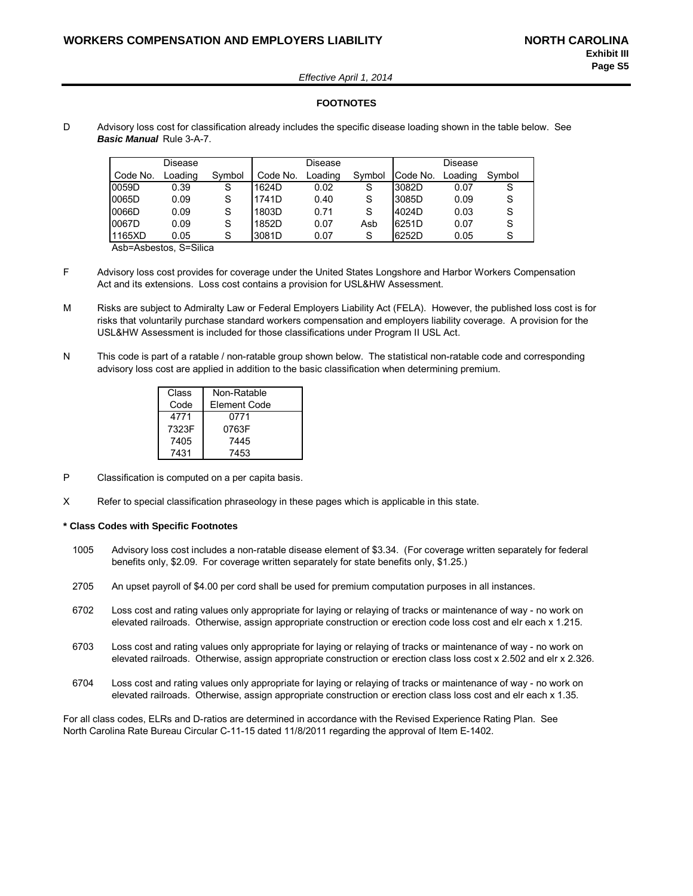*Effective April 1, 2014*

#### **FOOTNOTES**

D Advisory loss cost for classification already includes the specific disease loading shown in the table below. See *Basic Manual* Rule 3-A-7.

|          | Disease |        |          | Disease |        | Disease  |         |        |
|----------|---------|--------|----------|---------|--------|----------|---------|--------|
| Code No. | Loading | Symbol | Code No. | Loading | Symbol | Code No. | Loading | Symbol |
| 0059D    | 0.39    | S      | 1624D    | 0.02    | S      | 3082D    | 0.07    | S      |
| 0065D    | 0.09    | S      | 1741D    | 0.40    | S      | 3085D    | 0.09    |        |
| 0066D    | 0.09    | S      | 1803D    | 0.71    |        | 4024D    | 0.03    |        |
| 0067D    | 0.09    | S      | 1852D    | 0.07    | Asb    | 6251D    | 0.07    | S      |
| 1165XD   | 0.05    | S      | 3081D    | 0.07    | S      | 6252D    | 0.05    |        |

Asb=Asbestos, S=Silica

- F Advisory loss cost provides for coverage under the United States Longshore and Harbor Workers Compensation Act and its extensions. Loss cost contains a provision for USL&HW Assessment.
- M Risks are subject to Admiralty Law or Federal Employers Liability Act (FELA). However, the published loss cost is for risks that voluntarily purchase standard workers compensation and employers liability coverage. A provision for the USL&HW Assessment is included for those classifications under Program II USL Act.
- N This code is part of a ratable / non-ratable group shown below. The statistical non-ratable code and corresponding advisory loss cost are applied in addition to the basic classification when determining premium.

| Class | Non-Ratable  |
|-------|--------------|
| Code  | Element Code |
| 4771  | 0771         |
| 7323F | 0763F        |
| 7405  | 7445         |
| 7431  | 7453         |

- P Classification is computed on a per capita basis.
- X Refer to special classification phraseology in these pages which is applicable in this state.

#### **\* Class Codes with Specific Footnotes**

- 1005 Advisory loss cost includes a non-ratable disease element of \$3.34. (For coverage written separately for federal benefits only, \$2.09. For coverage written separately for state benefits only, \$1.25.)
- 2705 An upset payroll of \$4.00 per cord shall be used for premium computation purposes in all instances.
- 6702 Loss cost and rating values only appropriate for laying or relaying of tracks or maintenance of way no work on elevated railroads. Otherwise, assign appropriate construction or erection code loss cost and elr each x 1.215.
- 6703 Loss cost and rating values only appropriate for laying or relaying of tracks or maintenance of way no work on elevated railroads. Otherwise, assign appropriate construction or erection class loss cost x 2.502 and elr x 2.326.
- 6704 Loss cost and rating values only appropriate for laying or relaying of tracks or maintenance of way no work on elevated railroads. Otherwise, assign appropriate construction or erection class loss cost and elr each x 1.35.

For all class codes, ELRs and D-ratios are determined in accordance with the Revised Experience Rating Plan. See North Carolina Rate Bureau Circular C-11-15 dated 11/8/2011 regarding the approval of Item E-1402.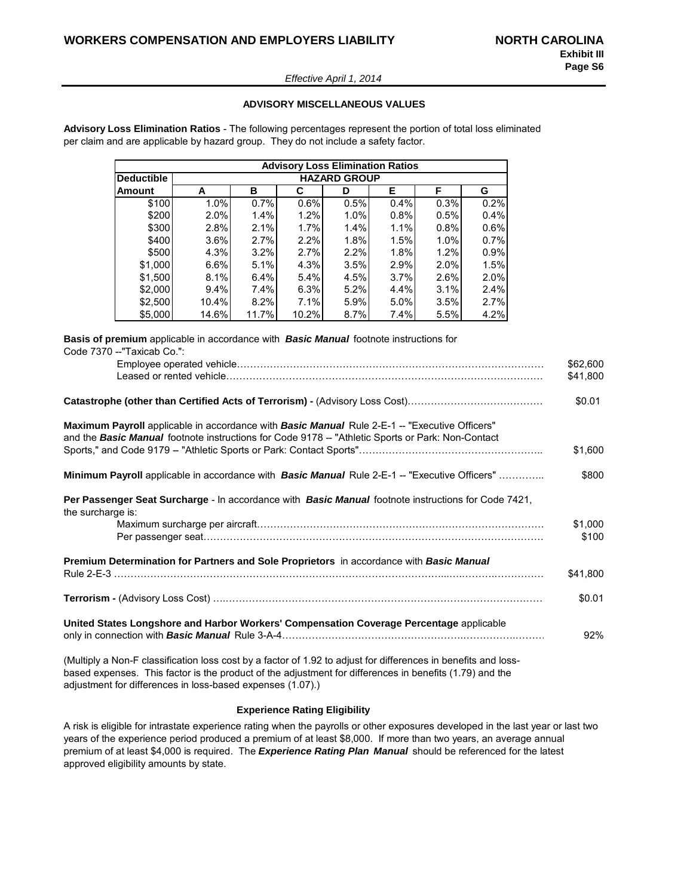#### *Effective April 1, 2014*

#### **ADVISORY MISCELLANEOUS VALUES**

**Advisory Loss Elimination Ratios** - The following percentages represent the portion of total loss eliminated per claim and are applicable by hazard group. They do not include a safety factor.

|                   | <b>Advisory Loss Elimination Ratios</b> |                     |       |      |      |      |      |  |  |  |  |  |  |
|-------------------|-----------------------------------------|---------------------|-------|------|------|------|------|--|--|--|--|--|--|
| <b>Deductible</b> |                                         | <b>HAZARD GROUP</b> |       |      |      |      |      |  |  |  |  |  |  |
| Amount            | А                                       | в                   | С     | D    | Е    | F    | G    |  |  |  |  |  |  |
| \$100             | 1.0%                                    | 0.7%                | 0.6%  | 0.5% | 0.4% | 0.3% | 0.2% |  |  |  |  |  |  |
| \$200             | 2.0%                                    | 1.4%                | 1.2%  | 1.0% | 0.8% | 0.5% | 0.4% |  |  |  |  |  |  |
| \$300             | 2.8%                                    | 2.1%                | 1.7%  | 1.4% | 1.1% | 0.8% | 0.6% |  |  |  |  |  |  |
| \$400             | 3.6%                                    | 2.7%                | 2.2%  | 1.8% | 1.5% | 1.0% | 0.7% |  |  |  |  |  |  |
| \$500             | 4.3%                                    | 3.2%                | 2.7%  | 2.2% | 1.8% | 1.2% | 0.9% |  |  |  |  |  |  |
| \$1,000           | 6.6%                                    | 5.1%                | 4.3%  | 3.5% | 2.9% | 2.0% | 1.5% |  |  |  |  |  |  |
| \$1,500           | 8.1%                                    | 6.4%                | 5.4%  | 4.5% | 3.7% | 2.6% | 2.0% |  |  |  |  |  |  |
| \$2,000           | 9.4%                                    | 7.4%                | 6.3%  | 5.2% | 4.4% | 3.1% | 2.4% |  |  |  |  |  |  |
| \$2,500           | 10.4%                                   | 8.2%                | 7.1%  | 5.9% | 5.0% | 3.5% | 2.7% |  |  |  |  |  |  |
| \$5,000           | 14.6%                                   | 11.7%               | 10.2% | 8.7% | 7.4% | 5.5% | 4.2% |  |  |  |  |  |  |

**Basis of premium** applicable in accordance with *Basic Manual* footnote instructions for Code 7370 - "Taxicab Co.":

|                                                                                                                                                                                                   | \$62,600<br>\$41,800 |
|---------------------------------------------------------------------------------------------------------------------------------------------------------------------------------------------------|----------------------|
|                                                                                                                                                                                                   | \$0.01               |
| Maximum Payroll applicable in accordance with Basic Manual Rule 2-E-1 -- "Executive Officers"<br>and the Basic Manual footnote instructions for Code 9178 - "Athletic Sports or Park: Non-Contact |                      |
|                                                                                                                                                                                                   | \$1,600              |
| Minimum Payroll applicable in accordance with Basic Manual Rule 2-E-1 -- "Executive Officers"                                                                                                     | \$800                |
| Per Passenger Seat Surcharge - In accordance with Basic Manual footnote instructions for Code 7421,<br>the surcharge is:                                                                          |                      |
|                                                                                                                                                                                                   | \$1,000              |
|                                                                                                                                                                                                   | \$100                |
| Premium Determination for Partners and Sole Proprietors in accordance with Basic Manual                                                                                                           |                      |
|                                                                                                                                                                                                   | \$41,800             |
|                                                                                                                                                                                                   | \$0.01               |
| United States Longshore and Harbor Workers' Compensation Coverage Percentage applicable                                                                                                           | 92%                  |
| (Multiply a Non-F classification loss cost by a factor of 1.92 to adjust for differences in benefits and loss-                                                                                    |                      |

based expenses. This factor is the product of the adjustment for differences in benefits (1.79) and the adjustment for differences in loss-based expenses (1.07).)

#### **Experience Rating Eligibility**

A risk is eligible for intrastate experience rating when the payrolls or other exposures developed in the last year or last two years of the experience period produced a premium of at least \$8,000. If more than two years, an average annual premium of at least \$4,000 is required. The *Experience Rating Plan Manual* should be referenced for the latest approved eligibility amounts by state.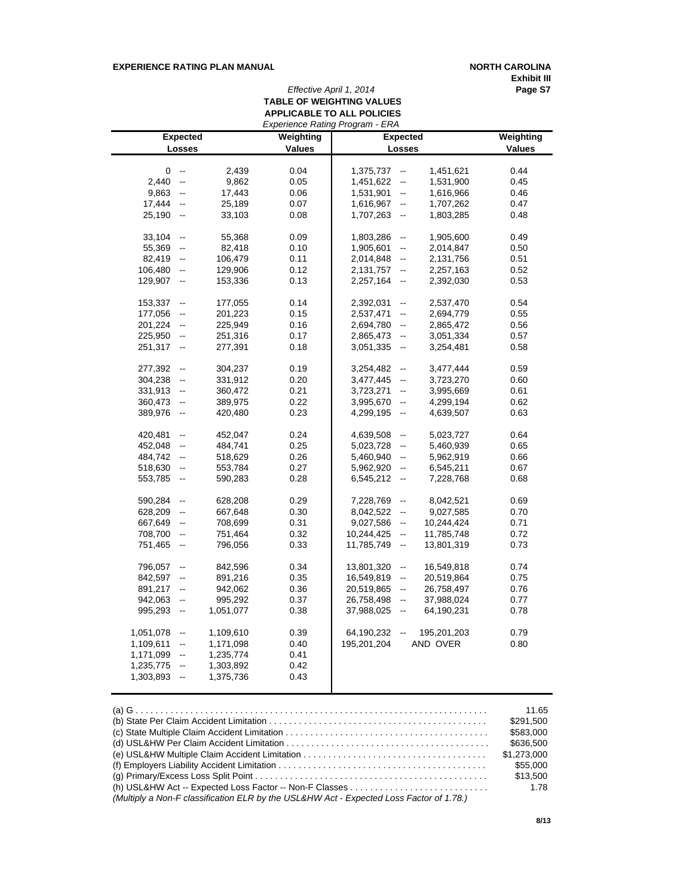#### **EXPERIENCE RATING PLAN MANUAL <b>NORTH CAROLINA**

**Exhibit III**

### *Effective April 1, 2014* **Page S7 TABLE OF WEIGHTING VALUES APPLICABLE TO ALL POLICIES**

|           |                           |           |           | Experience Rating Program - ERA            |                 |               |
|-----------|---------------------------|-----------|-----------|--------------------------------------------|-----------------|---------------|
|           | <b>Expected</b>           |           | Weighting |                                            | <b>Expected</b> | Weighting     |
|           | Losses                    |           | Values    |                                            | Losses          | <b>Values</b> |
|           |                           |           |           |                                            |                 |               |
| 0         | $\overline{\phantom{a}}$  | 2,439     | 0.04      | 1,375,737<br>$\qquad \qquad \blacksquare$  | 1,451,621       | 0.44          |
| 2,440     | $\mathbb{L}^{\mathbb{L}}$ | 9,862     | 0.05      | 1,451,622<br>$\mathbb{L}^{\mathbb{L}}$     | 1,531,900       | 0.45          |
| 9,863     | $\overline{\phantom{a}}$  | 17,443    | 0.06      | 1,531,901<br>$\overline{\phantom{a}}$      | 1,616,966       | 0.46          |
| 17,444    | ۰.                        | 25,189    | 0.07      | 1,616,967<br>--                            | 1,707,262       | 0.47          |
| 25,190    | $\overline{\phantom{a}}$  | 33,103    | 0.08      | 1,707,263<br>$\overline{\phantom{a}}$      | 1,803,285       | 0.48          |
| 33,104    | $\overline{\phantom{a}}$  | 55,368    | 0.09      | 1,803,286<br>$\overline{\phantom{a}}$      | 1,905,600       | 0.49          |
| 55,369    | $\overline{\phantom{a}}$  | 82,418    | 0.10      | 1,905,601<br>--                            | 2,014,847       | 0.50          |
| 82,419    | $\overline{\phantom{a}}$  | 106,479   | 0.11      | 2,014,848<br>--                            | 2,131,756       | 0.51          |
| 106,480   | $\overline{\phantom{a}}$  | 129,906   | 0.12      | 2,131,757<br>$\overline{\phantom{a}}$      | 2,257,163       | 0.52          |
| 129,907   | $\overline{\phantom{a}}$  | 153,336   | 0.13      | 2,257,164<br>$\overline{\phantom{a}}$      | 2,392,030       | 0.53          |
|           |                           |           |           |                                            |                 |               |
| 153,337   | $\qquad \qquad \qquad -$  | 177,055   | 0.14      | 2,392,031<br>--                            | 2,537,470       | 0.54          |
| 177,056   | $\overline{\phantom{a}}$  | 201,223   | 0.15      | 2,537,471<br>--                            | 2,694,779       | 0.55          |
| 201,224   | $\overline{\phantom{a}}$  | 225,949   | 0.16      | 2,694,780<br>$\qquad \qquad \qquad \qquad$ | 2,865,472       | 0.56          |
| 225,950   | $\overline{\phantom{a}}$  | 251,316   | 0.17      | 2,865,473<br>$\overline{\phantom{a}}$      | 3,051,334       | 0.57          |
| 251,317   | $\overline{\phantom{a}}$  | 277,391   | 0.18      | 3,051,335<br>$\overline{\phantom{a}}$      | 3,254,481       | 0.58          |
| 277,392   | $\overline{\phantom{a}}$  | 304,237   | 0.19      | 3,254,482<br>$\frac{1}{2}$                 | 3,477,444       | 0.59          |
| 304,238   | $\overline{\phantom{a}}$  | 331,912   | 0.20      | 3,477,445<br>$\overline{\phantom{a}}$      | 3,723,270       | 0.60          |
| 331,913   | $\overline{\phantom{a}}$  | 360,472   | 0.21      | 3,723,271<br>$\overline{\phantom{a}}$      | 3,995,669       | 0.61          |
|           |                           |           |           | $\overline{\phantom{a}}$                   |                 |               |
| 360,473   | $\overline{\phantom{a}}$  | 389,975   | 0.22      | 3,995,670                                  | 4,299,194       | 0.62          |
| 389,976   | $\overline{\phantom{a}}$  | 420,480   | 0.23      | 4,299,195<br>$\overline{\phantom{a}}$      | 4,639,507       | 0.63          |
| 420,481   | $\overline{\phantom{a}}$  | 452,047   | 0.24      | 4,639,508<br>--                            | 5,023,727       | 0.64          |
| 452,048   | $\overline{\phantom{a}}$  | 484,741   | 0.25      | 5,023,728<br>$\overline{\phantom{a}}$      | 5,460,939       | 0.65          |
| 484,742   | --                        | 518,629   | 0.26      | 5,460,940<br>$\overline{\phantom{a}}$      | 5,962,919       | 0.66          |
| 518,630   | $\overline{\phantom{a}}$  | 553,784   | 0.27      | 5,962,920<br>$\overline{\phantom{a}}$      | 6,545,211       | 0.67          |
| 553,785   | $\overline{\phantom{a}}$  | 590,283   | 0.28      | 6,545,212<br>$\sim$                        | 7,228,768       | 0.68          |
| 590,284   | $\overline{\phantom{a}}$  | 628,208   | 0.29      | 7,228,769<br>$\frac{1}{2}$                 | 8,042,521       | 0.69          |
| 628,209   | $\overline{\phantom{a}}$  | 667,648   | 0.30      | 8,042,522<br>$\overline{\phantom{a}}$      | 9,027,585       | 0.70          |
| 667,649   | $\overline{\phantom{a}}$  | 708,699   | 0.31      | 9,027,586<br>$\overline{\phantom{a}}$      | 10,244,424      | 0.71          |
| 708,700   | $\overline{\phantom{a}}$  | 751,464   | 0.32      | 10,244,425<br>$\overline{\phantom{a}}$     | 11,785,748      | 0.72          |
| 751,465   | $\overline{\phantom{a}}$  | 796,056   | 0.33      | 11,785,749<br>$\overline{\phantom{a}}$     | 13,801,319      | 0.73          |
|           |                           |           |           |                                            |                 |               |
| 796,057   | $\overline{\phantom{a}}$  | 842,596   | 0.34      | 13,801,320<br>$\overline{\phantom{a}}$     | 16,549,818      | 0.74          |
| 842,597   | $\overline{\phantom{a}}$  | 891,216   | 0.35      | 16,549,819<br>$\overline{\phantom{a}}$     | 20,519,864      | 0.75          |
| 891,217   | --                        | 942,062   | 0.36      | 20,519,865<br>--                           | 26,758,497      | 0.76          |
| 942,063   | $\overline{\phantom{a}}$  | 995,292   | 0.37      | 26,758,498<br>$\qquad \qquad \blacksquare$ | 37,988,024      | 0.77          |
| 995,293   | $\overline{\phantom{a}}$  | 1,051,077 | 0.38      | 37,988,025<br>$\overline{\phantom{a}}$     | 64,190,231      | 0.78          |
| 1,051,078 | $\overline{\phantom{a}}$  | 1,109,610 | 0.39      | 64,190,232<br>$\overline{\phantom{a}}$     | 195,201,203     | 0.79          |
| 1,109,611 | $\overline{\phantom{a}}$  | 1,171,098 | 0.40      | 195,201,204                                | AND OVER        | 0.80          |
| 1,171,099 | $\overline{\phantom{a}}$  | 1,235,774 | 0.41      |                                            |                 |               |
| 1,235,775 | $\overline{\phantom{a}}$  | 1,303,892 | 0.42      |                                            |                 |               |
|           |                           |           |           |                                            |                 |               |
| 1,303,893 | $\overline{\phantom{a}}$  | 1,375,736 | 0.43      |                                            |                 |               |

|                                                                                         | 11.65       |
|-----------------------------------------------------------------------------------------|-------------|
|                                                                                         | \$291.500   |
|                                                                                         | \$583,000   |
|                                                                                         | \$636,500   |
|                                                                                         | \$1,273,000 |
|                                                                                         | \$55,000    |
|                                                                                         | \$13,500    |
|                                                                                         | 1.78        |
| (Multiply a Non-F classification ELR by the USL&HW Act - Expected Loss Factor of 1.78.) |             |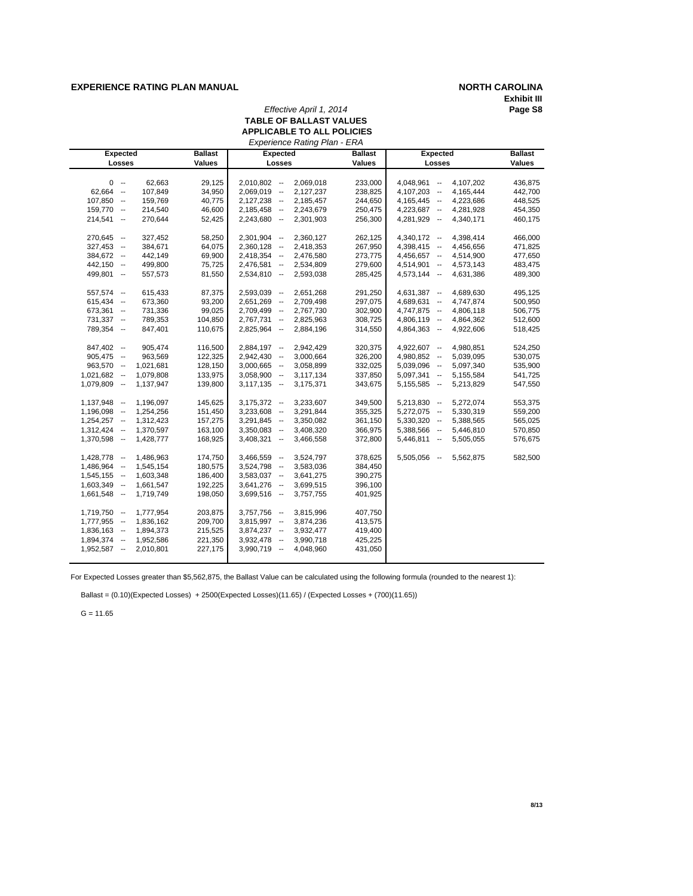#### **EXPERIENCE RATING PLAN MANUAL NORTH CAROLINA**

# **Exhibit III**

#### *Effective April 1, 2014* **TABLE OF BALLAST VALUES APPLICABLE TO ALL POLICIES**

| Experience Rating Plan - ERA<br><b>Ballast</b><br><b>Expected</b><br>Expected |                    |                                |                        |                    |                                |                        |                    |  |  |  |  |
|-------------------------------------------------------------------------------|--------------------|--------------------------------|------------------------|--------------------|--------------------------------|------------------------|--------------------|--|--|--|--|
| <b>Expected</b>                                                               |                    |                                |                        | <b>Ballast</b>     |                                |                        | <b>Ballast</b>     |  |  |  |  |
| Losses                                                                        | <b>Values</b>      | Losses                         |                        | <b>Values</b>      | Losses                         |                        | Values             |  |  |  |  |
| $0 -$                                                                         | 62,663<br>29,125   | $2,010,802 -$                  | 2,069,018              | 233,000            | $4,048,961 -$                  | 4,107,202              | 436,875            |  |  |  |  |
| 62,664 --                                                                     | 107,849<br>34,950  | $2,069,019 -$                  | 2,127,237              | 238,825            | $4,107,203 -$                  | 4,165,444              | 442,700            |  |  |  |  |
| $107,850 -$                                                                   | 159,769<br>40,775  | $2,127,238 -$                  | 2,185,457              | 244,650            | $4,165,445 -$                  | 4,223,686              | 448,525            |  |  |  |  |
| $159,770 -$                                                                   | 214,540<br>46,600  | $2,185,458 -$                  | 2,243,679              | 250,475            | $4,223,687 -$                  | 4,281,928              | 454,350            |  |  |  |  |
| $214,541 -$                                                                   | 270,644<br>52,425  | $2,243,680 -$                  | 2,301,903              | 256,300            | 4,281,929 --                   | 4,340,171              | 460,175            |  |  |  |  |
|                                                                               |                    |                                |                        |                    |                                |                        |                    |  |  |  |  |
| $270,645 -$                                                                   | 58,250<br>327,452  | $2,301,904 -$                  | 2,360,127              | 262,125            | $4,340,172 -$                  | 4,398,414              | 466,000            |  |  |  |  |
| $327,453 -$                                                                   | 384,671<br>64,075  | $2,360,128 -$                  | 2,418,353              | 267,950            | 4,398,415 --                   | 4,456,656              | 471,825            |  |  |  |  |
| 384,672 --                                                                    | 442,149<br>69,900  | $2,418,354 -$                  | 2,476,580              | 273,775            | 4,456,657 --                   | 4,514,900              | 477,650            |  |  |  |  |
| $442,150 -$                                                                   | 499,800<br>75,725  | $2,476,581 -$                  | 2,534,809              | 279,600            | $4,514,901 -$                  | 4,573,143              | 483,475            |  |  |  |  |
| 499,801 --                                                                    | 557,573<br>81,550  | $2,534,810 -$                  | 2,593,038              | 285,425            | $4,573,144 -$                  | 4,631,386              | 489,300            |  |  |  |  |
| $557,574 -$                                                                   | 87,375<br>615,433  | 2,593,039 --                   | 2,651,268              | 291,250            | $4,631,387 -$                  | 4,689,630              | 495,125            |  |  |  |  |
| $615,434 -$                                                                   | 673,360<br>93,200  | $2,651,269 -$                  | 2,709,498              | 297,075            | 4,689,631 --                   | 4,747,874              | 500,950            |  |  |  |  |
| $673,361 -$                                                                   | 731,336<br>99,025  | 2,709,499 --                   | 2,767,730              | 302,900            | 4,747,875 --                   | 4,806,118              | 506,775            |  |  |  |  |
| $731,337 -$                                                                   | 789,353<br>104,850 | $2,767,731 -$                  | 2,825,963              | 308,725            | $4,806,119 -$                  | 4,864,362              | 512,600            |  |  |  |  |
| 789,354 --                                                                    | 110,675<br>847,401 | $2,825,964 -$                  | 2,884,196              | 314,550            | 4,864,363 --                   | 4,922,606              | 518,425            |  |  |  |  |
|                                                                               |                    |                                |                        |                    |                                |                        |                    |  |  |  |  |
| $847,402 -$                                                                   | 905,474<br>116,500 | $2,884,197 -$                  | 2,942,429              | 320,375            | $4,922,607 -$                  | 4,980,851              | 524,250            |  |  |  |  |
| $905,475 -$                                                                   | 963,569<br>122,325 | $2,942,430 -$                  | 3,000,664              | 326,200            | 4,980,852 --                   | 5,039,095              | 530,075            |  |  |  |  |
| $963,570 -$<br>1,021,681                                                      | 128,150            | $3,000,665$ --                 | 3,058,899              | 332,025            | $5,039,096$ --                 | 5,097,340              | 535,900            |  |  |  |  |
| $1,021,682 -$<br>1,079,808                                                    | 133,975            | $3,058,900 -$                  | 3,117,134              | 337,850            | $5,097,341 -$                  | 5,155,584              | 541,725            |  |  |  |  |
| 1,079,809 --<br>1,137,947                                                     | 139,800            | $3,117,135 -$                  | 3,175,371              | 343,675            | $5,155,585$ --                 | 5,213,829              | 547,550            |  |  |  |  |
|                                                                               | 145,625            |                                | 3,233,607              |                    | $5,213,830 -$                  |                        | 553,375            |  |  |  |  |
| $1,137,948 -$<br>1,196,097                                                    |                    | $3,175,372 -$                  |                        | 349,500            |                                | 5,272,074              |                    |  |  |  |  |
| 1,196,098 --<br>1,254,256<br>$1,254,257 -$<br>1,312,423                       | 151,450<br>157,275 | $3,233,608 -$<br>$3,291,845 -$ | 3,291,844<br>3,350,082 | 355,325<br>361,150 | $5,272,075 -$<br>$5,330,320 -$ | 5,330,319<br>5,388,565 | 559,200<br>565,025 |  |  |  |  |
| $1,312,424 -$<br>1,370,597                                                    | 163,100            | $3,350,083 -$                  | 3,408,320              | 366,975            | 5,388,566 --                   | 5,446,810              | 570,850            |  |  |  |  |
| 1,428,777                                                                     |                    |                                |                        |                    | $5,446,811 -$                  |                        | 576,675            |  |  |  |  |
| $1,370,598 -$                                                                 | 168,925            | $3,408,321 -$                  | 3,466,558              | 372,800            |                                | 5,505,055              |                    |  |  |  |  |
| 1,486,963<br>$1,428,778 -$                                                    | 174,750            | $3,466,559 -$                  | 3,524,797              | 378,625            | $5,505,056 -$                  | 5,562,875              | 582,500            |  |  |  |  |
| $1,486,964 -$<br>1,545,154                                                    | 180,575            | $3,524,798 -$                  | 3,583,036              | 384,450            |                                |                        |                    |  |  |  |  |
| 1,603,348<br>$1,545,155 -$                                                    | 186,400            | $3,583,037 -$                  | 3,641,275              | 390,275            |                                |                        |                    |  |  |  |  |
| $1,603,349 -$<br>1,661,547                                                    | 192,225            | $3,641,276 -$                  | 3,699,515              | 396,100            |                                |                        |                    |  |  |  |  |
| $1,661,548 -$<br>1,719,749                                                    | 198,050            | $3,699,516 -$                  | 3,757,755              | 401,925            |                                |                        |                    |  |  |  |  |
| $1,719,750 -$<br>1,777,954                                                    | 203,875            | $3,757,756 -$                  | 3,815,996              | 407,750            |                                |                        |                    |  |  |  |  |
| $1,777,955 -$<br>1,836,162                                                    | 209,700            | $3,815,997 -$                  | 3,874,236              | 413,575            |                                |                        |                    |  |  |  |  |
| 1,894,373<br>$1,836,163 -$                                                    | 215,525            | $3,874,237 -$                  | 3,932,477              | 419,400            |                                |                        |                    |  |  |  |  |
| 1,894,374 -<br>1,952,586                                                      | 221,350            | $3,932,478 -$                  | 3,990,718              | 425,225            |                                |                        |                    |  |  |  |  |
| $1,952,587 -$<br>2,010,801                                                    | 227,175            | $3,990,719 -$                  | 4,048,960              | 431,050            |                                |                        |                    |  |  |  |  |
|                                                                               |                    |                                |                        |                    |                                |                        |                    |  |  |  |  |

For Expected Losses greater than \$5,562,875, the Ballast Value can be calculated using the following formula (rounded to the nearest 1):

Ballast = (0.10)(Expected Losses) + 2500(Expected Losses)(11.65) / (Expected Losses + (700)(11.65))

 $G = 11.65$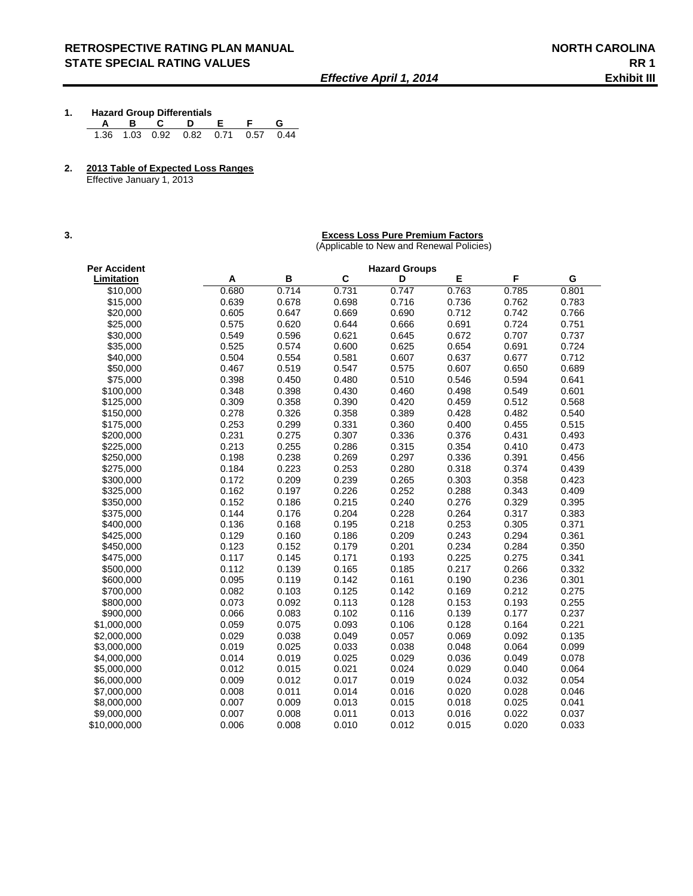- **1. Hazard Group Differentials A B C D E F G**  1.36 1.03 0.92 0.82 0.71 0.57 0.44
- **2. 2013 Table of Expected Loss Ranges**

Effective January 1, 2013

#### **3. Excess Loss Pure Premium Factors**

(Applicable to New and Renewal Policies)

| Per Accident |       | <b>Hazard Groups</b> |       |       |       |       |       |  |
|--------------|-------|----------------------|-------|-------|-------|-------|-------|--|
| Limitation   | Α     | в                    | C     | D     | E     | F     | G     |  |
| \$10,000     | 0.680 | 0.714                | 0.731 | 0.747 | 0.763 | 0.785 | 0.801 |  |
| \$15,000     | 0.639 | 0.678                | 0.698 | 0.716 | 0.736 | 0.762 | 0.783 |  |
| \$20,000     | 0.605 | 0.647                | 0.669 | 0.690 | 0.712 | 0.742 | 0.766 |  |
| \$25,000     | 0.575 | 0.620                | 0.644 | 0.666 | 0.691 | 0.724 | 0.751 |  |
| \$30,000     | 0.549 | 0.596                | 0.621 | 0.645 | 0.672 | 0.707 | 0.737 |  |
| \$35,000     | 0.525 | 0.574                | 0.600 | 0.625 | 0.654 | 0.691 | 0.724 |  |
| \$40,000     | 0.504 | 0.554                | 0.581 | 0.607 | 0.637 | 0.677 | 0.712 |  |
| \$50,000     | 0.467 | 0.519                | 0.547 | 0.575 | 0.607 | 0.650 | 0.689 |  |
| \$75,000     | 0.398 | 0.450                | 0.480 | 0.510 | 0.546 | 0.594 | 0.641 |  |
| \$100,000    | 0.348 | 0.398                | 0.430 | 0.460 | 0.498 | 0.549 | 0.601 |  |
| \$125,000    | 0.309 | 0.358                | 0.390 | 0.420 | 0.459 | 0.512 | 0.568 |  |
| \$150,000    | 0.278 | 0.326                | 0.358 | 0.389 | 0.428 | 0.482 | 0.540 |  |
| \$175,000    | 0.253 | 0.299                | 0.331 | 0.360 | 0.400 | 0.455 | 0.515 |  |
| \$200,000    | 0.231 | 0.275                | 0.307 | 0.336 | 0.376 | 0.431 | 0.493 |  |
| \$225,000    | 0.213 | 0.255                | 0.286 | 0.315 | 0.354 | 0.410 | 0.473 |  |
| \$250,000    | 0.198 | 0.238                | 0.269 | 0.297 | 0.336 | 0.391 | 0.456 |  |
| \$275,000    | 0.184 | 0.223                | 0.253 | 0.280 | 0.318 | 0.374 | 0.439 |  |
| \$300,000    | 0.172 | 0.209                | 0.239 | 0.265 | 0.303 | 0.358 | 0.423 |  |
| \$325.000    | 0.162 | 0.197                | 0.226 | 0.252 | 0.288 | 0.343 | 0.409 |  |
| \$350,000    | 0.152 | 0.186                | 0.215 | 0.240 | 0.276 | 0.329 | 0.395 |  |
| \$375,000    | 0.144 | 0.176                | 0.204 | 0.228 | 0.264 | 0.317 | 0.383 |  |
| \$400,000    | 0.136 | 0.168                | 0.195 | 0.218 | 0.253 | 0.305 | 0.371 |  |
| \$425,000    | 0.129 | 0.160                | 0.186 | 0.209 | 0.243 | 0.294 | 0.361 |  |
| \$450,000    | 0.123 | 0.152                | 0.179 | 0.201 | 0.234 | 0.284 | 0.350 |  |
| \$475,000    | 0.117 | 0.145                | 0.171 | 0.193 | 0.225 | 0.275 | 0.341 |  |
| \$500,000    | 0.112 | 0.139                | 0.165 | 0.185 | 0.217 | 0.266 | 0.332 |  |
| \$600,000    | 0.095 | 0.119                | 0.142 | 0.161 | 0.190 | 0.236 | 0.301 |  |
| \$700,000    | 0.082 | 0.103                | 0.125 | 0.142 | 0.169 | 0.212 | 0.275 |  |
| \$800,000    | 0.073 | 0.092                | 0.113 | 0.128 | 0.153 | 0.193 | 0.255 |  |
| \$900,000    | 0.066 | 0.083                | 0.102 | 0.116 | 0.139 | 0.177 | 0.237 |  |
| \$1,000,000  | 0.059 | 0.075                | 0.093 | 0.106 | 0.128 | 0.164 | 0.221 |  |
| \$2,000,000  | 0.029 | 0.038                | 0.049 | 0.057 | 0.069 | 0.092 | 0.135 |  |
| \$3,000,000  | 0.019 | 0.025                | 0.033 | 0.038 | 0.048 | 0.064 | 0.099 |  |
| \$4,000,000  | 0.014 | 0.019                | 0.025 | 0.029 | 0.036 | 0.049 | 0.078 |  |
| \$5,000,000  | 0.012 | 0.015                | 0.021 | 0.024 | 0.029 | 0.040 | 0.064 |  |
| \$6,000,000  | 0.009 | 0.012                | 0.017 | 0.019 | 0.024 | 0.032 | 0.054 |  |
| \$7,000,000  | 0.008 | 0.011                | 0.014 | 0.016 | 0.020 | 0.028 | 0.046 |  |
| \$8,000,000  | 0.007 | 0.009                | 0.013 | 0.015 | 0.018 | 0.025 | 0.041 |  |
| \$9,000,000  | 0.007 | 0.008                | 0.011 | 0.013 | 0.016 | 0.022 | 0.037 |  |
| \$10,000,000 | 0.006 | 0.008                | 0.010 | 0.012 | 0.015 | 0.020 | 0.033 |  |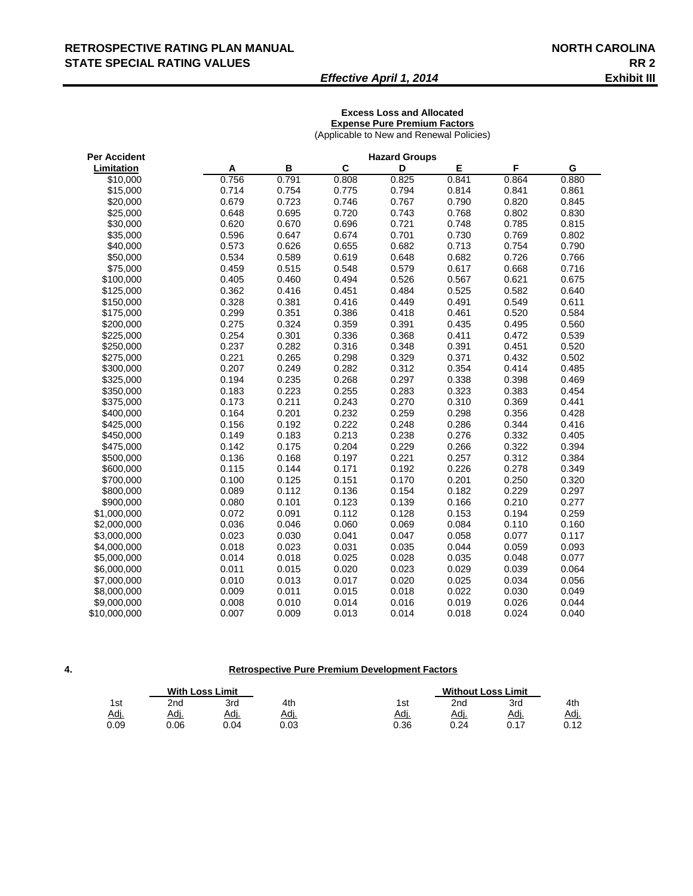#### RETROSPECTIVE RATING PLAN MANUAL **NORTH CAROLINA STATE SPECIAL RATING VALUES RR 2**

#### *Effective April 1, 2014* **Exhibit III**

#### **Excess Loss and Allocated Expense Pure Premium Factors**

(Applicable to New and Renewal Policies)

| <b>Per Accident</b> |       |       |       | <b>Hazard Groups</b> |       |       |       |
|---------------------|-------|-------|-------|----------------------|-------|-------|-------|
| Limitation          | Α     | B     | C     | D                    | E     | F     | G     |
| \$10,000            | 0.756 | 0.791 | 0.808 | 0.825                | 0.841 | 0.864 | 0.880 |
| \$15,000            | 0.714 | 0.754 | 0.775 | 0.794                | 0.814 | 0.841 | 0.861 |
| \$20,000            | 0.679 | 0.723 | 0.746 | 0.767                | 0.790 | 0.820 | 0.845 |
| \$25,000            | 0.648 | 0.695 | 0.720 | 0.743                | 0.768 | 0.802 | 0.830 |
| \$30,000            | 0.620 | 0.670 | 0.696 | 0.721                | 0.748 | 0.785 | 0.815 |
| \$35,000            | 0.596 | 0.647 | 0.674 | 0.701                | 0.730 | 0.769 | 0.802 |
| \$40,000            | 0.573 | 0.626 | 0.655 | 0.682                | 0.713 | 0.754 | 0.790 |
| \$50,000            | 0.534 | 0.589 | 0.619 | 0.648                | 0.682 | 0.726 | 0.766 |
| \$75,000            | 0.459 | 0.515 | 0.548 | 0.579                | 0.617 | 0.668 | 0.716 |
| \$100,000           | 0.405 | 0.460 | 0.494 | 0.526                | 0.567 | 0.621 | 0.675 |
| \$125,000           | 0.362 | 0.416 | 0.451 | 0.484                | 0.525 | 0.582 | 0.640 |
| \$150,000           | 0.328 | 0.381 | 0.416 | 0.449                | 0.491 | 0.549 | 0.611 |
| \$175,000           | 0.299 | 0.351 | 0.386 | 0.418                | 0.461 | 0.520 | 0.584 |
| \$200,000           | 0.275 | 0.324 | 0.359 | 0.391                | 0.435 | 0.495 | 0.560 |
| \$225,000           | 0.254 | 0.301 | 0.336 | 0.368                | 0.411 | 0.472 | 0.539 |
| \$250,000           | 0.237 | 0.282 | 0.316 | 0.348                | 0.391 | 0.451 | 0.520 |
| \$275,000           | 0.221 | 0.265 | 0.298 | 0.329                | 0.371 | 0.432 | 0.502 |
| \$300,000           | 0.207 | 0.249 | 0.282 | 0.312                | 0.354 | 0.414 | 0.485 |
| \$325,000           | 0.194 | 0.235 | 0.268 | 0.297                | 0.338 | 0.398 | 0.469 |
| \$350,000           | 0.183 | 0.223 | 0.255 | 0.283                | 0.323 | 0.383 | 0.454 |
| \$375,000           | 0.173 | 0.211 | 0.243 | 0.270                | 0.310 | 0.369 | 0.441 |
| \$400,000           | 0.164 | 0.201 | 0.232 | 0.259                | 0.298 | 0.356 | 0.428 |
| \$425,000           | 0.156 | 0.192 | 0.222 | 0.248                | 0.286 | 0.344 | 0.416 |
| \$450,000           | 0.149 | 0.183 | 0.213 | 0.238                | 0.276 | 0.332 | 0.405 |
| \$475,000           | 0.142 | 0.175 | 0.204 | 0.229                | 0.266 | 0.322 | 0.394 |
| \$500,000           | 0.136 | 0.168 | 0.197 | 0.221                | 0.257 | 0.312 | 0.384 |
| \$600,000           | 0.115 | 0.144 | 0.171 | 0.192                | 0.226 | 0.278 | 0.349 |
| \$700,000           | 0.100 | 0.125 | 0.151 | 0.170                | 0.201 | 0.250 | 0.320 |
| \$800,000           | 0.089 | 0.112 | 0.136 | 0.154                | 0.182 | 0.229 | 0.297 |
| \$900,000           | 0.080 | 0.101 | 0.123 | 0.139                | 0.166 | 0.210 | 0.277 |
| \$1,000,000         | 0.072 | 0.091 | 0.112 | 0.128                | 0.153 | 0.194 | 0.259 |
| \$2,000,000         | 0.036 | 0.046 | 0.060 | 0.069                | 0.084 | 0.110 | 0.160 |
| \$3,000,000         | 0.023 | 0.030 | 0.041 | 0.047                | 0.058 | 0.077 | 0.117 |
| \$4,000,000         | 0.018 | 0.023 | 0.031 | 0.035                | 0.044 | 0.059 | 0.093 |
| \$5,000,000         | 0.014 | 0.018 | 0.025 | 0.028                | 0.035 | 0.048 | 0.077 |
| \$6,000,000         | 0.011 | 0.015 | 0.020 | 0.023                | 0.029 | 0.039 | 0.064 |
| \$7,000,000         | 0.010 | 0.013 | 0.017 | 0.020                | 0.025 | 0.034 | 0.056 |
| \$8,000,000         | 0.009 | 0.011 | 0.015 | 0.018                | 0.022 | 0.030 | 0.049 |
| \$9,000,000         | 0.008 | 0.010 | 0.014 | 0.016                | 0.019 | 0.026 | 0.044 |
| \$10,000,000        | 0.007 | 0.009 | 0.013 | 0.014                | 0.018 | 0.024 | 0.040 |

#### **Retrospective Pure Premium Development Factors**

|      | <b>With Loss Limit</b> |             |      |             | <b>Without Loss Limit</b> |           |      |
|------|------------------------|-------------|------|-------------|---------------------------|-----------|------|
| 1st  | 2 <sub>nd</sub>        | 3rd         | 4th  | 1st         | 2nd                       | 3rd       | 4th  |
| Adj. | Adj.                   | <u>Adj.</u> | Adj. | <u>Adj.</u> | Adj.                      | Adı.      | Adj. |
| 0.09 | 0.06                   | 0.04        | ე.03 | 0.36        | 0.24                      | 0.17<br>. | 0.12 |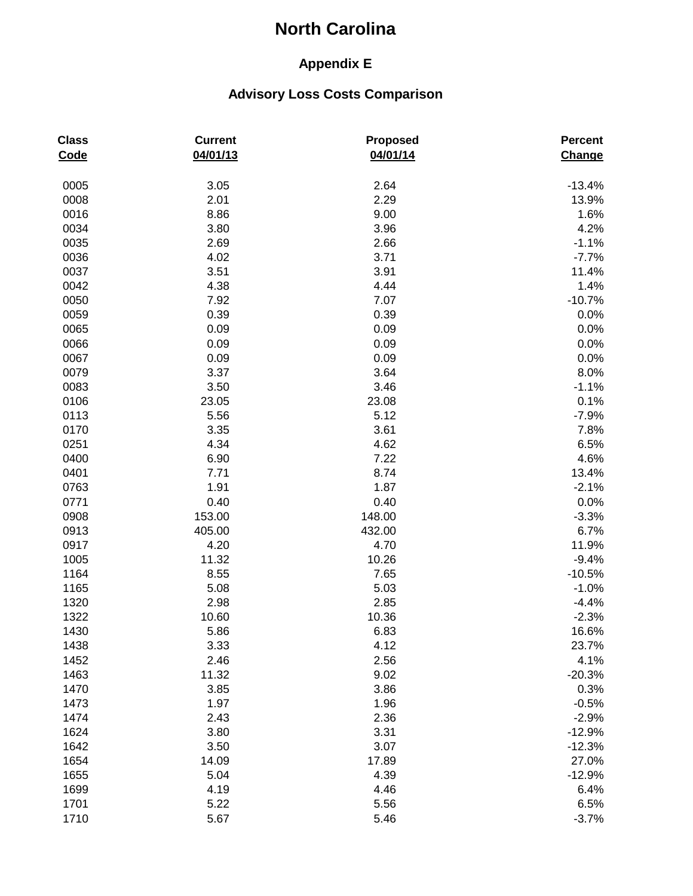## **Appendix E**

| <b>Class</b><br>Code | <b>Current</b><br>04/01/13 | <b>Proposed</b><br>04/01/14 | <b>Percent</b><br>Change |
|----------------------|----------------------------|-----------------------------|--------------------------|
| 0005                 | 3.05                       | 2.64                        | $-13.4%$                 |
| 0008                 | 2.01                       | 2.29                        | 13.9%                    |
| 0016                 | 8.86                       | 9.00                        | 1.6%                     |
| 0034                 | 3.80                       | 3.96                        | 4.2%                     |
| 0035                 | 2.69                       | 2.66                        | $-1.1%$                  |
| 0036                 | 4.02                       | 3.71                        | $-7.7%$                  |
| 0037                 | 3.51                       | 3.91                        | 11.4%                    |
| 0042                 | 4.38                       | 4.44                        | 1.4%                     |
| 0050                 | 7.92                       | 7.07                        | $-10.7%$                 |
| 0059                 | 0.39                       | 0.39                        | 0.0%                     |
| 0065                 | 0.09                       | 0.09                        | 0.0%                     |
| 0066                 | 0.09                       | 0.09                        | 0.0%                     |
| 0067                 | 0.09                       | 0.09                        | 0.0%                     |
| 0079                 | 3.37                       | 3.64                        | 8.0%                     |
| 0083                 | 3.50                       | 3.46                        | $-1.1%$                  |
| 0106                 | 23.05                      | 23.08                       | 0.1%                     |
| 0113                 | 5.56                       | 5.12                        | $-7.9%$                  |
| 0170                 | 3.35                       | 3.61                        | 7.8%                     |
| 0251                 | 4.34                       | 4.62                        | 6.5%                     |
| 0400                 | 6.90                       | 7.22                        | 4.6%                     |
| 0401                 | 7.71                       | 8.74                        | 13.4%                    |
| 0763                 | 1.91                       | 1.87                        | $-2.1%$                  |
| 0771                 | 0.40                       | 0.40                        | 0.0%                     |
| 0908                 | 153.00                     | 148.00                      | $-3.3%$                  |
| 0913                 | 405.00                     | 432.00                      | 6.7%                     |
| 0917                 | 4.20                       | 4.70                        | 11.9%                    |
| 1005                 | 11.32                      | 10.26                       | $-9.4%$                  |
| 1164                 | 8.55                       | 7.65                        | $-10.5%$                 |
| 1165                 | 5.08                       | 5.03                        | $-1.0%$                  |
| 1320                 | 2.98                       | 2.85                        | $-4.4%$                  |
| 1322                 | 10.60                      | 10.36                       | $-2.3%$                  |
| 1430                 | 5.86                       | 6.83                        | 16.6%                    |
| 1438                 | 3.33                       | 4.12                        | 23.7%                    |
| 1452                 | 2.46                       | 2.56                        | 4.1%                     |
| 1463                 | 11.32                      | 9.02                        | $-20.3%$                 |
| 1470                 | 3.85                       | 3.86                        | 0.3%                     |
| 1473                 | 1.97                       | 1.96                        | $-0.5%$                  |
| 1474                 | 2.43                       | 2.36                        | $-2.9%$                  |
| 1624                 | 3.80                       | 3.31                        | $-12.9%$                 |
| 1642                 | 3.50                       | 3.07                        | $-12.3%$                 |
| 1654                 | 14.09                      | 17.89                       | 27.0%                    |
| 1655                 | 5.04                       | 4.39                        | $-12.9%$                 |
| 1699                 | 4.19                       | 4.46                        | 6.4%                     |
| 1701                 | 5.22                       | 5.56                        | 6.5%                     |
| 1710                 | 5.67                       | 5.46                        | $-3.7%$                  |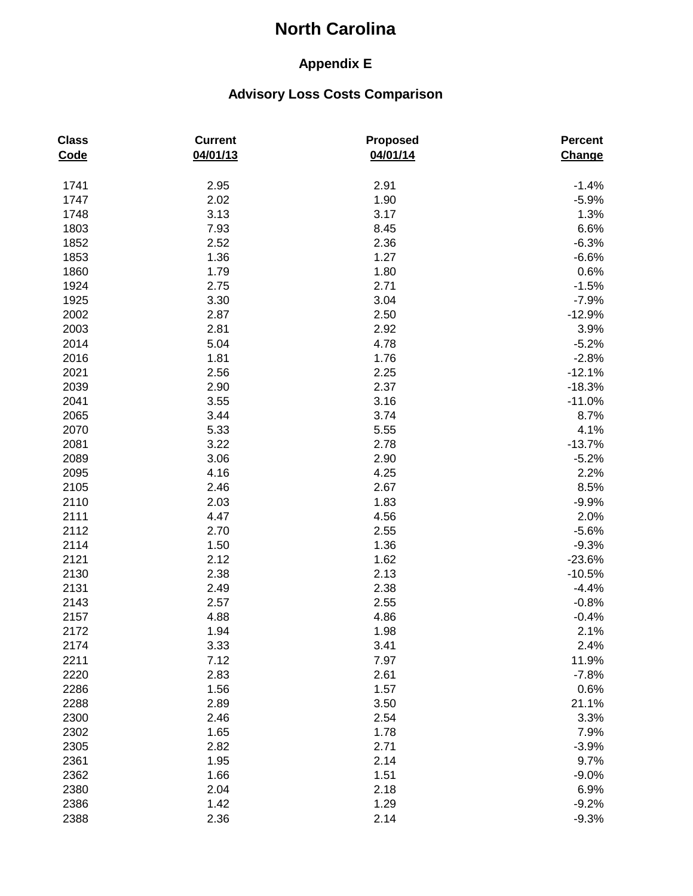## **Appendix E**

| <b>Class</b><br>Code | <b>Current</b><br>04/01/13 | <b>Proposed</b><br>04/01/14 | Percent<br>Change |
|----------------------|----------------------------|-----------------------------|-------------------|
| 1741                 | 2.95                       | 2.91                        | $-1.4%$           |
| 1747                 | 2.02                       | 1.90                        | $-5.9%$           |
| 1748                 | 3.13                       | 3.17                        | 1.3%              |
| 1803                 | 7.93                       | 8.45                        | 6.6%              |
| 1852                 | 2.52                       | 2.36                        | $-6.3%$           |
| 1853                 | 1.36                       | 1.27                        | $-6.6%$           |
| 1860                 | 1.79                       | 1.80                        | 0.6%              |
| 1924                 | 2.75                       | 2.71                        | $-1.5%$           |
| 1925                 | 3.30                       | 3.04                        | $-7.9%$           |
| 2002                 | 2.87                       | 2.50                        | $-12.9%$          |
| 2003                 | 2.81                       | 2.92                        | 3.9%              |
| 2014                 | 5.04                       | 4.78                        | $-5.2%$           |
| 2016                 | 1.81                       | 1.76                        | $-2.8%$           |
| 2021                 | 2.56                       | 2.25                        | $-12.1%$          |
| 2039                 | 2.90                       | 2.37                        | $-18.3%$          |
| 2041                 | 3.55                       | 3.16                        | $-11.0%$          |
| 2065                 | 3.44                       | 3.74                        | 8.7%              |
| 2070                 | 5.33                       | 5.55                        | 4.1%              |
| 2081                 | 3.22                       | 2.78                        | $-13.7%$          |
| 2089                 | 3.06                       | 2.90                        | $-5.2%$           |
| 2095                 | 4.16                       | 4.25                        | 2.2%              |
| 2105                 | 2.46                       | 2.67                        | 8.5%              |
| 2110                 | 2.03                       | 1.83                        | $-9.9%$           |
| 2111                 | 4.47                       | 4.56                        | 2.0%              |
| 2112                 | 2.70                       | 2.55                        | $-5.6%$           |
| 2114                 | 1.50                       | 1.36                        | $-9.3%$           |
| 2121                 | 2.12                       | 1.62                        | $-23.6%$          |
| 2130                 | 2.38                       | 2.13                        | $-10.5%$          |
| 2131                 | 2.49                       | 2.38                        | $-4.4%$           |
| 2143                 | 2.57                       | 2.55                        | $-0.8%$           |
| 2157                 | 4.88                       | 4.86                        | $-0.4%$           |
| 2172                 | 1.94                       | 1.98                        | 2.1%              |
| 2174                 | 3.33                       | 3.41                        | 2.4%              |
| 2211                 | 7.12                       | 7.97                        | 11.9%             |
| 2220                 | 2.83                       | 2.61                        | $-7.8%$           |
| 2286                 | 1.56                       | 1.57                        | 0.6%              |
| 2288                 | 2.89                       | 3.50                        | 21.1%             |
| 2300                 | 2.46                       | 2.54                        | 3.3%              |
| 2302                 | 1.65                       | 1.78                        | 7.9%              |
| 2305                 | 2.82                       | 2.71                        | $-3.9%$           |
| 2361                 | 1.95                       | 2.14                        | 9.7%              |
| 2362                 | 1.66                       | 1.51                        | $-9.0%$           |
| 2380                 | 2.04                       | 2.18                        | 6.9%              |
| 2386                 | 1.42                       | 1.29                        | $-9.2%$           |
| 2388                 | 2.36                       | 2.14                        | $-9.3%$           |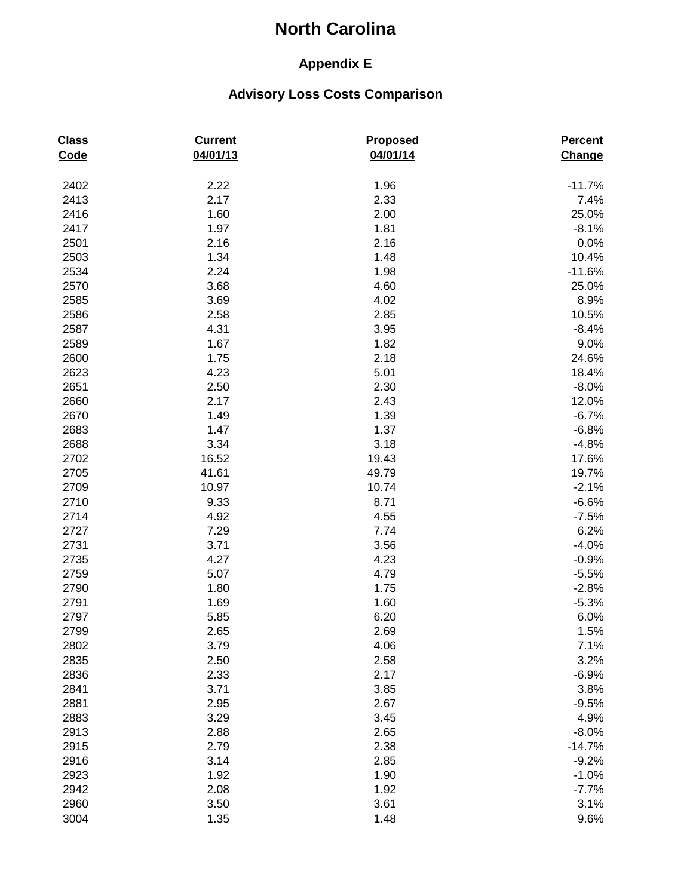## **Appendix E**

| <b>Class</b><br>Code | <b>Current</b><br>04/01/13 | <b>Proposed</b><br>04/01/14 | <b>Percent</b><br>Change |
|----------------------|----------------------------|-----------------------------|--------------------------|
| 2402                 | 2.22                       | 1.96                        | $-11.7%$                 |
| 2413                 | 2.17                       | 2.33                        | 7.4%                     |
| 2416                 | 1.60                       | 2.00                        | 25.0%                    |
| 2417                 | 1.97                       | 1.81                        | $-8.1%$                  |
| 2501                 | 2.16                       | 2.16                        | 0.0%                     |
| 2503                 | 1.34                       | 1.48                        | 10.4%                    |
| 2534                 | 2.24                       | 1.98                        | $-11.6%$                 |
| 2570                 | 3.68                       | 4.60                        | 25.0%                    |
| 2585                 | 3.69                       | 4.02                        | 8.9%                     |
| 2586                 | 2.58                       | 2.85                        | 10.5%                    |
| 2587                 | 4.31                       | 3.95                        | $-8.4%$                  |
| 2589                 | 1.67                       | 1.82                        | 9.0%                     |
| 2600                 | 1.75                       | 2.18                        | 24.6%                    |
| 2623                 | 4.23                       | 5.01                        | 18.4%                    |
| 2651                 | 2.50                       | 2.30                        | $-8.0%$                  |
| 2660                 | 2.17                       | 2.43                        | 12.0%                    |
| 2670                 | 1.49                       | 1.39                        | $-6.7%$                  |
| 2683                 | 1.47                       | 1.37                        | $-6.8%$                  |
| 2688                 | 3.34                       | 3.18                        | $-4.8%$                  |
| 2702                 | 16.52                      | 19.43                       | 17.6%                    |
| 2705                 | 41.61                      | 49.79                       | 19.7%                    |
| 2709                 | 10.97                      | 10.74                       | $-2.1%$                  |
| 2710                 | 9.33                       | 8.71                        | $-6.6%$                  |
| 2714                 | 4.92                       | 4.55                        | $-7.5%$                  |
| 2727                 | 7.29                       | 7.74                        | 6.2%                     |
| 2731                 | 3.71                       | 3.56                        | $-4.0%$                  |
| 2735                 | 4.27                       | 4.23                        | $-0.9%$                  |
| 2759                 | 5.07                       | 4.79                        | $-5.5%$                  |
| 2790                 | 1.80                       | 1.75                        | $-2.8%$                  |
| 2791                 | 1.69                       | 1.60                        | $-5.3%$                  |
| 2797                 | 5.85                       | 6.20                        | 6.0%                     |
| 2799                 | 2.65                       | 2.69                        | 1.5%                     |
| 2802                 | 3.79                       | 4.06                        | 7.1%                     |
| 2835                 | 2.50                       | 2.58                        | 3.2%                     |
| 2836                 | 2.33                       | 2.17                        | $-6.9%$                  |
| 2841                 | 3.71                       | 3.85                        | 3.8%                     |
| 2881                 | 2.95                       | 2.67                        | $-9.5%$                  |
| 2883                 | 3.29                       | 3.45                        | 4.9%                     |
| 2913                 | 2.88                       | 2.65                        | $-8.0%$                  |
| 2915                 | 2.79                       | 2.38                        | $-14.7%$                 |
| 2916                 | 3.14                       | 2.85                        | $-9.2%$                  |
| 2923                 | 1.92                       | 1.90                        | $-1.0%$                  |
| 2942                 | 2.08                       | 1.92                        | $-7.7%$                  |
| 2960                 | 3.50                       | 3.61                        | 3.1%                     |
| 3004                 | 1.35                       | 1.48                        | 9.6%                     |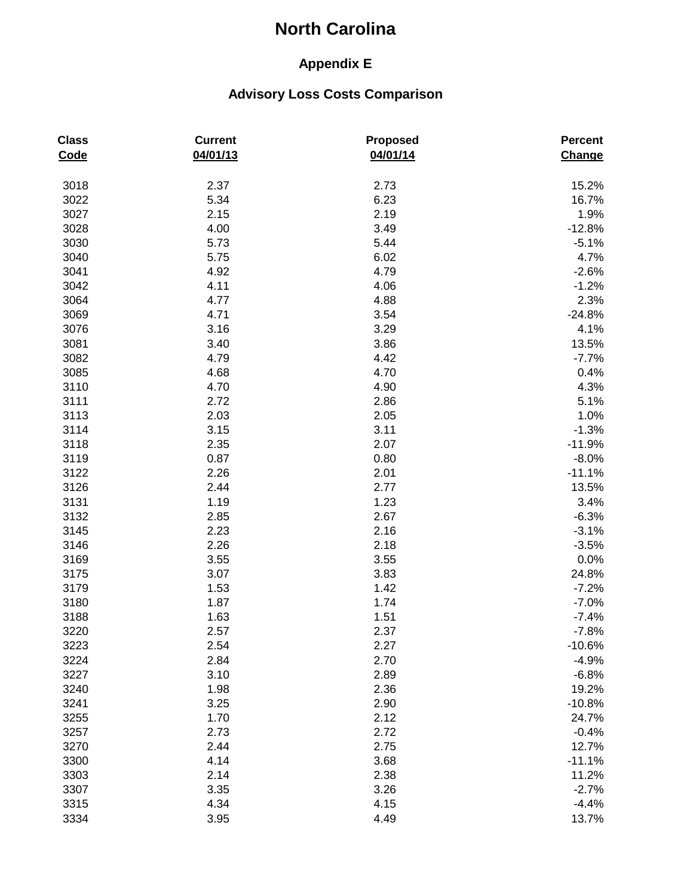## **Appendix E**

| <b>Class</b><br>Code | <b>Current</b><br>04/01/13 | <b>Proposed</b><br>04/01/14 | Percent<br>Change |
|----------------------|----------------------------|-----------------------------|-------------------|
| 3018                 | 2.37                       | 2.73                        | 15.2%             |
| 3022                 | 5.34                       | 6.23                        | 16.7%             |
| 3027                 | 2.15                       | 2.19                        | 1.9%              |
| 3028                 | 4.00                       | 3.49                        | $-12.8%$          |
| 3030                 | 5.73                       | 5.44                        | $-5.1%$           |
| 3040                 | 5.75                       | 6.02                        | 4.7%              |
| 3041                 | 4.92                       | 4.79                        | $-2.6%$           |
| 3042                 | 4.11                       | 4.06                        | $-1.2%$           |
| 3064                 | 4.77                       | 4.88                        | 2.3%              |
| 3069                 | 4.71                       | 3.54                        | $-24.8%$          |
| 3076                 | 3.16                       | 3.29                        | 4.1%              |
| 3081                 | 3.40                       | 3.86                        | 13.5%             |
| 3082                 | 4.79                       | 4.42                        | $-7.7%$           |
| 3085                 | 4.68                       | 4.70                        | 0.4%              |
| 3110                 | 4.70                       | 4.90                        | 4.3%              |
| 3111                 | 2.72                       | 2.86                        | 5.1%              |
| 3113                 | 2.03                       | 2.05                        | 1.0%              |
| 3114                 | 3.15                       | 3.11                        | $-1.3%$           |
| 3118                 | 2.35                       | 2.07                        | $-11.9%$          |
| 3119                 | 0.87                       | 0.80                        | $-8.0%$           |
| 3122                 | 2.26                       | 2.01                        | $-11.1%$          |
| 3126                 | 2.44                       | 2.77                        | 13.5%             |
| 3131                 | 1.19                       | 1.23                        | 3.4%              |
| 3132                 | 2.85                       | 2.67                        | $-6.3%$           |
| 3145                 | 2.23                       | 2.16                        | $-3.1%$           |
| 3146                 | 2.26                       | 2.18                        | $-3.5%$           |
| 3169                 | 3.55                       | 3.55                        | 0.0%              |
| 3175                 | 3.07                       | 3.83                        | 24.8%             |
| 3179                 | 1.53                       | 1.42                        | $-7.2%$           |
| 3180                 | 1.87                       | 1.74                        | $-7.0%$           |
| 3188                 | 1.63                       | 1.51                        | $-7.4%$           |
| 3220                 | 2.57                       | 2.37                        | $-7.8%$           |
| 3223                 | 2.54                       | 2.27                        | $-10.6%$          |
| 3224                 | 2.84                       | 2.70                        | $-4.9%$           |
| 3227                 | 3.10                       | 2.89                        | $-6.8%$           |
| 3240                 | 1.98                       | 2.36                        | 19.2%             |
| 3241                 | 3.25                       | 2.90                        | $-10.8%$          |
| 3255                 | 1.70                       | 2.12                        | 24.7%             |
| 3257                 | 2.73                       | 2.72                        | $-0.4%$           |
| 3270                 | 2.44                       | 2.75                        | 12.7%             |
| 3300                 | 4.14                       | 3.68                        | $-11.1%$          |
| 3303                 | 2.14                       | 2.38                        | 11.2%             |
| 3307                 | 3.35                       | 3.26                        | $-2.7%$           |
| 3315                 | 4.34                       | 4.15                        | $-4.4%$           |
| 3334                 | 3.95                       | 4.49                        | 13.7%             |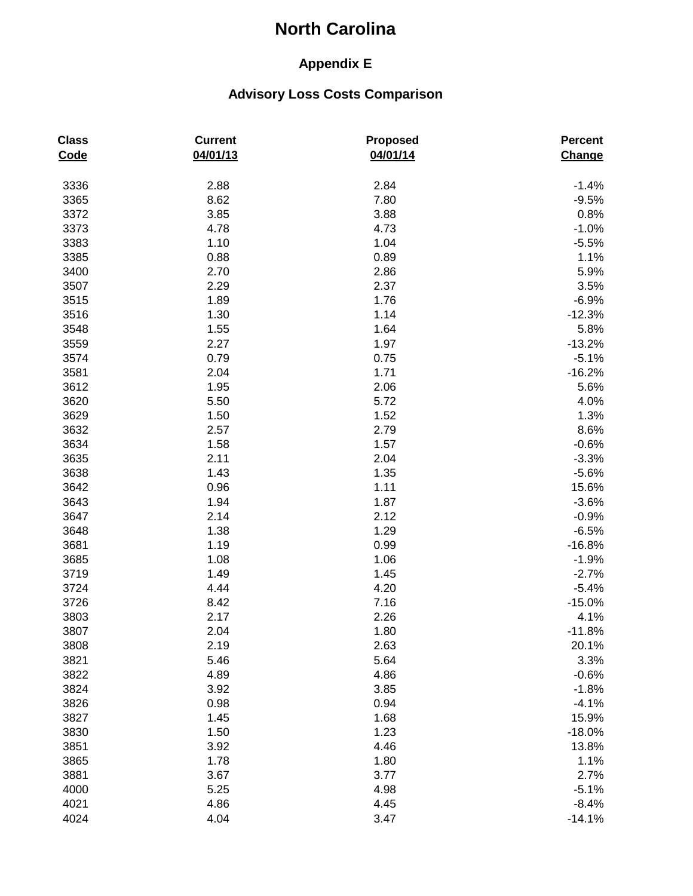## **Appendix E**

| <b>Class</b><br>Code | <b>Current</b><br>04/01/13 | <b>Proposed</b><br>04/01/14 | Percent<br>Change |
|----------------------|----------------------------|-----------------------------|-------------------|
| 3336                 | 2.88                       | 2.84                        | $-1.4%$           |
| 3365                 | 8.62                       | 7.80                        | $-9.5%$           |
| 3372                 | 3.85                       | 3.88                        | 0.8%              |
| 3373                 | 4.78                       | 4.73                        | $-1.0%$           |
| 3383                 | 1.10                       | 1.04                        | $-5.5%$           |
| 3385                 | 0.88                       | 0.89                        | 1.1%              |
| 3400                 | 2.70                       | 2.86                        | 5.9%              |
| 3507                 | 2.29                       | 2.37                        | 3.5%              |
| 3515                 | 1.89                       | 1.76                        | $-6.9%$           |
| 3516                 | 1.30                       | 1.14                        | $-12.3%$          |
| 3548                 | 1.55                       | 1.64                        | 5.8%              |
| 3559                 | 2.27                       | 1.97                        | $-13.2%$          |
| 3574                 | 0.79                       | 0.75                        | $-5.1%$           |
| 3581                 | 2.04                       | 1.71                        | $-16.2%$          |
| 3612                 | 1.95                       | 2.06                        | 5.6%              |
| 3620                 | 5.50                       | 5.72                        | 4.0%              |
| 3629                 | 1.50                       | 1.52                        | 1.3%              |
| 3632                 | 2.57                       | 2.79                        | 8.6%              |
| 3634                 | 1.58                       | 1.57                        | $-0.6%$           |
| 3635                 | 2.11                       | 2.04                        | $-3.3%$           |
| 3638                 | 1.43                       | 1.35                        | $-5.6%$           |
| 3642                 | 0.96                       | 1.11                        | 15.6%             |
| 3643                 | 1.94                       | 1.87                        | $-3.6%$           |
| 3647                 | 2.14                       | 2.12                        | $-0.9%$           |
| 3648                 | 1.38                       | 1.29                        | $-6.5%$           |
| 3681                 | 1.19                       | 0.99                        | $-16.8%$          |
| 3685                 | 1.08                       | 1.06                        | $-1.9%$           |
| 3719                 | 1.49                       | 1.45                        | $-2.7%$           |
| 3724                 | 4.44                       | 4.20                        | $-5.4%$           |
| 3726                 | 8.42                       | 7.16                        | $-15.0%$          |
| 3803                 | 2.17                       | 2.26                        | 4.1%              |
| 3807                 | 2.04                       | 1.80                        | $-11.8%$          |
| 3808                 | 2.19                       | 2.63                        | 20.1%             |
| 3821                 | 5.46                       | 5.64                        | 3.3%              |
| 3822                 | 4.89                       | 4.86                        | $-0.6%$           |
| 3824                 | 3.92                       | 3.85                        | $-1.8%$           |
| 3826                 | 0.98                       | 0.94                        | $-4.1%$           |
| 3827                 | 1.45                       | 1.68                        | 15.9%             |
| 3830                 | 1.50                       | 1.23                        | $-18.0%$          |
| 3851                 | 3.92                       | 4.46                        | 13.8%             |
| 3865                 | 1.78                       | 1.80                        | 1.1%              |
| 3881                 | 3.67                       | 3.77                        | 2.7%              |
| 4000                 | 5.25                       | 4.98                        | $-5.1%$           |
| 4021                 | 4.86                       | 4.45                        | $-8.4%$           |
| 4024                 | 4.04                       | 3.47                        | $-14.1%$          |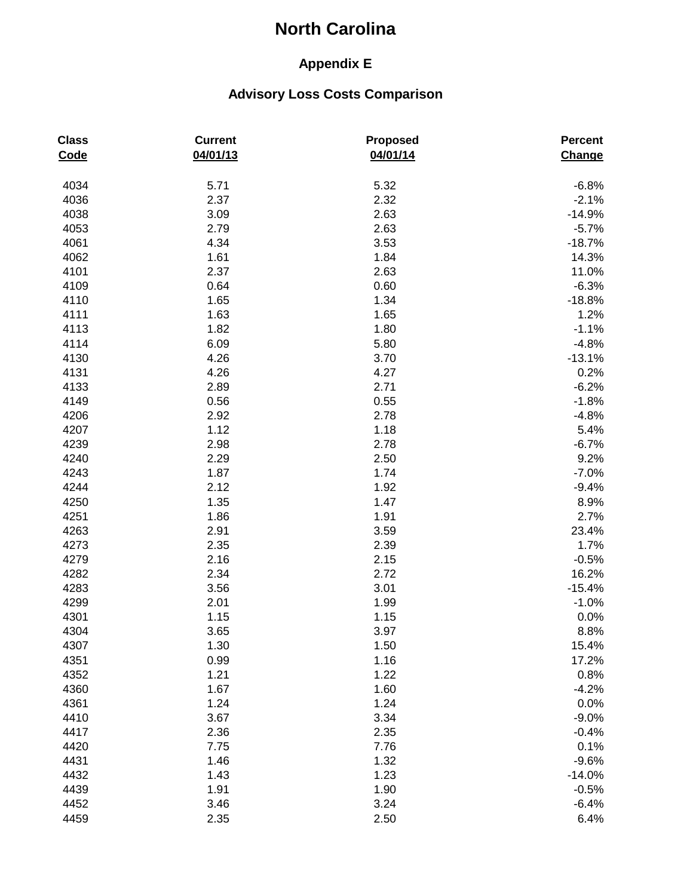## **Appendix E**

| <b>Class</b><br>Code | <b>Current</b><br>04/01/13 | <b>Proposed</b><br>04/01/14 | Percent<br>Change |
|----------------------|----------------------------|-----------------------------|-------------------|
| 4034                 | 5.71                       | 5.32                        | $-6.8%$           |
| 4036                 | 2.37                       | 2.32                        | $-2.1%$           |
| 4038                 | 3.09                       | 2.63                        | $-14.9%$          |
| 4053                 | 2.79                       | 2.63                        | $-5.7%$           |
| 4061                 | 4.34                       | 3.53                        | $-18.7%$          |
| 4062                 | 1.61                       | 1.84                        | 14.3%             |
| 4101                 | 2.37                       | 2.63                        | 11.0%             |
| 4109                 | 0.64                       | 0.60                        | $-6.3%$           |
| 4110                 | 1.65                       | 1.34                        | $-18.8%$          |
| 4111                 | 1.63                       | 1.65                        | 1.2%              |
| 4113                 | 1.82                       | 1.80                        | $-1.1%$           |
| 4114                 | 6.09                       | 5.80                        | $-4.8%$           |
| 4130                 | 4.26                       | 3.70                        | $-13.1%$          |
| 4131                 | 4.26                       | 4.27                        | 0.2%              |
| 4133                 | 2.89                       | 2.71                        | $-6.2%$           |
| 4149                 | 0.56                       | 0.55                        | $-1.8%$           |
| 4206                 | 2.92                       | 2.78                        | $-4.8%$           |
| 4207                 | 1.12                       | 1.18                        | 5.4%              |
| 4239                 | 2.98                       | 2.78                        | $-6.7%$           |
| 4240                 | 2.29                       | 2.50                        | 9.2%              |
| 4243                 | 1.87                       | 1.74                        | $-7.0%$           |
| 4244                 | 2.12                       | 1.92                        | $-9.4%$           |
| 4250                 | 1.35                       | 1.47                        | 8.9%              |
| 4251                 | 1.86                       | 1.91                        | 2.7%              |
| 4263                 | 2.91                       | 3.59                        | 23.4%             |
| 4273                 | 2.35                       | 2.39                        | 1.7%              |
| 4279                 | 2.16                       | 2.15                        | $-0.5%$           |
| 4282                 | 2.34                       | 2.72                        | 16.2%             |
| 4283                 | 3.56                       | 3.01                        | $-15.4%$          |
| 4299                 | 2.01                       | 1.99                        | $-1.0%$           |
| 4301                 | 1.15                       | 1.15                        | 0.0%              |
| 4304                 | 3.65                       | 3.97                        | 8.8%              |
| 4307                 | 1.30                       | 1.50                        | 15.4%             |
| 4351                 | 0.99                       | 1.16                        | 17.2%             |
| 4352                 | 1.21                       | 1.22                        | 0.8%              |
| 4360                 | 1.67                       | 1.60                        | $-4.2%$           |
| 4361                 | 1.24                       | 1.24                        | 0.0%              |
| 4410                 | 3.67                       | 3.34                        | $-9.0%$           |
| 4417                 | 2.36                       | 2.35                        | $-0.4%$           |
| 4420                 | 7.75                       | 7.76                        | 0.1%              |
| 4431                 | 1.46                       | 1.32                        | $-9.6%$           |
| 4432                 | 1.43                       | 1.23                        | $-14.0%$          |
| 4439                 | 1.91                       | 1.90                        | $-0.5%$           |
| 4452                 | 3.46                       | 3.24                        | $-6.4%$           |
| 4459                 | 2.35                       | 2.50                        | 6.4%              |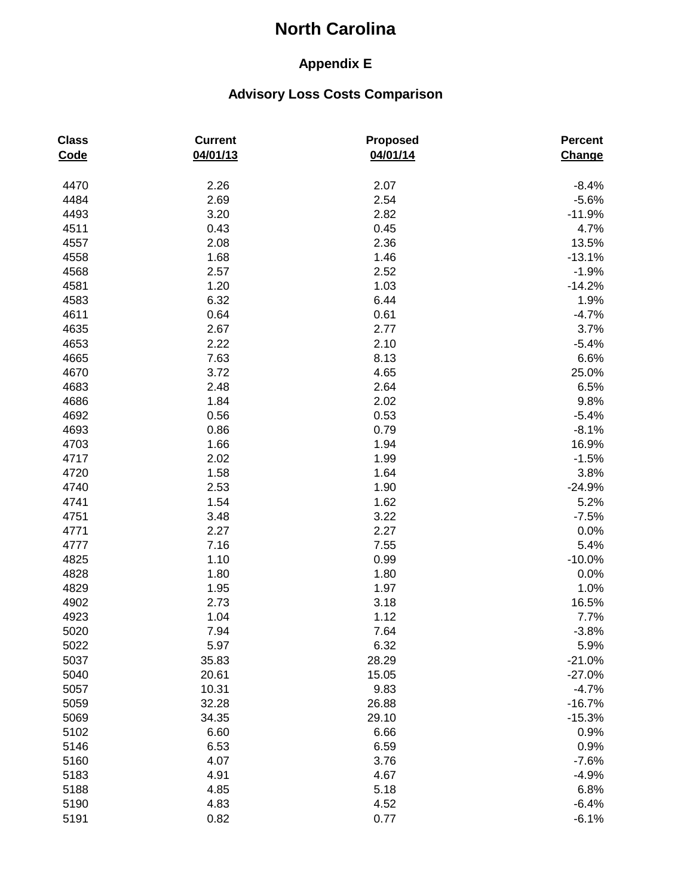## **Appendix E**

| <b>Class</b><br>Code | <b>Current</b><br>04/01/13 | Proposed<br>04/01/14 | Percent<br>Change |
|----------------------|----------------------------|----------------------|-------------------|
| 4470                 | 2.26                       | 2.07                 | $-8.4%$           |
| 4484                 | 2.69                       | 2.54                 | $-5.6%$           |
| 4493                 | 3.20                       | 2.82                 | $-11.9%$          |
| 4511                 | 0.43                       | 0.45                 | 4.7%              |
| 4557                 | 2.08                       | 2.36                 | 13.5%             |
| 4558                 | 1.68                       | 1.46                 | $-13.1%$          |
| 4568                 | 2.57                       | 2.52                 | $-1.9%$           |
| 4581                 | 1.20                       | 1.03                 | $-14.2%$          |
| 4583                 | 6.32                       | 6.44                 | 1.9%              |
| 4611                 | 0.64                       | 0.61                 | $-4.7%$           |
| 4635                 | 2.67                       | 2.77                 | 3.7%              |
| 4653                 | 2.22                       | 2.10                 | $-5.4%$           |
| 4665                 | 7.63                       | 8.13                 | 6.6%              |
| 4670                 | 3.72                       | 4.65                 | 25.0%             |
| 4683                 | 2.48                       | 2.64                 | 6.5%              |
| 4686                 | 1.84                       | 2.02                 | 9.8%              |
| 4692                 | 0.56                       | 0.53                 | $-5.4%$           |
| 4693                 | 0.86                       | 0.79                 | $-8.1%$           |
| 4703                 | 1.66                       | 1.94                 | 16.9%             |
| 4717                 | 2.02                       | 1.99                 | $-1.5%$           |
| 4720                 | 1.58                       | 1.64                 | 3.8%              |
| 4740                 | 2.53                       | 1.90                 | $-24.9%$          |
| 4741                 | 1.54                       | 1.62                 | 5.2%              |
| 4751                 | 3.48                       | 3.22                 | $-7.5%$           |
| 4771                 | 2.27                       | 2.27                 | 0.0%              |
| 4777                 | 7.16                       | 7.55                 | 5.4%              |
| 4825                 | 1.10                       | 0.99                 | $-10.0%$          |
| 4828                 | 1.80                       | 1.80                 | 0.0%              |
| 4829                 | 1.95                       | 1.97                 | 1.0%              |
| 4902                 | 2.73                       | 3.18                 | 16.5%             |
| 4923                 | 1.04                       | 1.12                 | 7.7%              |
| 5020                 | 7.94                       | 7.64                 | $-3.8%$           |
| 5022                 | 5.97                       | 6.32                 | 5.9%              |
| 5037                 | 35.83                      | 28.29                | $-21.0%$          |
| 5040                 | 20.61                      | 15.05                | $-27.0%$          |
| 5057                 | 10.31                      | 9.83                 | $-4.7%$           |
| 5059                 | 32.28                      | 26.88                | $-16.7%$          |
| 5069                 | 34.35                      | 29.10                | $-15.3%$          |
| 5102                 | 6.60                       | 6.66                 | 0.9%              |
| 5146                 | 6.53                       | 6.59                 | 0.9%              |
| 5160                 | 4.07                       | 3.76                 | $-7.6%$           |
| 5183                 | 4.91                       | 4.67                 | $-4.9%$           |
| 5188                 | 4.85                       | 5.18                 | 6.8%              |
| 5190                 | 4.83                       | 4.52                 | $-6.4%$           |
| 5191                 | 0.82                       | 0.77                 | $-6.1%$           |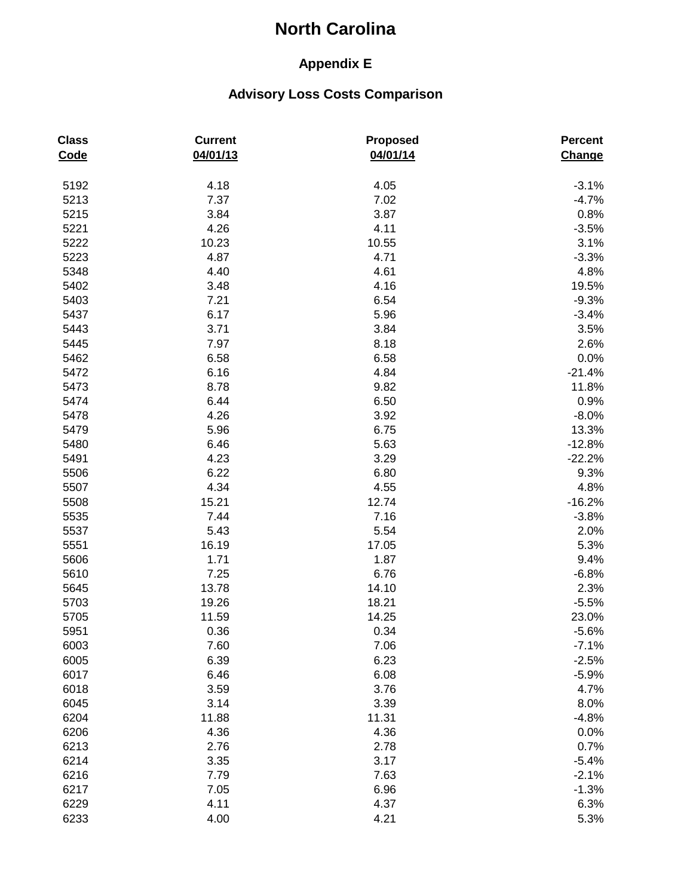## **Appendix E**

| <b>Class</b><br><b>Code</b> | <b>Current</b><br>04/01/13 | <b>Proposed</b><br>04/01/14 | Percent<br>Change |
|-----------------------------|----------------------------|-----------------------------|-------------------|
| 5192                        | 4.18                       | 4.05                        | $-3.1%$           |
| 5213                        | 7.37                       | 7.02                        | $-4.7%$           |
| 5215                        | 3.84                       | 3.87                        | 0.8%              |
| 5221                        | 4.26                       | 4.11                        | $-3.5%$           |
| 5222                        | 10.23                      | 10.55                       | 3.1%              |
| 5223                        | 4.87                       | 4.71                        | $-3.3%$           |
| 5348                        | 4.40                       | 4.61                        | 4.8%              |
| 5402                        | 3.48                       | 4.16                        | 19.5%             |
| 5403                        | 7.21                       | 6.54                        | $-9.3%$           |
| 5437                        | 6.17                       | 5.96                        | $-3.4%$           |
| 5443                        | 3.71                       | 3.84                        | 3.5%              |
| 5445                        | 7.97                       | 8.18                        | 2.6%              |
| 5462                        | 6.58                       | 6.58                        | 0.0%              |
| 5472                        | 6.16                       | 4.84                        | $-21.4%$          |
| 5473                        | 8.78                       | 9.82                        | 11.8%             |
| 5474                        | 6.44                       | 6.50                        | 0.9%              |
| 5478                        | 4.26                       | 3.92                        | $-8.0%$           |
| 5479                        | 5.96                       | 6.75                        | 13.3%             |
| 5480                        | 6.46                       | 5.63                        | $-12.8%$          |
| 5491                        | 4.23                       | 3.29                        | $-22.2%$          |
| 5506                        | 6.22                       | 6.80                        | 9.3%              |
| 5507                        | 4.34                       | 4.55                        | 4.8%              |
| 5508                        | 15.21                      | 12.74                       | $-16.2%$          |
| 5535                        | 7.44                       | 7.16                        | $-3.8%$           |
| 5537                        | 5.43                       | 5.54                        | 2.0%              |
| 5551                        | 16.19                      | 17.05                       | 5.3%              |
| 5606                        | 1.71                       | 1.87                        | 9.4%              |
| 5610                        | 7.25                       | 6.76                        | $-6.8%$           |
| 5645                        | 13.78                      | 14.10                       | 2.3%              |
| 5703                        | 19.26                      | 18.21                       | $-5.5%$           |
| 5705                        | 11.59                      | 14.25                       | 23.0%             |
| 5951                        | 0.36                       | 0.34                        | $-5.6%$           |
| 6003                        | 7.60                       | 7.06                        | $-7.1%$           |
| 6005                        | 6.39                       | 6.23                        | $-2.5%$           |
| 6017                        | 6.46                       | 6.08                        | $-5.9%$           |
| 6018                        | 3.59                       | 3.76                        | 4.7%              |
| 6045                        | 3.14                       | 3.39                        | 8.0%              |
| 6204                        | 11.88                      | 11.31                       | $-4.8%$           |
| 6206                        | 4.36                       | 4.36                        | 0.0%              |
| 6213                        | 2.76                       | 2.78                        | 0.7%              |
| 6214                        | 3.35                       | 3.17                        | $-5.4%$           |
| 6216                        | 7.79                       | 7.63                        | $-2.1%$           |
| 6217                        | 7.05                       | 6.96                        | $-1.3%$           |
| 6229                        | 4.11                       | 4.37                        | 6.3%              |
| 6233                        | 4.00                       | 4.21                        | 5.3%              |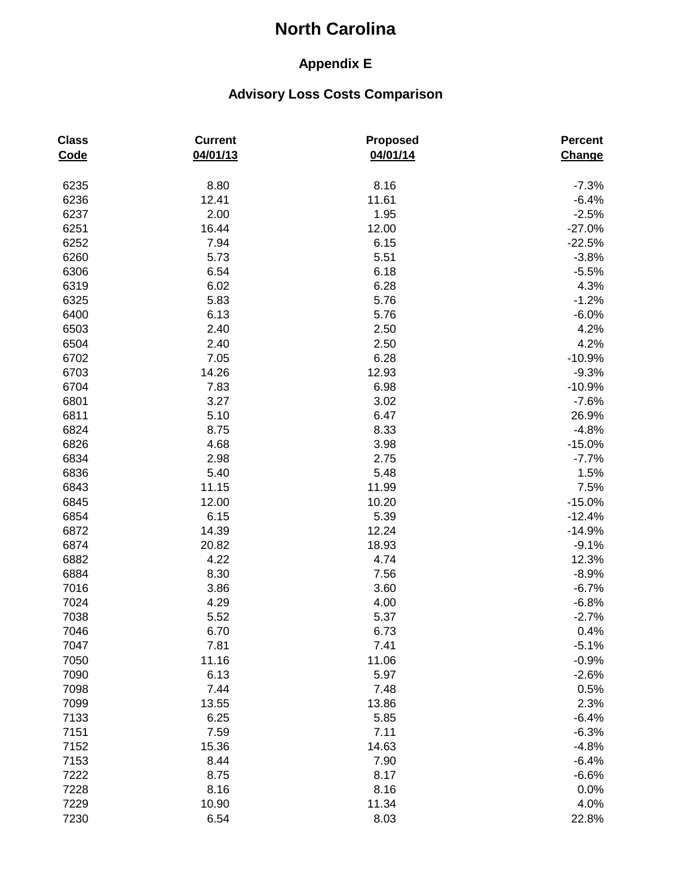## **Appendix E**

| <b>Class</b><br>Code | <b>Current</b><br>04/01/13 | <b>Proposed</b><br>04/01/14 | Percent<br>Change |
|----------------------|----------------------------|-----------------------------|-------------------|
| 6235                 | 8.80                       | 8.16                        | $-7.3%$           |
| 6236                 | 12.41                      | 11.61                       | $-6.4%$           |
| 6237                 | 2.00                       | 1.95                        | $-2.5%$           |
| 6251                 | 16.44                      | 12.00                       | $-27.0%$          |
| 6252                 | 7.94                       | 6.15                        | $-22.5%$          |
| 6260                 | 5.73                       | 5.51                        | $-3.8%$           |
| 6306                 | 6.54                       | 6.18                        | $-5.5%$           |
| 6319                 | 6.02                       | 6.28                        | 4.3%              |
| 6325                 | 5.83                       | 5.76                        | $-1.2%$           |
| 6400                 | 6.13                       | 5.76                        | $-6.0%$           |
| 6503                 | 2.40                       | 2.50                        | 4.2%              |
| 6504                 | 2.40                       | 2.50                        | 4.2%              |
| 6702                 | 7.05                       | 6.28                        | $-10.9%$          |
| 6703                 | 14.26                      | 12.93                       | $-9.3%$           |
| 6704                 | 7.83                       | 6.98                        | $-10.9%$          |
| 6801                 | 3.27                       | 3.02                        | $-7.6%$           |
| 6811                 | 5.10                       | 6.47                        | 26.9%             |
| 6824                 | 8.75                       | 8.33                        | $-4.8%$           |
| 6826                 | 4.68                       | 3.98                        | $-15.0%$          |
| 6834                 | 2.98                       | 2.75                        | $-7.7%$           |
| 6836                 | 5.40                       | 5.48                        | 1.5%              |
| 6843                 | 11.15                      | 11.99                       | 7.5%              |
| 6845                 | 12.00                      | 10.20                       | $-15.0%$          |
| 6854                 | 6.15                       | 5.39                        | $-12.4%$          |
| 6872                 | 14.39                      | 12.24                       | $-14.9%$          |
| 6874                 | 20.82                      | 18.93                       | $-9.1%$           |
| 6882                 | 4.22                       | 4.74                        | 12.3%             |
| 6884                 | 8.30                       | 7.56                        | $-8.9%$           |
| 7016                 | 3.86                       | 3.60                        | $-6.7%$           |
| 7024                 | 4.29                       | 4.00                        | $-6.8%$           |
| 7038                 | 5.52                       | 5.37                        | $-2.7%$           |
| 7046                 | 6.70                       | 6.73                        | 0.4%              |
| 7047                 | 7.81                       | 7.41                        | $-5.1%$           |
| 7050                 | 11.16                      | 11.06                       | $-0.9%$           |
| 7090                 | 6.13                       | 5.97                        | $-2.6%$           |
| 7098                 | 7.44                       | 7.48                        | 0.5%              |
| 7099                 | 13.55                      | 13.86                       | 2.3%              |
| 7133                 | 6.25                       | 5.85                        | $-6.4%$           |
| 7151                 | 7.59                       | 7.11                        | $-6.3%$           |
| 7152                 | 15.36                      | 14.63                       | $-4.8%$           |
| 7153                 | 8.44                       | 7.90                        | $-6.4%$           |
| 7222                 | 8.75                       | 8.17                        | $-6.6%$           |
| 7228                 | 8.16                       | 8.16                        | 0.0%              |
| 7229                 | 10.90                      | 11.34                       | 4.0%              |
| 7230                 | 6.54                       | 8.03                        | 22.8%             |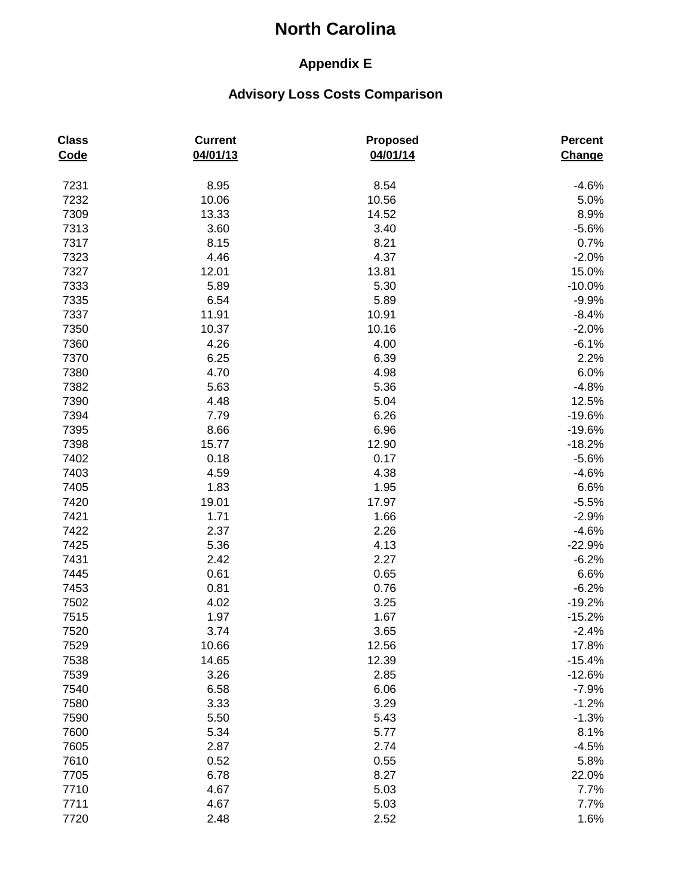## **Appendix E**

| <b>Class</b><br>Code | <b>Current</b><br>04/01/13 | <b>Proposed</b><br>04/01/14 | Percent<br>Change |
|----------------------|----------------------------|-----------------------------|-------------------|
| 7231                 | 8.95                       | 8.54                        | $-4.6%$           |
| 7232                 | 10.06                      | 10.56                       | 5.0%              |
| 7309                 | 13.33                      | 14.52                       | 8.9%              |
| 7313                 | 3.60                       | 3.40                        | $-5.6%$           |
| 7317                 | 8.15                       | 8.21                        | 0.7%              |
| 7323                 | 4.46                       | 4.37                        | $-2.0%$           |
| 7327                 | 12.01                      | 13.81                       | 15.0%             |
| 7333                 | 5.89                       | 5.30                        | $-10.0%$          |
| 7335                 | 6.54                       | 5.89                        | $-9.9%$           |
| 7337                 | 11.91                      | 10.91                       | $-8.4%$           |
| 7350                 | 10.37                      | 10.16                       | $-2.0%$           |
| 7360                 | 4.26                       | 4.00                        | $-6.1%$           |
| 7370                 | 6.25                       | 6.39                        | 2.2%              |
| 7380                 | 4.70                       | 4.98                        | 6.0%              |
| 7382                 | 5.63                       | 5.36                        | $-4.8%$           |
| 7390                 | 4.48                       | 5.04                        | 12.5%             |
| 7394                 | 7.79                       | 6.26                        | $-19.6%$          |
| 7395                 | 8.66                       | 6.96                        | $-19.6%$          |
| 7398                 | 15.77                      | 12.90                       | $-18.2%$          |
| 7402                 | 0.18                       | 0.17                        | $-5.6%$           |
| 7403                 | 4.59                       | 4.38                        | $-4.6%$           |
| 7405                 | 1.83                       | 1.95                        | 6.6%              |
| 7420                 | 19.01                      | 17.97                       | $-5.5%$           |
| 7421                 | 1.71                       | 1.66                        | $-2.9%$           |
| 7422                 | 2.37                       | 2.26                        | $-4.6%$           |
| 7425                 | 5.36                       | 4.13                        | $-22.9%$          |
| 7431                 | 2.42                       | 2.27                        | $-6.2%$           |
| 7445                 | 0.61                       | 0.65                        | 6.6%              |
| 7453                 | 0.81                       | 0.76                        | $-6.2%$           |
| 7502                 | 4.02                       | 3.25                        | $-19.2%$          |
| 7515                 | 1.97                       | 1.67                        | $-15.2%$          |
| 7520                 | 3.74                       | 3.65                        | $-2.4%$           |
| 7529                 | 10.66                      | 12.56                       | 17.8%             |
| 7538                 | 14.65                      | 12.39                       | $-15.4%$          |
| 7539                 | 3.26                       | 2.85                        | $-12.6%$          |
| 7540                 | 6.58                       | 6.06                        | $-7.9%$           |
| 7580                 | 3.33                       | 3.29                        | $-1.2%$           |
| 7590                 | 5.50                       | 5.43                        | $-1.3%$           |
| 7600                 | 5.34                       | 5.77                        | 8.1%              |
| 7605                 | 2.87                       | 2.74                        | $-4.5%$           |
| 7610                 | 0.52                       | 0.55                        | 5.8%              |
| 7705                 | 6.78                       | 8.27                        | 22.0%             |
| 7710                 | 4.67                       | 5.03                        | 7.7%              |
| 7711                 | 4.67                       | 5.03                        | 7.7%              |
| 7720                 | 2.48                       | 2.52                        | 1.6%              |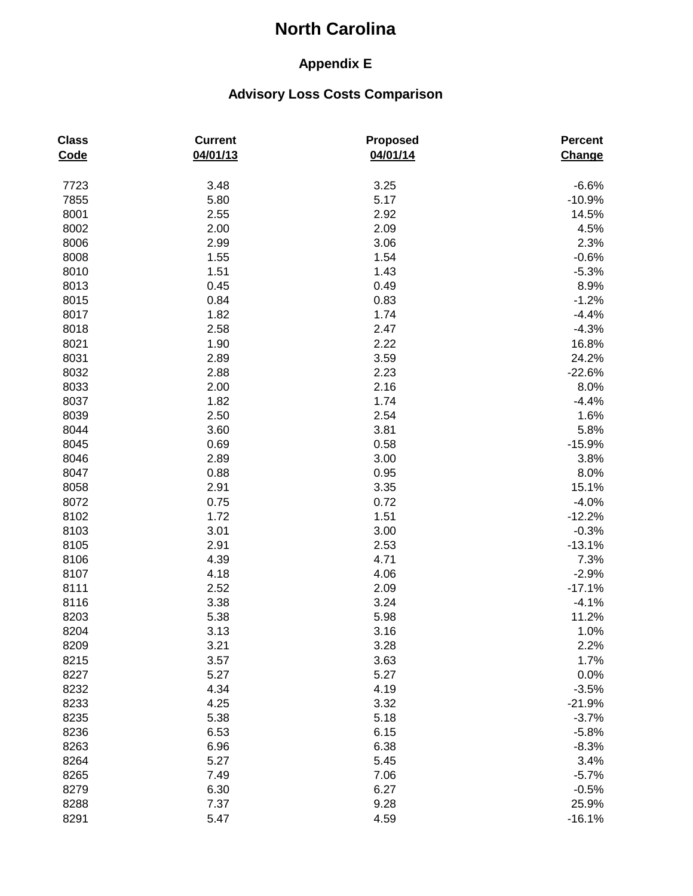## **Appendix E**

| <b>Class</b><br>Code | <b>Current</b><br>04/01/13 | <b>Proposed</b><br>04/01/14 | Percent<br>Change |
|----------------------|----------------------------|-----------------------------|-------------------|
| 7723                 | 3.48                       | 3.25                        | $-6.6%$           |
| 7855                 | 5.80                       | 5.17                        | $-10.9%$          |
| 8001                 | 2.55                       | 2.92                        | 14.5%             |
| 8002                 | 2.00                       | 2.09                        | 4.5%              |
| 8006                 | 2.99                       | 3.06                        | 2.3%              |
| 8008                 | 1.55                       | 1.54                        | $-0.6%$           |
| 8010                 | 1.51                       | 1.43                        | $-5.3%$           |
| 8013                 | 0.45                       | 0.49                        | 8.9%              |
| 8015                 | 0.84                       | 0.83                        | $-1.2%$           |
| 8017                 | 1.82                       | 1.74                        | $-4.4%$           |
| 8018                 | 2.58                       | 2.47                        | $-4.3%$           |
| 8021                 | 1.90                       | 2.22                        | 16.8%             |
| 8031                 | 2.89                       | 3.59                        | 24.2%             |
| 8032                 | 2.88                       | 2.23                        | $-22.6%$          |
| 8033                 | 2.00                       | 2.16                        | 8.0%              |
| 8037                 | 1.82                       | 1.74                        | $-4.4%$           |
| 8039                 | 2.50                       | 2.54                        | 1.6%              |
| 8044                 | 3.60                       | 3.81                        | 5.8%              |
| 8045                 | 0.69                       | 0.58                        | $-15.9%$          |
| 8046                 | 2.89                       | 3.00                        | 3.8%              |
| 8047                 | 0.88                       | 0.95                        | 8.0%              |
| 8058                 | 2.91                       | 3.35                        | 15.1%             |
| 8072                 | 0.75                       | 0.72                        | $-4.0%$           |
| 8102                 | 1.72                       | 1.51                        | $-12.2%$          |
| 8103                 | 3.01                       | 3.00                        | $-0.3%$           |
| 8105                 | 2.91                       | 2.53                        | $-13.1%$          |
| 8106                 | 4.39                       | 4.71                        | 7.3%              |
| 8107                 | 4.18                       | 4.06                        | $-2.9%$           |
| 8111                 | 2.52                       | 2.09                        | $-17.1%$          |
| 8116                 | 3.38                       | 3.24                        | $-4.1%$           |
| 8203                 | 5.38                       | 5.98                        | 11.2%             |
| 8204                 | 3.13                       | 3.16                        | 1.0%              |
| 8209                 | 3.21                       | 3.28                        | 2.2%              |
| 8215                 | 3.57                       | 3.63                        | 1.7%              |
| 8227                 | 5.27                       | 5.27                        | 0.0%              |
| 8232                 | 4.34                       | 4.19                        | $-3.5%$           |
| 8233                 | 4.25                       | 3.32                        | $-21.9%$          |
| 8235                 | 5.38                       | 5.18                        | $-3.7%$           |
| 8236                 | 6.53                       | 6.15                        | $-5.8%$           |
| 8263                 | 6.96                       | 6.38                        | $-8.3%$           |
| 8264                 | 5.27                       | 5.45                        | 3.4%              |
| 8265                 | 7.49                       | 7.06                        | $-5.7%$           |
| 8279                 | 6.30                       | 6.27                        | $-0.5%$           |
| 8288                 | 7.37                       | 9.28                        | 25.9%             |
| 8291                 | 5.47                       | 4.59                        | $-16.1%$          |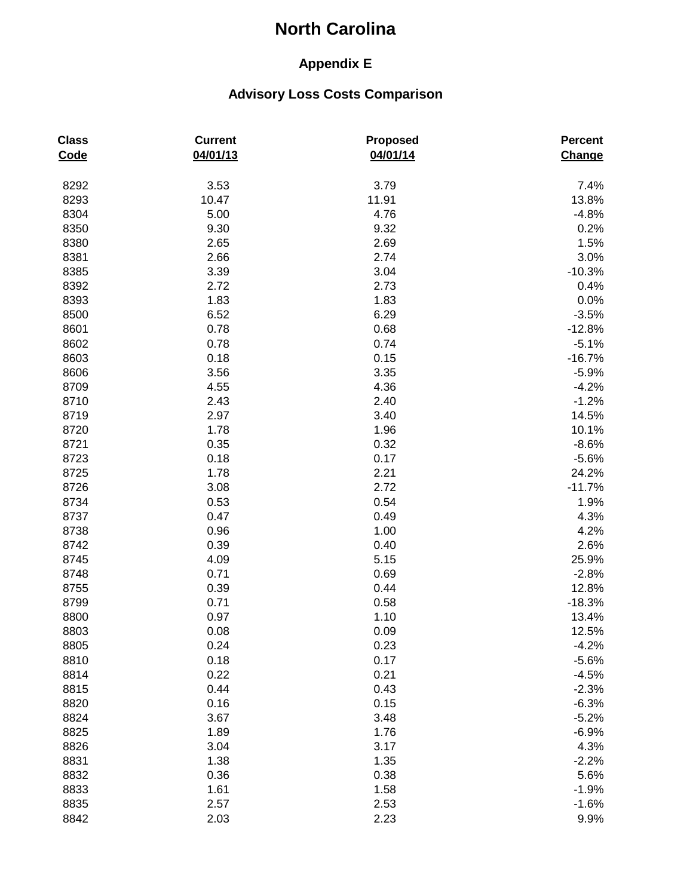## **Appendix E**

| <b>Class</b><br>Code | <b>Current</b><br>04/01/13 | <b>Proposed</b><br>04/01/14 | Percent<br>Change |
|----------------------|----------------------------|-----------------------------|-------------------|
| 8292                 | 3.53                       | 3.79                        | 7.4%              |
| 8293                 | 10.47                      | 11.91                       | 13.8%             |
| 8304                 | 5.00                       | 4.76                        | $-4.8%$           |
| 8350                 | 9.30                       | 9.32                        | 0.2%              |
| 8380                 | 2.65                       | 2.69                        | 1.5%              |
| 8381                 | 2.66                       | 2.74                        | 3.0%              |
| 8385                 | 3.39                       | 3.04                        | $-10.3%$          |
| 8392                 | 2.72                       | 2.73                        | 0.4%              |
| 8393                 | 1.83                       | 1.83                        | 0.0%              |
| 8500                 | 6.52                       | 6.29                        | $-3.5%$           |
| 8601                 | 0.78                       | 0.68                        | $-12.8%$          |
| 8602                 | 0.78                       | 0.74                        | $-5.1%$           |
| 8603                 | 0.18                       | 0.15                        | $-16.7%$          |
| 8606                 | 3.56                       | 3.35                        | $-5.9%$           |
| 8709                 | 4.55                       | 4.36                        | $-4.2%$           |
| 8710                 | 2.43                       | 2.40                        | $-1.2%$           |
| 8719                 | 2.97                       | 3.40                        | 14.5%             |
| 8720                 | 1.78                       | 1.96                        | 10.1%             |
| 8721                 | 0.35                       | 0.32                        | $-8.6%$           |
| 8723                 | 0.18                       | 0.17                        | $-5.6%$           |
| 8725                 | 1.78                       | 2.21                        | 24.2%             |
| 8726                 | 3.08                       | 2.72                        | $-11.7%$          |
| 8734                 | 0.53                       | 0.54                        | 1.9%              |
| 8737                 | 0.47                       | 0.49                        | 4.3%              |
| 8738                 | 0.96                       | 1.00                        | 4.2%              |
| 8742                 | 0.39                       | 0.40                        | 2.6%              |
| 8745                 | 4.09                       | 5.15                        | 25.9%             |
| 8748                 | 0.71                       | 0.69                        | $-2.8%$           |
| 8755                 | 0.39                       | 0.44                        | 12.8%             |
| 8799                 | 0.71                       | 0.58                        | $-18.3%$          |
| 8800                 | 0.97                       | 1.10                        | 13.4%             |
| 8803                 | 0.08                       | 0.09                        | 12.5%             |
| 8805                 | 0.24                       | 0.23                        | $-4.2%$           |
| 8810                 | 0.18                       | 0.17                        | $-5.6%$           |
| 8814                 | 0.22                       | 0.21                        | $-4.5%$           |
| 8815                 | 0.44                       | 0.43                        | $-2.3%$           |
| 8820                 | 0.16                       | 0.15                        | $-6.3%$           |
| 8824                 | 3.67                       | 3.48                        | $-5.2%$           |
| 8825                 | 1.89                       | 1.76                        | $-6.9%$           |
| 8826                 | 3.04                       | 3.17                        | 4.3%              |
| 8831                 | 1.38                       | 1.35                        | $-2.2%$           |
| 8832                 | 0.36                       | 0.38                        | 5.6%              |
| 8833                 | 1.61                       | 1.58                        | $-1.9%$           |
| 8835                 | 2.57                       | 2.53                        | $-1.6%$           |
| 8842                 | 2.03                       | 2.23                        | 9.9%              |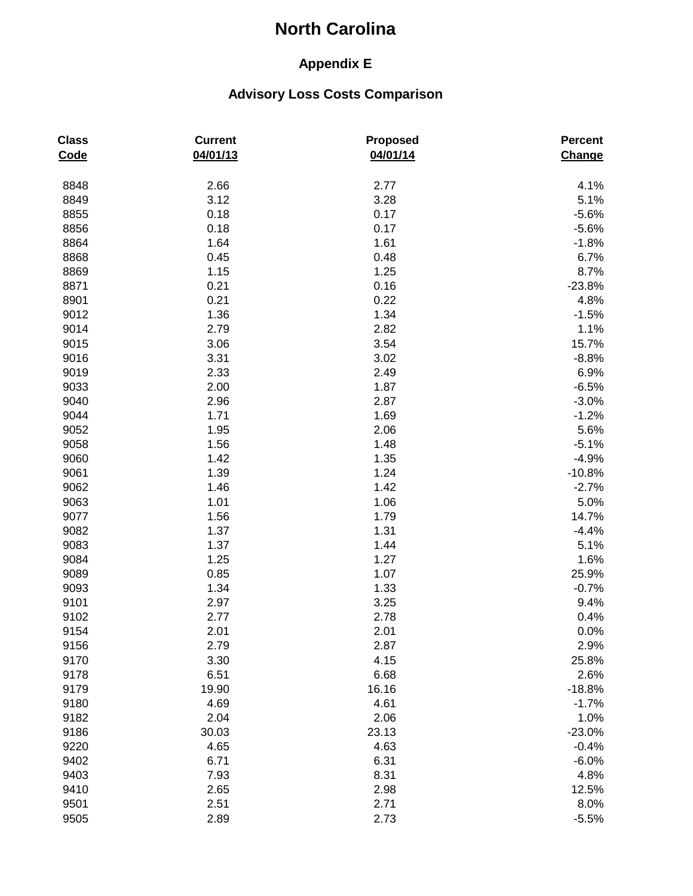## **Appendix E**

| <b>Class</b><br>Code | <b>Current</b><br>04/01/13 | Proposed<br>04/01/14 | <b>Percent</b><br>Change |
|----------------------|----------------------------|----------------------|--------------------------|
| 8848                 | 2.66                       | 2.77                 | 4.1%                     |
| 8849                 | 3.12                       | 3.28                 | 5.1%                     |
| 8855                 | 0.18                       | 0.17                 | $-5.6%$                  |
| 8856                 | 0.18                       | 0.17                 | $-5.6%$                  |
| 8864                 | 1.64                       | 1.61                 | $-1.8%$                  |
| 8868                 | 0.45                       | 0.48                 | 6.7%                     |
| 8869                 | 1.15                       | 1.25                 | 8.7%                     |
| 8871                 | 0.21                       | 0.16                 | $-23.8%$                 |
| 8901                 | 0.21                       | 0.22                 | 4.8%                     |
| 9012                 | 1.36                       | 1.34                 | $-1.5%$                  |
| 9014                 | 2.79                       | 2.82                 | 1.1%                     |
| 9015                 | 3.06                       | 3.54                 | 15.7%                    |
| 9016                 | 3.31                       | 3.02                 | $-8.8%$                  |
| 9019                 | 2.33                       | 2.49                 | 6.9%                     |
| 9033                 | 2.00                       | 1.87                 | $-6.5%$                  |
| 9040                 | 2.96                       | 2.87                 | $-3.0%$                  |
| 9044                 | 1.71                       | 1.69                 | $-1.2%$                  |
| 9052                 | 1.95                       | 2.06                 | 5.6%                     |
| 9058                 | 1.56                       | 1.48                 | $-5.1%$                  |
| 9060                 | 1.42                       | 1.35                 | $-4.9%$                  |
| 9061                 | 1.39                       | 1.24                 | $-10.8%$                 |
| 9062                 | 1.46                       | 1.42                 | $-2.7%$                  |
| 9063                 | 1.01                       | 1.06                 | 5.0%                     |
| 9077                 | 1.56                       | 1.79                 | 14.7%                    |
| 9082                 | 1.37                       | 1.31                 | $-4.4%$                  |
| 9083                 | 1.37                       | 1.44                 | 5.1%                     |
| 9084                 | 1.25                       | 1.27                 | 1.6%                     |
| 9089                 | 0.85                       | 1.07                 | 25.9%                    |
| 9093                 | 1.34                       | 1.33                 | $-0.7%$                  |
| 9101                 | 2.97                       | 3.25                 | 9.4%                     |
| 9102                 | 2.77                       | 2.78                 | 0.4%                     |
| 9154                 | 2.01                       | 2.01                 | 0.0%                     |
| 9156                 | 2.79                       | 2.87                 | 2.9%                     |
| 9170                 | 3.30                       | 4.15                 | 25.8%                    |
| 9178                 | 6.51                       | 6.68                 | 2.6%                     |
| 9179                 | 19.90                      | 16.16                | $-18.8%$                 |
| 9180                 | 4.69                       | 4.61                 | $-1.7%$                  |
| 9182                 | 2.04                       | 2.06                 | 1.0%                     |
| 9186                 | 30.03                      | 23.13                | $-23.0%$                 |
| 9220                 | 4.65                       | 4.63                 | $-0.4%$                  |
| 9402                 | 6.71                       | 6.31                 | $-6.0%$                  |
| 9403                 | 7.93                       | 8.31                 | 4.8%                     |
| 9410                 | 2.65                       | 2.98                 | 12.5%                    |
| 9501                 | 2.51                       | 2.71                 | 8.0%                     |
| 9505                 | 2.89                       | 2.73                 | $-5.5%$                  |